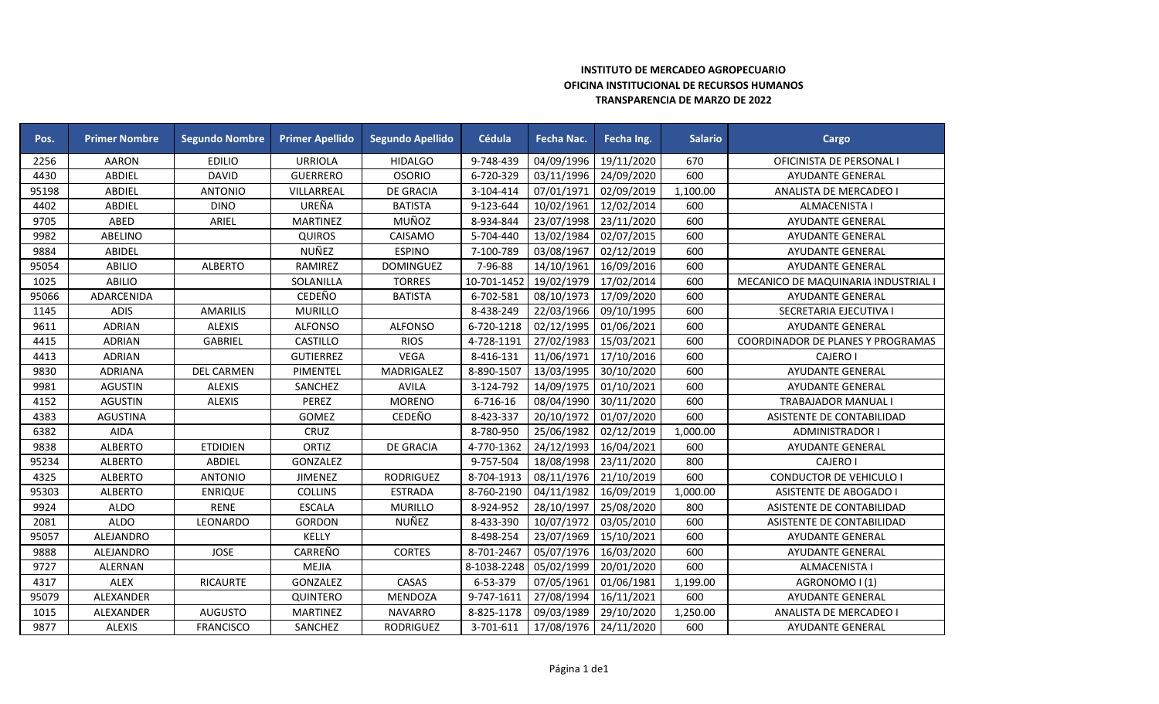## **INSTITUTO DE MERCADEO AGROPECUARIO OFICINA INSTITUCIONAL DE RECURSOS HUMANOS TRANSPARENCIA DE MARZO DE 2022**

| Pos.  | <b>Primer Nombre</b> | <b>Segundo Nombre</b> | <b>Primer Apellido</b> | <b>Segundo Apellido</b> | Cédula      | Fecha Nac. | Fecha Ing. | <b>Salario</b> | Cargo                               |
|-------|----------------------|-----------------------|------------------------|-------------------------|-------------|------------|------------|----------------|-------------------------------------|
| 2256  | <b>AARON</b>         | <b>EDILIO</b>         | <b>URRIOLA</b>         | <b>HIDALGO</b>          | 9-748-439   | 04/09/1996 | 19/11/2020 | 670            | OFICINISTA DE PERSONAL I            |
| 4430  | <b>ABDIEL</b>        | <b>DAVID</b>          | <b>GUERRERO</b>        | <b>OSORIO</b>           | 6-720-329   | 03/11/1996 | 24/09/2020 | 600            | AYUDANTE GENERAL                    |
| 95198 | <b>ABDIEL</b>        | <b>ANTONIO</b>        | VILLARREAL             | <b>DE GRACIA</b>        | 3-104-414   | 07/01/1971 | 02/09/2019 | 1,100.00       | ANALISTA DE MERCADEO I              |
| 4402  | <b>ABDIEL</b>        | <b>DINO</b>           | UREÑA                  | <b>BATISTA</b>          | 9-123-644   | 10/02/1961 | 12/02/2014 | 600            | ALMACENISTA I                       |
| 9705  | ABED                 | ARIEL                 | <b>MARTINEZ</b>        | MUÑOZ                   | 8-934-844   | 23/07/1998 | 23/11/2020 | 600            | <b>AYUDANTE GENERAL</b>             |
| 9982  | ABELINO              |                       | <b>QUIROS</b>          | CAISAMO                 | 5-704-440   | 13/02/1984 | 02/07/2015 | 600            | AYUDANTE GENERAL                    |
| 9884  | <b>ABIDEL</b>        |                       | NUÑEZ                  | <b>ESPINO</b>           | 7-100-789   | 03/08/1967 | 02/12/2019 | 600            | <b>AYUDANTE GENERAL</b>             |
| 95054 | <b>ABILIO</b>        | <b>ALBERTO</b>        | RAMIREZ                | <b>DOMINGUEZ</b>        | 7-96-88     | 14/10/1961 | 16/09/2016 | 600            | AYUDANTE GENERAL                    |
| 1025  | <b>ABILIO</b>        |                       | SOLANILLA              | <b>TORRES</b>           | 10-701-1452 | 19/02/1979 | 17/02/2014 | 600            | MECANICO DE MAQUINARIA INDUSTRIAL I |
| 95066 | ADARCENIDA           |                       | CEDEÑO                 | <b>BATISTA</b>          | 6-702-581   | 08/10/1973 | 17/09/2020 | 600            | <b>AYUDANTE GENERAL</b>             |
| 1145  | <b>ADIS</b>          | <b>AMARILIS</b>       | <b>MURILLO</b>         |                         | 8-438-249   | 22/03/1966 | 09/10/1995 | 600            | SECRETARIA EJECUTIVA I              |
| 9611  | <b>ADRIAN</b>        | <b>ALEXIS</b>         | <b>ALFONSO</b>         | <b>ALFONSO</b>          | 6-720-1218  | 02/12/1995 | 01/06/2021 | 600            | AYUDANTE GENERAL                    |
| 4415  | <b>ADRIAN</b>        | GABRIEL               | CASTILLO               | <b>RIOS</b>             | 4-728-1191  | 27/02/1983 | 15/03/2021 | 600            | COORDINADOR DE PLANES Y PROGRAMAS   |
| 4413  | <b>ADRIAN</b>        |                       | <b>GUTIERREZ</b>       | <b>VEGA</b>             | 8-416-131   | 11/06/1971 | 17/10/2016 | 600            | <b>CAJERO I</b>                     |
| 9830  | <b>ADRIANA</b>       | <b>DEL CARMEN</b>     | PIMENTEL               | MADRIGALEZ              | 8-890-1507  | 13/03/1995 | 30/10/2020 | 600            | AYUDANTE GENERAL                    |
| 9981  | <b>AGUSTIN</b>       | <b>ALEXIS</b>         | SANCHEZ                | <b>AVILA</b>            | 3-124-792   | 14/09/1975 | 01/10/2021 | 600            | AYUDANTE GENERAL                    |
| 4152  | <b>AGUSTIN</b>       | <b>ALEXIS</b>         | PEREZ                  | <b>MORENO</b>           | 6-716-16    | 08/04/1990 | 30/11/2020 | 600            | <b>TRABAJADOR MANUAL I</b>          |
| 4383  | <b>AGUSTINA</b>      |                       | GOMEZ                  | CEDEÑO                  | 8-423-337   | 20/10/1972 | 01/07/2020 | 600            | ASISTENTE DE CONTABILIDAD           |
| 6382  | <b>AIDA</b>          |                       | CRUZ                   |                         | 8-780-950   | 25/06/1982 | 02/12/2019 | 1,000.00       | <b>ADMINISTRADOR I</b>              |
| 9838  | <b>ALBERTO</b>       | <b>ETDIDIEN</b>       | <b>ORTIZ</b>           | <b>DE GRACIA</b>        | 4-770-1362  | 24/12/1993 | 16/04/2021 | 600            | <b>AYUDANTE GENERAL</b>             |
| 95234 | <b>ALBERTO</b>       | ABDIEL                | GONZALEZ               |                         | 9-757-504   | 18/08/1998 | 23/11/2020 | 800            | <b>CAJERO I</b>                     |
| 4325  | <b>ALBERTO</b>       | <b>ANTONIO</b>        | <b>JIMENEZ</b>         | <b>RODRIGUEZ</b>        | 8-704-1913  | 08/11/1976 | 21/10/2019 | 600            | <b>CONDUCTOR DE VEHICULO I</b>      |
| 95303 | <b>ALBERTO</b>       | <b>ENRIQUE</b>        | <b>COLLINS</b>         | <b>ESTRADA</b>          | 8-760-2190  | 04/11/1982 | 16/09/2019 | 1,000.00       | <b>ASISTENTE DE ABOGADO I</b>       |
| 9924  | <b>ALDO</b>          | <b>RENE</b>           | <b>ESCALA</b>          | <b>MURILLO</b>          | 8-924-952   | 28/10/1997 | 25/08/2020 | 800            | ASISTENTE DE CONTABILIDAD           |
| 2081  | <b>ALDO</b>          | LEONARDO              | <b>GORDON</b>          | NUÑEZ                   | 8-433-390   | 10/07/1972 | 03/05/2010 | 600            | ASISTENTE DE CONTABILIDAD           |
| 95057 | ALEJANDRO            |                       | KELLY                  |                         | 8-498-254   | 23/07/1969 | 15/10/2021 | 600            | <b>AYUDANTE GENERAL</b>             |
| 9888  | ALEJANDRO            | <b>JOSE</b>           | CARREÑO                | <b>CORTES</b>           | 8-701-2467  | 05/07/1976 | 16/03/2020 | 600            | AYUDANTE GENERAL                    |
| 9727  | ALERNAN              |                       | MEJIA                  |                         | 8-1038-2248 | 05/02/1999 | 20/01/2020 | 600            | ALMACENISTA I                       |
| 4317  | <b>ALEX</b>          | <b>RICAURTE</b>       | GONZALEZ               | CASAS                   | 6-53-379    | 07/05/1961 | 01/06/1981 | 1,199.00       | AGRONOMO I (1)                      |
| 95079 | ALEXANDER            |                       | QUINTERO               | MENDOZA                 | 9-747-1611  | 27/08/1994 | 16/11/2021 | 600            | AYUDANTE GENERAL                    |
| 1015  | ALEXANDER            | <b>AUGUSTO</b>        | <b>MARTINEZ</b>        | <b>NAVARRO</b>          | 8-825-1178  | 09/03/1989 | 29/10/2020 | 1,250.00       | ANALISTA DE MERCADEO I              |
| 9877  | <b>ALEXIS</b>        | <b>FRANCISCO</b>      | SANCHEZ                | <b>RODRIGUEZ</b>        | 3-701-611   | 17/08/1976 | 24/11/2020 | 600            | <b>AYUDANTE GENERAL</b>             |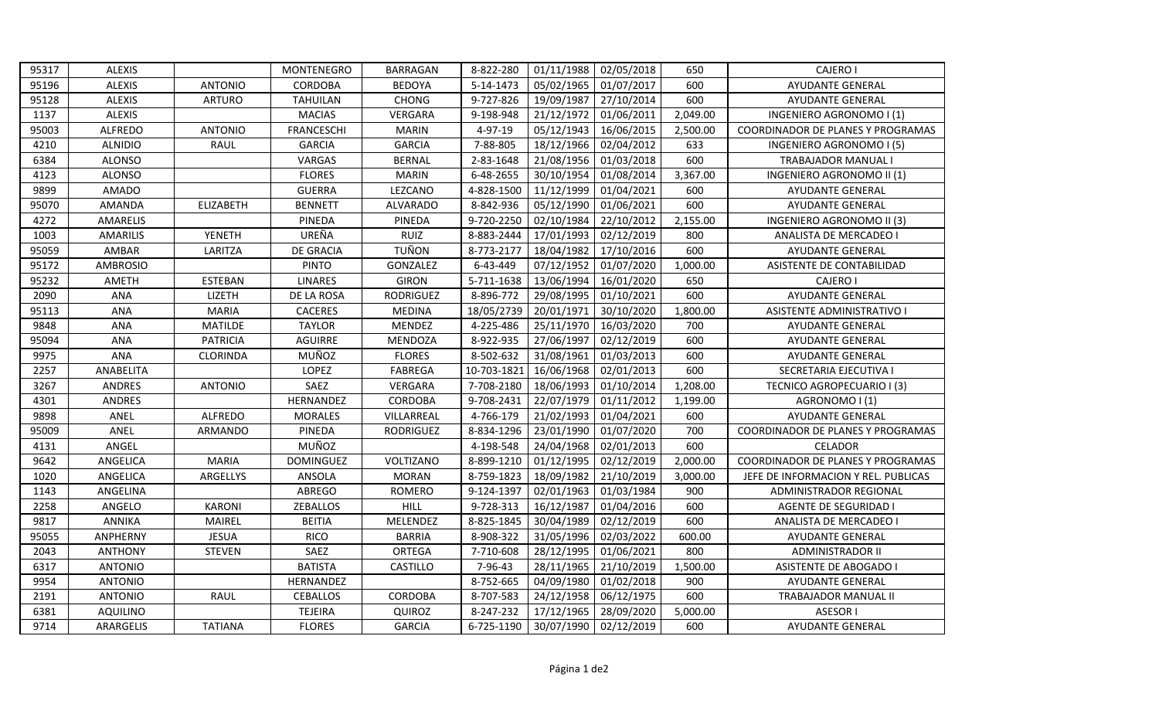| 95317 | <b>ALEXIS</b>   |                  | MONTENEGRO        | <b>BARRAGAN</b>  | 8-822-280   | 01/11/1988 | 02/05/2018 | 650      | <b>CAJERO I</b>                          |
|-------|-----------------|------------------|-------------------|------------------|-------------|------------|------------|----------|------------------------------------------|
| 95196 | <b>ALEXIS</b>   | <b>ANTONIO</b>   | <b>CORDOBA</b>    | <b>BEDOYA</b>    | 5-14-1473   | 05/02/1965 | 01/07/2017 | 600      | AYUDANTE GENERAL                         |
| 95128 | <b>ALEXIS</b>   | <b>ARTURO</b>    | <b>TAHUILAN</b>   | <b>CHONG</b>     | 9-727-826   | 19/09/1987 | 27/10/2014 | 600      | AYUDANTE GENERAL                         |
| 1137  | <b>ALEXIS</b>   |                  | <b>MACIAS</b>     | <b>VERGARA</b>   | 9-198-948   | 21/12/1972 | 01/06/2011 | 2,049.00 | INGENIERO AGRONOMO I (1)                 |
| 95003 | <b>ALFREDO</b>  | <b>ANTONIO</b>   | <b>FRANCESCHI</b> | <b>MARIN</b>     | 4-97-19     | 05/12/1943 | 16/06/2015 | 2,500.00 | COORDINADOR DE PLANES Y PROGRAMAS        |
| 4210  | <b>ALNIDIO</b>  | <b>RAUL</b>      | <b>GARCIA</b>     | <b>GARCIA</b>    | 7-88-805    | 18/12/1966 | 02/04/2012 | 633      | INGENIERO AGRONOMO I (5)                 |
| 6384  | <b>ALONSO</b>   |                  | VARGAS            | <b>BERNAL</b>    | 2-83-1648   | 21/08/1956 | 01/03/2018 | 600      | TRABAJADOR MANUAL I                      |
| 4123  | <b>ALONSO</b>   |                  | <b>FLORES</b>     | <b>MARIN</b>     | 6-48-2655   | 30/10/1954 | 01/08/2014 | 3,367.00 | INGENIERO AGRONOMO II (1)                |
| 9899  | <b>AMADO</b>    |                  | <b>GUERRA</b>     | LEZCANO          | 4-828-1500  | 11/12/1999 | 01/04/2021 | 600      | AYUDANTE GENERAL                         |
| 95070 | AMANDA          | <b>ELIZABETH</b> | <b>BENNETT</b>    | <b>ALVARADO</b>  | 8-842-936   | 05/12/1990 | 01/06/2021 | 600      | AYUDANTE GENERAL                         |
| 4272  | AMARELIS        |                  | PINEDA            | PINEDA           | 9-720-2250  | 02/10/1984 | 22/10/2012 | 2,155.00 | INGENIERO AGRONOMO II (3)                |
| 1003  | <b>AMARILIS</b> | <b>YENETH</b>    | UREÑA             | RUIZ             | 8-883-2444  | 17/01/1993 | 02/12/2019 | 800      | ANALISTA DE MERCADEO I                   |
| 95059 | AMBAR           | LARITZA          | DE GRACIA         | <b>TUÑON</b>     | 8-773-2177  | 18/04/1982 | 17/10/2016 | 600      | <b>AYUDANTE GENERAL</b>                  |
| 95172 | <b>AMBROSIO</b> |                  | <b>PINTO</b>      | GONZALEZ         | 6-43-449    | 07/12/1952 | 01/07/2020 | 1,000.00 | ASISTENTE DE CONTABILIDAD                |
| 95232 | AMETH           | <b>ESTEBAN</b>   | <b>LINARES</b>    | <b>GIRON</b>     | 5-711-1638  | 13/06/1994 | 16/01/2020 | 650      | <b>CAJERO I</b>                          |
| 2090  | ANA             | LIZETH           | DE LA ROSA        | <b>RODRIGUEZ</b> | 8-896-772   | 29/08/1995 | 01/10/2021 | 600      | <b>AYUDANTE GENERAL</b>                  |
| 95113 | <b>ANA</b>      | <b>MARIA</b>     | <b>CACERES</b>    | <b>MEDINA</b>    | 18/05/2739  | 20/01/1971 | 30/10/2020 | 1,800.00 | ASISTENTE ADMINISTRATIVO I               |
| 9848  | <b>ANA</b>      | <b>MATILDE</b>   | <b>TAYLOR</b>     | MENDEZ           | 4-225-486   | 25/11/1970 | 16/03/2020 | 700      | AYUDANTE GENERAL                         |
| 95094 | ANA             | <b>PATRICIA</b>  | <b>AGUIRRE</b>    | <b>MENDOZA</b>   | 8-922-935   | 27/06/1997 | 02/12/2019 | 600      | AYUDANTE GENERAL                         |
| 9975  | ANA             | CLORINDA         | MUÑOZ             | <b>FLORES</b>    | 8-502-632   | 31/08/1961 | 01/03/2013 | 600      | AYUDANTE GENERAL                         |
| 2257  | ANABELITA       |                  | LOPEZ             | <b>FABREGA</b>   | 10-703-1821 | 16/06/1968 | 02/01/2013 | 600      | SECRETARIA EJECUTIVA I                   |
| 3267  | ANDRES          | <b>ANTONIO</b>   | SAEZ              | VERGARA          | 7-708-2180  | 18/06/1993 | 01/10/2014 | 1,208.00 | TECNICO AGROPECUARIO I (3)               |
| 4301  | <b>ANDRES</b>   |                  | HERNANDEZ         | CORDOBA          | 9-708-2431  | 22/07/1979 | 01/11/2012 | 1,199.00 | AGRONOMO I (1)                           |
| 9898  | ANEL            | <b>ALFREDO</b>   | <b>MORALES</b>    | VILLARREAL       | 4-766-179   | 21/02/1993 | 01/04/2021 | 600      | <b>AYUDANTE GENERAL</b>                  |
| 95009 | ANEL            | ARMANDO          | PINEDA            | <b>RODRIGUEZ</b> | 8-834-1296  | 23/01/1990 | 01/07/2020 | 700      | <b>COORDINADOR DE PLANES Y PROGRAMAS</b> |
| 4131  | ANGEL           |                  | MUÑOZ             |                  | 4-198-548   | 24/04/1968 | 02/01/2013 | 600      | <b>CELADOR</b>                           |
| 9642  | ANGELICA        | <b>MARIA</b>     | <b>DOMINGUEZ</b>  | VOLTIZANO        | 8-899-1210  | 01/12/1995 | 02/12/2019 | 2,000.00 | COORDINADOR DE PLANES Y PROGRAMAS        |
| 1020  | ANGELICA        | ARGELLYS         | ANSOLA            | <b>MORAN</b>     | 8-759-1823  | 18/09/1982 | 21/10/2019 | 3,000.00 | JEFE DE INFORMACION Y REL. PUBLICAS      |
| 1143  | ANGELINA        |                  | ABREGO            | ROMERO           | 9-124-1397  | 02/01/1963 | 01/03/1984 | 900      | ADMINISTRADOR REGIONAL                   |
| 2258  | ANGELO          | <b>KARONI</b>    | <b>ZEBALLOS</b>   | <b>HILL</b>      | 9-728-313   | 16/12/1987 | 01/04/2016 | 600      | AGENTE DE SEGURIDAD I                    |
| 9817  | <b>ANNIKA</b>   | MAIREL           | <b>BEITIA</b>     | MELENDEZ         | 8-825-1845  | 30/04/1989 | 02/12/2019 | 600      | ANALISTA DE MERCADEO I                   |
| 95055 | ANPHERNY        | <b>JESUA</b>     | <b>RICO</b>       | <b>BARRIA</b>    | 8-908-322   | 31/05/1996 | 02/03/2022 | 600.00   | AYUDANTE GENERAL                         |
| 2043  | <b>ANTHONY</b>  | <b>STEVEN</b>    | SAEZ              | ORTEGA           | 7-710-608   | 28/12/1995 | 01/06/2021 | 800      | <b>ADMINISTRADOR II</b>                  |
| 6317  | <b>ANTONIO</b>  |                  | <b>BATISTA</b>    | CASTILLO         | 7-96-43     | 28/11/1965 | 21/10/2019 | 1,500.00 | ASISTENTE DE ABOGADO I                   |
| 9954  | <b>ANTONIO</b>  |                  | HERNANDEZ         |                  | 8-752-665   | 04/09/1980 | 01/02/2018 | 900      | <b>AYUDANTE GENERAL</b>                  |
| 2191  | <b>ANTONIO</b>  | RAUL             | <b>CEBALLOS</b>   | CORDOBA          | 8-707-583   | 24/12/1958 | 06/12/1975 | 600      | TRABAJADOR MANUAL II                     |
| 6381  | <b>AQUILINO</b> |                  | <b>TEJEIRA</b>    | QUIROZ           | 8-247-232   | 17/12/1965 | 28/09/2020 | 5,000.00 | <b>ASESOR I</b>                          |
| 9714  | ARARGELIS       | <b>TATIANA</b>   | <b>FLORES</b>     | <b>GARCIA</b>    | 6-725-1190  | 30/07/1990 | 02/12/2019 | 600      | <b>AYUDANTE GENERAL</b>                  |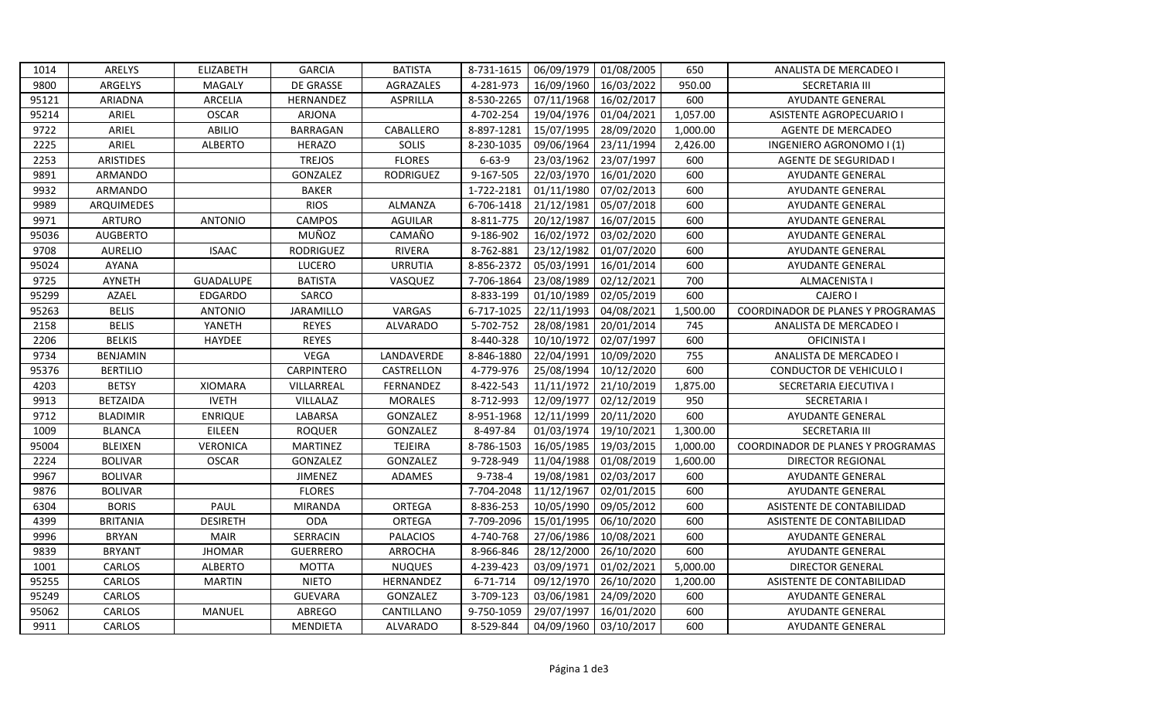| 1014  | ARELYS           | <b>ELIZABETH</b> | <b>GARCIA</b>   | <b>BATISTA</b>   | 8-731-1615   | 06/09/1979 | 01/08/2005 | 650      | ANALISTA DE MERCADEO I            |
|-------|------------------|------------------|-----------------|------------------|--------------|------------|------------|----------|-----------------------------------|
| 9800  | ARGELYS          | MAGALY           | DE GRASSE       | AGRAZALES        | 4-281-973    | 16/09/1960 | 16/03/2022 | 950.00   | <b>SECRETARIA III</b>             |
| 95121 | <b>ARIADNA</b>   | ARCELIA          | HERNANDEZ       | ASPRILLA         | 8-530-2265   | 07/11/1968 | 16/02/2017 | 600      | AYUDANTE GENERAL                  |
| 95214 | ARIEL            | <b>OSCAR</b>     | <b>ARJONA</b>   |                  | 4-702-254    | 19/04/1976 | 01/04/2021 | 1,057.00 | <b>ASISTENTE AGROPECUARIO I</b>   |
| 9722  | ARIEL            | ABILIO           | BARRAGAN        | CABALLERO        | 8-897-1281   | 15/07/1995 | 28/09/2020 | 1,000.00 | <b>AGENTE DE MERCADEO</b>         |
| 2225  | ARIEL            | <b>ALBERTO</b>   | <b>HERAZO</b>   | SOLIS            | 8-230-1035   | 09/06/1964 | 23/11/1994 | 2,426.00 | INGENIERO AGRONOMO I (1)          |
| 2253  | <b>ARISTIDES</b> |                  | <b>TREJOS</b>   | <b>FLORES</b>    | $6 - 63 - 9$ | 23/03/1962 | 23/07/1997 | 600      | <b>AGENTE DE SEGURIDAD I</b>      |
| 9891  | ARMANDO          |                  | GONZALEZ        | <b>RODRIGUEZ</b> | 9-167-505    | 22/03/1970 | 16/01/2020 | 600      | <b>AYUDANTE GENERAL</b>           |
| 9932  | ARMANDO          |                  | <b>BAKER</b>    |                  | 1-722-2181   | 01/11/1980 | 07/02/2013 | 600      | AYUDANTE GENERAL                  |
| 9989  | ARQUIMEDES       |                  | <b>RIOS</b>     | <b>ALMANZA</b>   | 6-706-1418   | 21/12/1981 | 05/07/2018 | 600      | <b>AYUDANTE GENERAL</b>           |
| 9971  | <b>ARTURO</b>    | <b>ANTONIO</b>   | <b>CAMPOS</b>   | <b>AGUILAR</b>   | 8-811-775    | 20/12/1987 | 16/07/2015 | 600      | <b>AYUDANTE GENERAL</b>           |
| 95036 | <b>AUGBERTO</b>  |                  | MUÑOZ           | CAMAÑO           | 9-186-902    | 16/02/1972 | 03/02/2020 | 600      | <b>AYUDANTE GENERAL</b>           |
| 9708  | <b>AURELIO</b>   | <b>ISAAC</b>     | RODRIGUEZ       | RIVERA           | 8-762-881    | 23/12/1982 | 01/07/2020 | 600      | <b>AYUDANTE GENERAL</b>           |
| 95024 | <b>AYANA</b>     |                  | <b>LUCERO</b>   | <b>URRUTIA</b>   | 8-856-2372   | 05/03/1991 | 16/01/2014 | 600      | AYUDANTE GENERAL                  |
| 9725  | <b>AYNETH</b>    | <b>GUADALUPE</b> | <b>BATISTA</b>  | VASQUEZ          | 7-706-1864   | 23/08/1989 | 02/12/2021 | 700      | ALMACENISTA I                     |
| 95299 | AZAEL            | <b>EDGARDO</b>   | SARCO           |                  | 8-833-199    | 01/10/1989 | 02/05/2019 | 600      | <b>CAJERO I</b>                   |
| 95263 | <b>BELIS</b>     | <b>ANTONIO</b>   | JARAMILLO       | VARGAS           | 6-717-1025   | 22/11/1993 | 04/08/2021 | 1,500.00 | COORDINADOR DE PLANES Y PROGRAMAS |
| 2158  | <b>BELIS</b>     | YANETH           | <b>REYES</b>    | <b>ALVARADO</b>  | 5-702-752    | 28/08/1981 | 20/01/2014 | 745      | ANALISTA DE MERCADEO I            |
| 2206  | <b>BELKIS</b>    | <b>HAYDEE</b>    | <b>REYES</b>    |                  | 8-440-328    | 10/10/1972 | 02/07/1997 | 600      | <b>OFICINISTA I</b>               |
| 9734  | BENJAMIN         |                  | <b>VEGA</b>     | LANDAVERDE       | 8-846-1880   | 22/04/1991 | 10/09/2020 | 755      | ANALISTA DE MERCADEO I            |
| 95376 | <b>BERTILIO</b>  |                  | CARPINTERO      | CASTRELLON       | 4-779-976    | 25/08/1994 | 10/12/2020 | 600      | <b>CONDUCTOR DE VEHICULO I</b>    |
| 4203  | <b>BETSY</b>     | <b>XIOMARA</b>   | VILLARREAL      | FERNANDEZ        | 8-422-543    | 11/11/1972 | 21/10/2019 | 1,875.00 | SECRETARIA EJECUTIVA I            |
| 9913  | <b>BETZAIDA</b>  | <b>IVETH</b>     | VILLALAZ        | <b>MORALES</b>   | 8-712-993    | 12/09/1977 | 02/12/2019 | 950      | <b>SECRETARIA I</b>               |
| 9712  | <b>BLADIMIR</b>  | <b>ENRIQUE</b>   | LABARSA         | GONZALEZ         | 8-951-1968   | 12/11/1999 | 20/11/2020 | 600      | <b>AYUDANTE GENERAL</b>           |
| 1009  | <b>BLANCA</b>    | EILEEN           | <b>ROQUER</b>   | GONZALEZ         | 8-497-84     | 01/03/1974 | 19/10/2021 | 1,300.00 | SECRETARIA III                    |
| 95004 | <b>BLEIXEN</b>   | <b>VERONICA</b>  | <b>MARTINEZ</b> | <b>TEJEIRA</b>   | 8-786-1503   | 16/05/1985 | 19/03/2015 | 1,000.00 | COORDINADOR DE PLANES Y PROGRAMAS |
| 2224  | <b>BOLIVAR</b>   | <b>OSCAR</b>     | GONZALEZ        | GONZALEZ         | 9-728-949    | 11/04/1988 | 01/08/2019 | 1,600.00 | <b>DIRECTOR REGIONAL</b>          |
| 9967  | <b>BOLIVAR</b>   |                  | <b>JIMENEZ</b>  | ADAMES           | 9-738-4      | 19/08/1981 | 02/03/2017 | 600      | <b>AYUDANTE GENERAL</b>           |
| 9876  | <b>BOLIVAR</b>   |                  | <b>FLORES</b>   |                  | 7-704-2048   | 11/12/1967 | 02/01/2015 | 600      | <b>AYUDANTE GENERAL</b>           |
| 6304  | <b>BORIS</b>     | PAUL             | <b>MIRANDA</b>  | ORTEGA           | 8-836-253    | 10/05/1990 | 09/05/2012 | 600      | ASISTENTE DE CONTABILIDAD         |
| 4399  | <b>BRITANIA</b>  | <b>DESIRETH</b>  | <b>ODA</b>      | ORTEGA           | 7-709-2096   | 15/01/1995 | 06/10/2020 | 600      | ASISTENTE DE CONTABILIDAD         |
| 9996  | <b>BRYAN</b>     | <b>MAIR</b>      | SERRACIN        | <b>PALACIOS</b>  | 4-740-768    | 27/06/1986 | 10/08/2021 | 600      | AYUDANTE GENERAL                  |
| 9839  | <b>BRYANT</b>    | <b>JHOMAR</b>    | <b>GUERRERO</b> | <b>ARROCHA</b>   | 8-966-846    | 28/12/2000 | 26/10/2020 | 600      | AYUDANTE GENERAL                  |
| 1001  | CARLOS           | <b>ALBERTO</b>   | <b>MOTTA</b>    | <b>NUQUES</b>    | 4-239-423    | 03/09/1971 | 01/02/2021 | 5,000.00 | <b>DIRECTOR GENERAL</b>           |
| 95255 | CARLOS           | <b>MARTIN</b>    | <b>NIETO</b>    | HERNANDEZ        | 6-71-714     | 09/12/1970 | 26/10/2020 | 1,200.00 | ASISTENTE DE CONTABILIDAD         |
| 95249 | CARLOS           |                  | <b>GUEVARA</b>  | GONZALEZ         | 3-709-123    | 03/06/1981 | 24/09/2020 | 600      | AYUDANTE GENERAL                  |
| 95062 | CARLOS           | MANUEL           | <b>ABREGO</b>   | CANTILLANO       | 9-750-1059   | 29/07/1997 | 16/01/2020 | 600      | <b>AYUDANTE GENERAL</b>           |
| 9911  | CARLOS           |                  | <b>MENDIETA</b> | <b>ALVARADO</b>  | 8-529-844    | 04/09/1960 | 03/10/2017 | 600      | <b>AYUDANTE GENERAL</b>           |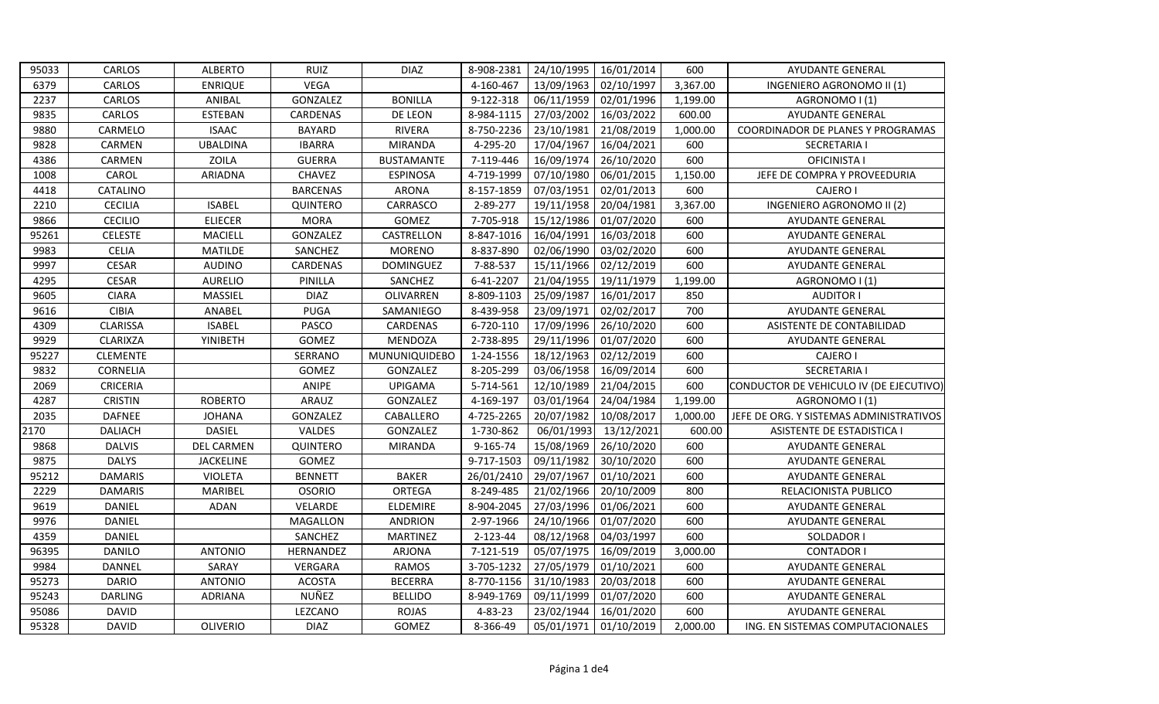| 95033 | CARLOS          | <b>ALBERTO</b>    | <b>RUIZ</b>     | <b>DIAZ</b>       | 8-908-2381 | 24/10/1995 | 16/01/2014 | 600      | <b>AYUDANTE GENERAL</b>                 |
|-------|-----------------|-------------------|-----------------|-------------------|------------|------------|------------|----------|-----------------------------------------|
| 6379  | CARLOS          | <b>ENRIQUE</b>    | <b>VEGA</b>     |                   | 4-160-467  | 13/09/1963 | 02/10/1997 | 3,367.00 | INGENIERO AGRONOMO II (1)               |
| 2237  | CARLOS          | ANIBAL            | GONZALEZ        | <b>BONILLA</b>    | 9-122-318  | 06/11/1959 | 02/01/1996 | 1,199.00 | AGRONOMO I (1)                          |
| 9835  | CARLOS          | <b>ESTEBAN</b>    | CARDENAS        | DE LEON           | 8-984-1115 | 27/03/2002 | 16/03/2022 | 600.00   | <b>AYUDANTE GENERAL</b>                 |
| 9880  | CARMELO         | <b>ISAAC</b>      | <b>BAYARD</b>   | <b>RIVERA</b>     | 8-750-2236 | 23/10/1981 | 21/08/2019 | 1,000.00 | COORDINADOR DE PLANES Y PROGRAMAS       |
| 9828  | CARMEN          | <b>UBALDINA</b>   | <b>IBARRA</b>   | <b>MIRANDA</b>    | 4-295-20   | 17/04/1967 | 16/04/2021 | 600      | <b>SECRETARIA I</b>                     |
| 4386  | CARMEN          | ZOILA             | <b>GUERRA</b>   | <b>BUSTAMANTE</b> | 7-119-446  | 16/09/1974 | 26/10/2020 | 600      | OFICINISTA I                            |
| 1008  | CAROL           | ARIADNA           | CHAVEZ          | <b>ESPINOSA</b>   | 4-719-1999 | 07/10/1980 | 06/01/2015 | 1,150.00 | JEFE DE COMPRA Y PROVEEDURIA            |
| 4418  | CATALINO        |                   | <b>BARCENAS</b> | <b>ARONA</b>      | 8-157-1859 | 07/03/1951 | 02/01/2013 | 600      | <b>CAJERO I</b>                         |
| 2210  | <b>CECILIA</b>  | <b>ISABEL</b>     | QUINTERO        | CARRASCO          | 2-89-277   | 19/11/1958 | 20/04/1981 | 3,367.00 | <b>INGENIERO AGRONOMO II (2)</b>        |
| 9866  | <b>CECILIO</b>  | <b>ELIECER</b>    | <b>MORA</b>     | <b>GOMEZ</b>      | 7-705-918  | 15/12/1986 | 01/07/2020 | 600      | <b>AYUDANTE GENERAL</b>                 |
| 95261 | <b>CELESTE</b>  | <b>MACIELL</b>    | GONZALEZ        | CASTRELLON        | 8-847-1016 | 16/04/1991 | 16/03/2018 | 600      | <b>AYUDANTE GENERAL</b>                 |
| 9983  | <b>CELIA</b>    | <b>MATILDE</b>    | SANCHEZ         | <b>MORENO</b>     | 8-837-890  | 02/06/1990 | 03/02/2020 | 600      | <b>AYUDANTE GENERAL</b>                 |
| 9997  | <b>CESAR</b>    | <b>AUDINO</b>     | CARDENAS        | <b>DOMINGUEZ</b>  | 7-88-537   | 15/11/1966 | 02/12/2019 | 600      | AYUDANTE GENERAL                        |
| 4295  | CESAR           | <b>AURELIO</b>    | PINILLA         | SANCHEZ           | 6-41-2207  | 21/04/1955 | 19/11/1979 | 1,199.00 | AGRONOMO I (1)                          |
| 9605  | <b>CIARA</b>    | <b>MASSIEL</b>    | <b>DIAZ</b>     | OLIVARREN         | 8-809-1103 | 25/09/1987 | 16/01/2017 | 850      | <b>AUDITOR I</b>                        |
| 9616  | <b>CIBIA</b>    | ANABEL            | <b>PUGA</b>     | SAMANIEGO         | 8-439-958  | 23/09/1971 | 02/02/2017 | 700      | AYUDANTE GENERAL                        |
| 4309  | <b>CLARISSA</b> | <b>ISABEL</b>     | PASCO           | CARDENAS          | 6-720-110  | 17/09/1996 | 26/10/2020 | 600      | ASISTENTE DE CONTABILIDAD               |
| 9929  | <b>CLARIXZA</b> | <b>YINIBETH</b>   | GOMEZ           | MENDOZA           | 2-738-895  | 29/11/1996 | 01/07/2020 | 600      | AYUDANTE GENERAL                        |
| 95227 | <b>CLEMENTE</b> |                   | SERRANO         | MUNUNIQUIDEBO     | 1-24-1556  | 18/12/1963 | 02/12/2019 | 600      | <b>CAJERO I</b>                         |
| 9832  | CORNELIA        |                   | GOMEZ           | GONZALEZ          | 8-205-299  | 03/06/1958 | 16/09/2014 | 600      | SECRETARIA I                            |
| 2069  | <b>CRICERIA</b> |                   | ANIPE           | <b>UPIGAMA</b>    | 5-714-561  | 12/10/1989 | 21/04/2015 | 600      | CONDUCTOR DE VEHICULO IV (DE EJECUTIVO) |
| 4287  | <b>CRISTIN</b>  | <b>ROBERTO</b>    | ARAUZ           | GONZALEZ          | 4-169-197  | 03/01/1964 | 24/04/1984 | 1,199.00 | AGRONOMO I (1)                          |
| 2035  | <b>DAFNEE</b>   | <b>JOHANA</b>     | GONZALEZ        | CABALLERO         | 4-725-2265 | 20/07/1982 | 10/08/2017 | 1,000.00 | JEFE DE ORG. Y SISTEMAS ADMINISTRATIVOS |
| 2170  | <b>DALIACH</b>  | <b>DASIEL</b>     | VALDES          | GONZALEZ          | 1-730-862  | 06/01/1993 | 13/12/2021 | 600.00   | <b>ASISTENTE DE ESTADISTICA I</b>       |
| 9868  | <b>DALVIS</b>   | <b>DEL CARMEN</b> | QUINTERO        | <b>MIRANDA</b>    | 9-165-74   | 15/08/1969 | 26/10/2020 | 600      | <b>AYUDANTE GENERAL</b>                 |
| 9875  | <b>DALYS</b>    | <b>JACKELINE</b>  | GOMEZ           |                   | 9-717-1503 | 09/11/1982 | 30/10/2020 | 600      | AYUDANTE GENERAL                        |
| 95212 | <b>DAMARIS</b>  | <b>VIOLETA</b>    | <b>BENNETT</b>  | <b>BAKER</b>      | 26/01/2410 | 29/07/1967 | 01/10/2021 | 600      | <b>AYUDANTE GENERAL</b>                 |
| 2229  | <b>DAMARIS</b>  | MARIBEL           | <b>OSORIO</b>   | ORTEGA            | 8-249-485  | 21/02/1966 | 20/10/2009 | 800      | RELACIONISTA PUBLICO                    |
| 9619  | <b>DANIEL</b>   | <b>ADAN</b>       | VELARDE         | <b>ELDEMIRE</b>   | 8-904-2045 | 27/03/1996 | 01/06/2021 | 600      | <b>AYUDANTE GENERAL</b>                 |
| 9976  | DANIEL          |                   | MAGALLON        | <b>ANDRION</b>    | 2-97-1966  | 24/10/1966 | 01/07/2020 | 600      | AYUDANTE GENERAL                        |
| 4359  | <b>DANIEL</b>   |                   | SANCHEZ         | <b>MARTINEZ</b>   | 2-123-44   | 08/12/1968 | 04/03/1997 | 600      | SOLDADOR I                              |
| 96395 | <b>DANILO</b>   | <b>ANTONIO</b>    | HERNANDEZ       | <b>ARJONA</b>     | 7-121-519  | 05/07/1975 | 16/09/2019 | 3,000.00 | <b>CONTADOR I</b>                       |
| 9984  | DANNEL          | SARAY             | VERGARA         | <b>RAMOS</b>      | 3-705-1232 | 27/05/1979 | 01/10/2021 | 600      | AYUDANTE GENERAL                        |
| 95273 | <b>DARIO</b>    | <b>ANTONIO</b>    | <b>ACOSTA</b>   | <b>BECERRA</b>    | 8-770-1156 | 31/10/1983 | 20/03/2018 | 600      | <b>AYUDANTE GENERAL</b>                 |
| 95243 | <b>DARLING</b>  | <b>ADRIANA</b>    | NUÑEZ           | <b>BELLIDO</b>    | 8-949-1769 | 09/11/1999 | 01/07/2020 | 600      | AYUDANTE GENERAL                        |
| 95086 | <b>DAVID</b>    |                   | LEZCANO         | <b>ROJAS</b>      | 4-83-23    | 23/02/1944 | 16/01/2020 | 600      | <b>AYUDANTE GENERAL</b>                 |
| 95328 | <b>DAVID</b>    | <b>OLIVERIO</b>   | <b>DIAZ</b>     | <b>GOMEZ</b>      | 8-366-49   | 05/01/1971 | 01/10/2019 | 2,000.00 | ING. EN SISTEMAS COMPUTACIONALES        |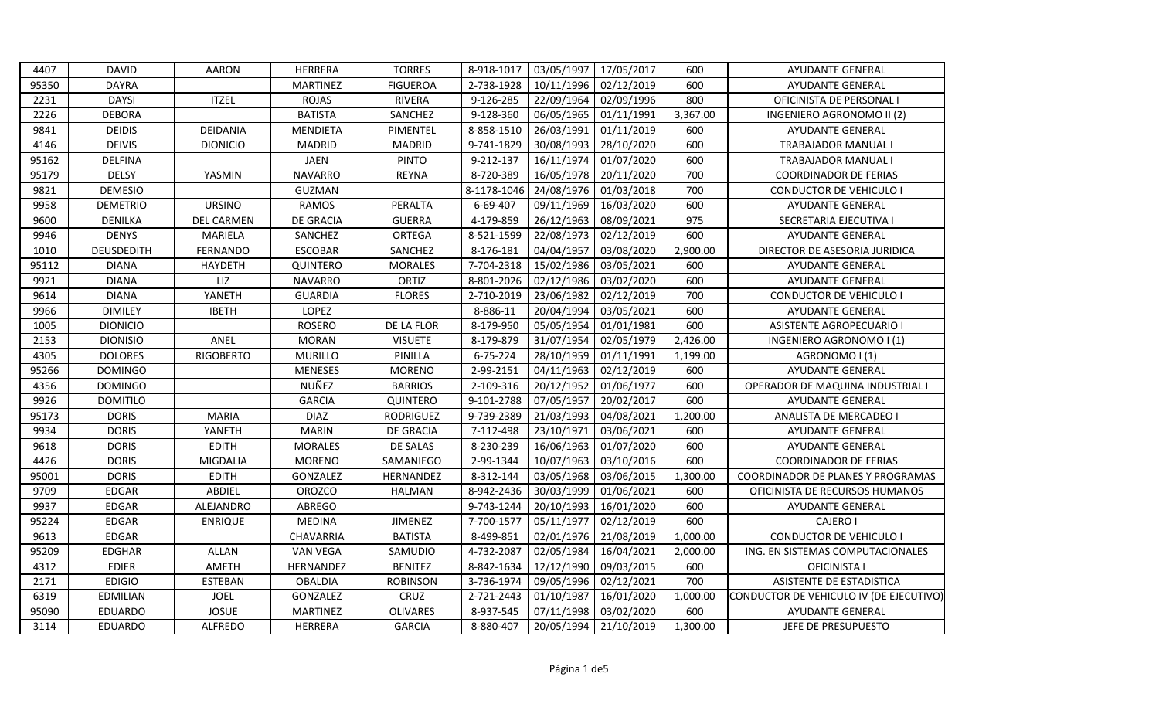| 4407  | <b>DAVID</b>    | <b>AARON</b>      | HERRERA          | <b>TORRES</b>    | 8-918-1017  | 03/05/1997 | 17/05/2017 | 600      | <b>AYUDANTE GENERAL</b>                 |
|-------|-----------------|-------------------|------------------|------------------|-------------|------------|------------|----------|-----------------------------------------|
| 95350 | <b>DAYRA</b>    |                   | <b>MARTINEZ</b>  | <b>FIGUEROA</b>  | 2-738-1928  | 10/11/1996 | 02/12/2019 | 600      | <b>AYUDANTE GENERAL</b>                 |
| 2231  | <b>DAYSI</b>    | <b>ITZEL</b>      | <b>ROJAS</b>     | <b>RIVERA</b>    | 9-126-285   | 22/09/1964 | 02/09/1996 | 800      | OFICINISTA DE PERSONAL I                |
| 2226  | <b>DEBORA</b>   |                   | <b>BATISTA</b>   | SANCHEZ          | 9-128-360   | 06/05/1965 | 01/11/1991 | 3,367.00 | INGENIERO AGRONOMO II (2)               |
| 9841  | <b>DEIDIS</b>   | DEIDANIA          | <b>MENDIETA</b>  | PIMENTEL         | 8-858-1510  | 26/03/1991 | 01/11/2019 | 600      | <b>AYUDANTE GENERAL</b>                 |
| 4146  | <b>DEIVIS</b>   | <b>DIONICIO</b>   | MADRID           | <b>MADRID</b>    | 9-741-1829  | 30/08/1993 | 28/10/2020 | 600      | <b>TRABAJADOR MANUAL I</b>              |
| 95162 | <b>DELFINA</b>  |                   | <b>JAEN</b>      | <b>PINTO</b>     | 9-212-137   | 16/11/1974 | 01/07/2020 | 600      | <b>TRABAJADOR MANUAL I</b>              |
| 95179 | <b>DELSY</b>    | YASMIN            | <b>NAVARRO</b>   | <b>REYNA</b>     | 8-720-389   | 16/05/1978 | 20/11/2020 | 700      | <b>COORDINADOR DE FERIAS</b>            |
| 9821  | <b>DEMESIO</b>  |                   | GUZMAN           |                  | 8-1178-1046 | 24/08/1976 | 01/03/2018 | 700      | CONDUCTOR DE VEHICULO I                 |
| 9958  | <b>DEMETRIO</b> | <b>URSINO</b>     | <b>RAMOS</b>     | PERALTA          | 6-69-407    | 09/11/1969 | 16/03/2020 | 600      | <b>AYUDANTE GENERAL</b>                 |
| 9600  | <b>DENILKA</b>  | <b>DEL CARMEN</b> | <b>DE GRACIA</b> | <b>GUERRA</b>    | 4-179-859   | 26/12/1963 | 08/09/2021 | 975      | SECRETARIA EJECUTIVA I                  |
| 9946  | <b>DENYS</b>    | MARIELA           | SANCHEZ          | ORTEGA           | 8-521-1599  | 22/08/1973 | 02/12/2019 | 600      | <b>AYUDANTE GENERAL</b>                 |
| 1010  | DEUSDEDITH      | <b>FERNANDO</b>   | <b>ESCOBAR</b>   | SANCHEZ          | 8-176-181   | 04/04/1957 | 03/08/2020 | 2,900.00 | DIRECTOR DE ASESORIA JURIDICA           |
| 95112 | <b>DIANA</b>    | <b>HAYDETH</b>    | QUINTERO         | <b>MORALES</b>   | 7-704-2318  | 15/02/1986 | 03/05/2021 | 600      | <b>AYUDANTE GENERAL</b>                 |
| 9921  | <b>DIANA</b>    | LIZ               | <b>NAVARRO</b>   | ORTIZ            | 8-801-2026  | 02/12/1986 | 03/02/2020 | 600      | AYUDANTE GENERAL                        |
| 9614  | <b>DIANA</b>    | YANETH            | <b>GUARDIA</b>   | <b>FLORES</b>    | 2-710-2019  | 23/06/1982 | 02/12/2019 | 700      | <b>CONDUCTOR DE VEHICULO I</b>          |
| 9966  | <b>DIMILEY</b>  | <b>IBETH</b>      | LOPEZ            |                  | 8-886-11    | 20/04/1994 | 03/05/2021 | 600      | <b>AYUDANTE GENERAL</b>                 |
| 1005  | <b>DIONICIO</b> |                   | <b>ROSERO</b>    | DE LA FLOR       | 8-179-950   | 05/05/1954 | 01/01/1981 | 600      | <b>ASISTENTE AGROPECUARIO I</b>         |
| 2153  | <b>DIONISIO</b> | ANEL              | <b>MORAN</b>     | <b>VISUETE</b>   | 8-179-879   | 31/07/1954 | 02/05/1979 | 2,426.00 | INGENIERO AGRONOMO I (1)                |
| 4305  | <b>DOLORES</b>  | <b>RIGOBERTO</b>  | <b>MURILLO</b>   | PINILLA          | 6-75-224    | 28/10/1959 | 01/11/1991 | 1,199.00 | AGRONOMO I (1)                          |
| 95266 | <b>DOMINGO</b>  |                   | <b>MENESES</b>   | <b>MORENO</b>    | 2-99-2151   | 04/11/1963 | 02/12/2019 | 600      | AYUDANTE GENERAL                        |
| 4356  | <b>DOMINGO</b>  |                   | NUÑEZ            | <b>BARRIOS</b>   | 2-109-316   | 20/12/1952 | 01/06/1977 | 600      | OPERADOR DE MAQUINA INDUSTRIAL          |
| 9926  | <b>DOMITILO</b> |                   | <b>GARCIA</b>    | QUINTERO         | 9-101-2788  | 07/05/1957 | 20/02/2017 | 600      | <b>AYUDANTE GENERAL</b>                 |
| 95173 | <b>DORIS</b>    | <b>MARIA</b>      | <b>DIAZ</b>      | <b>RODRIGUEZ</b> | 9-739-2389  | 21/03/1993 | 04/08/2021 | 1,200.00 | ANALISTA DE MERCADEO I                  |
| 9934  | <b>DORIS</b>    | YANETH            | <b>MARIN</b>     | <b>DE GRACIA</b> | 7-112-498   | 23/10/1971 | 03/06/2021 | 600      | <b>AYUDANTE GENERAL</b>                 |
| 9618  | <b>DORIS</b>    | <b>EDITH</b>      | <b>MORALES</b>   | DE SALAS         | 8-230-239   | 16/06/1963 | 01/07/2020 | 600      | <b>AYUDANTE GENERAL</b>                 |
| 4426  | <b>DORIS</b>    | <b>MIGDALIA</b>   | <b>MORENO</b>    | SAMANIEGO        | 2-99-1344   | 10/07/1963 | 03/10/2016 | 600      | <b>COORDINADOR DE FERIAS</b>            |
| 95001 | <b>DORIS</b>    | <b>EDITH</b>      | GONZALEZ         | HERNANDEZ        | 8-312-144   | 03/05/1968 | 03/06/2015 | 1,300.00 | COORDINADOR DE PLANES Y PROGRAMAS       |
| 9709  | <b>EDGAR</b>    | ABDIEL            | OROZCO           | <b>HALMAN</b>    | 8-942-2436  | 30/03/1999 | 01/06/2021 | 600      | OFICINISTA DE RECURSOS HUMANOS          |
| 9937  | <b>EDGAR</b>    | ALEJANDRO         | ABREGO           |                  | 9-743-1244  | 20/10/1993 | 16/01/2020 | 600      | AYUDANTE GENERAL                        |
| 95224 | <b>EDGAR</b>    | <b>ENRIQUE</b>    | <b>MEDINA</b>    | <b>JIMENEZ</b>   | 7-700-1577  | 05/11/1977 | 02/12/2019 | 600      | <b>CAJERO I</b>                         |
| 9613  | <b>EDGAR</b>    |                   | CHAVARRIA        | <b>BATISTA</b>   | 8-499-851   | 02/01/1976 | 21/08/2019 | 1,000.00 | <b>CONDUCTOR DE VEHICULO I</b>          |
| 95209 | <b>EDGHAR</b>   | <b>ALLAN</b>      | <b>VAN VEGA</b>  | SAMUDIO          | 4-732-2087  | 02/05/1984 | 16/04/2021 | 2,000.00 | ING. EN SISTEMAS COMPUTACIONALES        |
| 4312  | <b>EDIER</b>    | AMETH             | HERNANDEZ        | <b>BENITEZ</b>   | 8-842-1634  | 12/12/1990 | 09/03/2015 | 600      | OFICINISTA I                            |
| 2171  | <b>EDIGIO</b>   | <b>ESTEBAN</b>    | <b>OBALDIA</b>   | <b>ROBINSON</b>  | 3-736-1974  | 09/05/1996 | 02/12/2021 | 700      | ASISTENTE DE ESTADISTICA                |
| 6319  | <b>EDMILIAN</b> | <b>JOEL</b>       | GONZALEZ         | CRUZ             | 2-721-2443  | 01/10/1987 | 16/01/2020 | 1,000.00 | CONDUCTOR DE VEHICULO IV (DE EJECUTIVO) |
| 95090 | EDUARDO         | <b>JOSUE</b>      | <b>MARTINEZ</b>  | <b>OLIVARES</b>  | 8-937-545   | 07/11/1998 | 03/02/2020 | 600      | <b>AYUDANTE GENERAL</b>                 |
| 3114  | EDUARDO         | ALFREDO           | HERRERA          | <b>GARCIA</b>    | 8-880-407   | 20/05/1994 | 21/10/2019 | 1,300.00 | JEFE DE PRESUPUESTO                     |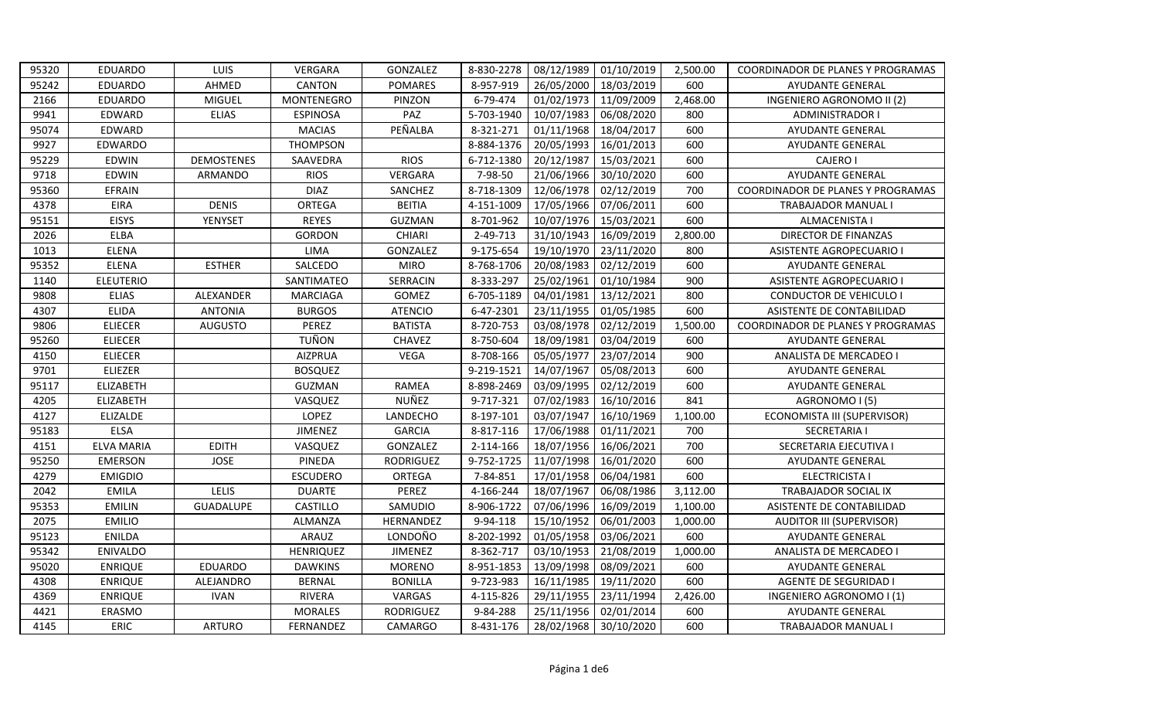| 95320 | <b>EDUARDO</b>    | LUIS           | VERGARA           | GONZALEZ         | 8-830-2278 | 08/12/1989 | 01/10/2019 | 2,500.00 | COORDINADOR DE PLANES Y PROGRAMAS |
|-------|-------------------|----------------|-------------------|------------------|------------|------------|------------|----------|-----------------------------------|
| 95242 | EDUARDO           | AHMED          | CANTON            | <b>POMARES</b>   | 8-957-919  | 26/05/2000 | 18/03/2019 | 600      | <b>AYUDANTE GENERAL</b>           |
| 2166  | EDUARDO           | MIGUEL         | <b>MONTENEGRO</b> | PINZON           | 6-79-474   | 01/02/1973 | 11/09/2009 | 2,468.00 | INGENIERO AGRONOMO II (2)         |
| 9941  | EDWARD            | <b>ELIAS</b>   | <b>ESPINOSA</b>   | PAZ              | 5-703-1940 | 10/07/1983 | 06/08/2020 | 800      | <b>ADMINISTRADOR I</b>            |
| 95074 | EDWARD            |                | <b>MACIAS</b>     | PEÑALBA          | 8-321-271  | 01/11/1968 | 18/04/2017 | 600      | <b>AYUDANTE GENERAL</b>           |
| 9927  | EDWARDO           |                | <b>THOMPSON</b>   |                  | 8-884-1376 | 20/05/1993 | 16/01/2013 | 600      | AYUDANTE GENERAL                  |
| 95229 | <b>EDWIN</b>      | DEMOSTENES     | SAAVEDRA          | <b>RIOS</b>      | 6-712-1380 | 20/12/1987 | 15/03/2021 | 600      | <b>CAJERO I</b>                   |
| 9718  | EDWIN             | ARMANDO        | <b>RIOS</b>       | <b>VERGARA</b>   | 7-98-50    | 21/06/1966 | 30/10/2020 | 600      | AYUDANTE GENERAL                  |
| 95360 | <b>EFRAIN</b>     |                | <b>DIAZ</b>       | SANCHEZ          | 8-718-1309 | 12/06/1978 | 02/12/2019 | 700      | COORDINADOR DE PLANES Y PROGRAMAS |
| 4378  | <b>EIRA</b>       | <b>DENIS</b>   | ORTEGA            | <b>BEITIA</b>    | 4-151-1009 | 17/05/1966 | 07/06/2011 | 600      | TRABAJADOR MANUAL I               |
| 95151 | <b>EISYS</b>      | YENYSET        | <b>REYES</b>      | <b>GUZMAN</b>    | 8-701-962  | 10/07/1976 | 15/03/2021 | 600      | ALMACENISTA I                     |
| 2026  | ELBA              |                | <b>GORDON</b>     | <b>CHIARI</b>    | 2-49-713   | 31/10/1943 | 16/09/2019 | 2,800.00 | DIRECTOR DE FINANZAS              |
| 1013  | <b>ELENA</b>      |                | LIMA              | GONZALEZ         | 9-175-654  | 19/10/1970 | 23/11/2020 | 800      | <b>ASISTENTE AGROPECUARIO I</b>   |
| 95352 | <b>ELENA</b>      | <b>ESTHER</b>  | SALCEDO           | <b>MIRO</b>      | 8-768-1706 | 20/08/1983 | 02/12/2019 | 600      | AYUDANTE GENERAL                  |
| 1140  | <b>ELEUTERIO</b>  |                | SANTIMATEO        | SERRACIN         | 8-333-297  | 25/02/1961 | 01/10/1984 | 900      | <b>ASISTENTE AGROPECUARIO I</b>   |
| 9808  | <b>ELIAS</b>      | ALEXANDER      | <b>MARCIAGA</b>   | GOMEZ            | 6-705-1189 | 04/01/1981 | 13/12/2021 | 800      | <b>CONDUCTOR DE VEHICULO I</b>    |
| 4307  | <b>ELIDA</b>      | <b>ANTONIA</b> | <b>BURGOS</b>     | <b>ATENCIO</b>   | 6-47-2301  | 23/11/1955 | 01/05/1985 | 600      | ASISTENTE DE CONTABILIDAD         |
| 9806  | <b>ELIECER</b>    | <b>AUGUSTO</b> | PEREZ             | <b>BATISTA</b>   | 8-720-753  | 03/08/1978 | 02/12/2019 | 1,500.00 | COORDINADOR DE PLANES Y PROGRAMAS |
| 95260 | <b>ELIECER</b>    |                | <b>TUÑON</b>      | <b>CHAVEZ</b>    | 8-750-604  | 18/09/1981 | 03/04/2019 | 600      | AYUDANTE GENERAL                  |
| 4150  | <b>ELIECER</b>    |                | <b>AIZPRUA</b>    | <b>VEGA</b>      | 8-708-166  | 05/05/1977 | 23/07/2014 | 900      | ANALISTA DE MERCADEO I            |
| 9701  | ELIEZER           |                | <b>BOSQUEZ</b>    |                  | 9-219-1521 | 14/07/1967 | 05/08/2013 | 600      | AYUDANTE GENERAL                  |
| 95117 | <b>ELIZABETH</b>  |                | GUZMAN            | <b>RAMEA</b>     | 8-898-2469 | 03/09/1995 | 02/12/2019 | 600      | <b>AYUDANTE GENERAL</b>           |
| 4205  | <b>ELIZABETH</b>  |                | VASQUEZ           | NUÑEZ            | 9-717-321  | 07/02/1983 | 16/10/2016 | 841      | AGRONOMO I (5)                    |
| 4127  | <b>ELIZALDE</b>   |                | LOPEZ             | LANDECHO         | 8-197-101  | 03/07/1947 | 16/10/1969 | 1,100.00 | ECONOMISTA III (SUPERVISOR)       |
| 95183 | <b>ELSA</b>       |                | JIMENEZ           | <b>GARCIA</b>    | 8-817-116  | 17/06/1988 | 01/11/2021 | 700      | <b>SECRETARIA I</b>               |
| 4151  | <b>ELVA MARIA</b> | <b>EDITH</b>   | VASQUEZ           | GONZALEZ         | 2-114-166  | 18/07/1956 | 16/06/2021 | 700      | SECRETARIA EJECUTIVA I            |
| 95250 | <b>EMERSON</b>    | <b>JOSE</b>    | PINEDA            | RODRIGUEZ        | 9-752-1725 | 11/07/1998 | 16/01/2020 | 600      | AYUDANTE GENERAL                  |
| 4279  | <b>EMIGDIO</b>    |                | <b>ESCUDERO</b>   | ORTEGA           | 7-84-851   | 17/01/1958 | 06/04/1981 | 600      | <b>ELECTRICISTA I</b>             |
| 2042  | <b>EMILA</b>      | LELIS          | <b>DUARTE</b>     | PEREZ            | 4-166-244  | 18/07/1967 | 06/08/1986 | 3,112.00 | TRABAJADOR SOCIAL IX              |
| 95353 | <b>EMILIN</b>     | GUADALUPE      | CASTILLO          | SAMUDIO          | 8-906-1722 | 07/06/1996 | 16/09/2019 | 1,100.00 | ASISTENTE DE CONTABILIDAD         |
| 2075  | <b>EMILIO</b>     |                | <b>ALMANZA</b>    | HERNANDEZ        | 9-94-118   | 15/10/1952 | 06/01/2003 | 1,000.00 | <b>AUDITOR III (SUPERVISOR)</b>   |
| 95123 | <b>ENILDA</b>     |                | ARAUZ             | LONDOÑO          | 8-202-1992 | 01/05/1958 | 03/06/2021 | 600      | <b>AYUDANTE GENERAL</b>           |
| 95342 | <b>ENIVALDO</b>   |                | <b>HENRIQUEZ</b>  | <b>JIMENEZ</b>   | 8-362-717  | 03/10/1953 | 21/08/2019 | 1,000.00 | ANALISTA DE MERCADEO I            |
| 95020 | <b>ENRIQUE</b>    | <b>EDUARDO</b> | <b>DAWKINS</b>    | <b>MORENO</b>    | 8-951-1853 | 13/09/1998 | 08/09/2021 | 600      | <b>AYUDANTE GENERAL</b>           |
| 4308  | <b>ENRIQUE</b>    | ALEJANDRO      | <b>BERNAL</b>     | <b>BONILLA</b>   | 9-723-983  | 16/11/1985 | 19/11/2020 | 600      | AGENTE DE SEGURIDAD I             |
| 4369  | <b>ENRIQUE</b>    | <b>IVAN</b>    | <b>RIVERA</b>     | VARGAS           | 4-115-826  | 29/11/1955 | 23/11/1994 | 2,426.00 | INGENIERO AGRONOMO I (1)          |
| 4421  | ERASMO            |                | <b>MORALES</b>    | <b>RODRIGUEZ</b> | 9-84-288   | 25/11/1956 | 02/01/2014 | 600      | AYUDANTE GENERAL                  |
| 4145  | <b>ERIC</b>       | <b>ARTURO</b>  | FERNANDEZ         | <b>CAMARGO</b>   | 8-431-176  | 28/02/1968 | 30/10/2020 | 600      | <b>TRABAJADOR MANUALI</b>         |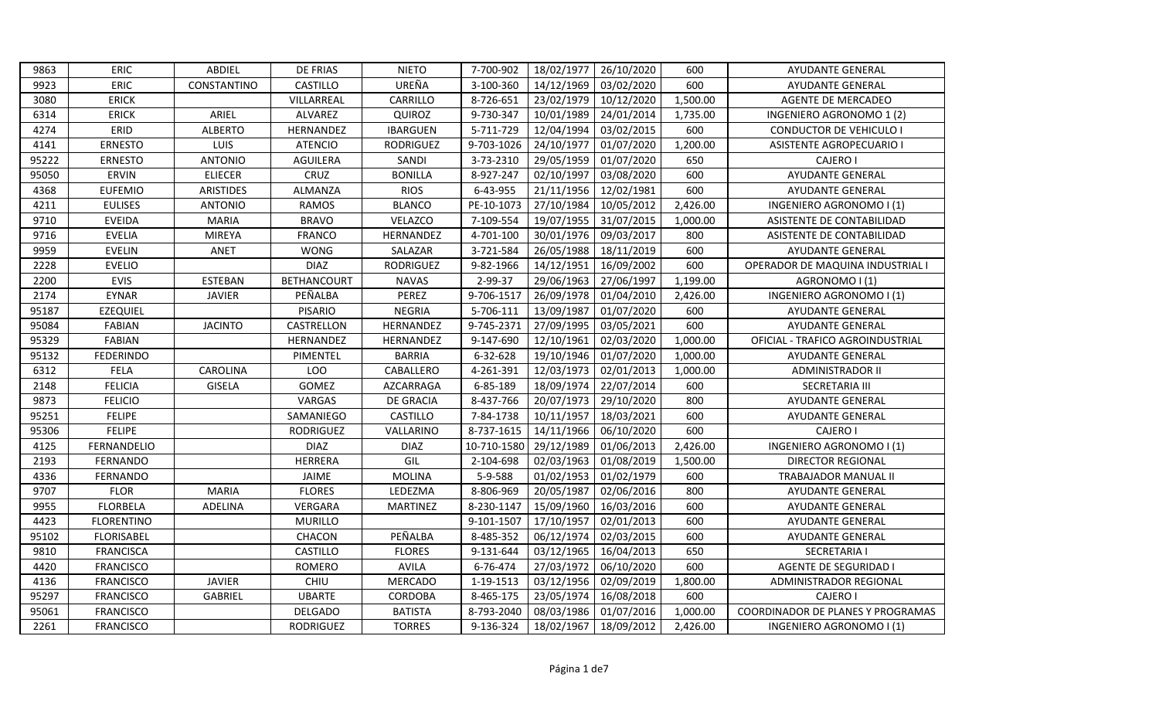| 9863  | <b>ERIC</b>       | ABDIEL           | <b>DE FRIAS</b>    | <b>NIETO</b>     | 7-700-902   | 18/02/1977 | 26/10/2020 | 600      | <b>AYUDANTE GENERAL</b>           |
|-------|-------------------|------------------|--------------------|------------------|-------------|------------|------------|----------|-----------------------------------|
| 9923  | <b>ERIC</b>       | CONSTANTINO      | CASTILLO           | UREÑA            | 3-100-360   | 14/12/1969 | 03/02/2020 | 600      | AYUDANTE GENERAL                  |
| 3080  | <b>ERICK</b>      |                  | VILLARREAL         | CARRILLO         | 8-726-651   | 23/02/1979 | 10/12/2020 | 1,500.00 | <b>AGENTE DE MERCADEO</b>         |
| 6314  | ERICK             | ARIEL            | <b>ALVAREZ</b>     | QUIROZ           | 9-730-347   | 10/01/1989 | 24/01/2014 | 1,735.00 | INGENIERO AGRONOMO 1 (2)          |
| 4274  | ERID              | <b>ALBERTO</b>   | HERNANDEZ          | <b>IBARGUEN</b>  | 5-711-729   | 12/04/1994 | 03/02/2015 | 600      | <b>CONDUCTOR DE VEHICULO I</b>    |
| 4141  | <b>ERNESTO</b>    | LUIS             | <b>ATENCIO</b>     | <b>RODRIGUEZ</b> | 9-703-1026  | 24/10/1977 | 01/07/2020 | 1,200.00 | <b>ASISTENTE AGROPECUARIO I</b>   |
| 95222 | <b>ERNESTO</b>    | <b>ANTONIO</b>   | <b>AGUILERA</b>    | SANDI            | 3-73-2310   | 29/05/1959 | 01/07/2020 | 650      | <b>CAJERO I</b>                   |
| 95050 | ERVIN             | <b>ELIECER</b>   | CRUZ               | <b>BONILLA</b>   | 8-927-247   | 02/10/1997 | 03/08/2020 | 600      | AYUDANTE GENERAL                  |
| 4368  | <b>EUFEMIO</b>    | <b>ARISTIDES</b> | ALMANZA            | <b>RIOS</b>      | 6-43-955    | 21/11/1956 | 12/02/1981 | 600      | <b>AYUDANTE GENERAL</b>           |
| 4211  | <b>EULISES</b>    | <b>ANTONIO</b>   | <b>RAMOS</b>       | <b>BLANCO</b>    | PE-10-1073  | 27/10/1984 | 10/05/2012 | 2,426.00 | INGENIERO AGRONOMO I (1)          |
| 9710  | <b>EVEIDA</b>     | <b>MARIA</b>     | <b>BRAVO</b>       | VELAZCO          | 7-109-554   | 19/07/1955 | 31/07/2015 | 1,000.00 | ASISTENTE DE CONTABILIDAD         |
| 9716  | <b>EVELIA</b>     | <b>MIREYA</b>    | <b>FRANCO</b>      | HERNANDEZ        | 4-701-100   | 30/01/1976 | 09/03/2017 | 800      | ASISTENTE DE CONTABILIDAD         |
| 9959  | <b>EVELIN</b>     | <b>ANET</b>      | <b>WONG</b>        | SALAZAR          | 3-721-584   | 26/05/1988 | 18/11/2019 | 600      | <b>AYUDANTE GENERAL</b>           |
| 2228  | <b>EVELIO</b>     |                  | <b>DIAZ</b>        | <b>RODRIGUEZ</b> | 9-82-1966   | 14/12/1951 | 16/09/2002 | 600      | OPERADOR DE MAQUINA INDUSTRIAL    |
| 2200  | <b>EVIS</b>       | <b>ESTEBAN</b>   | <b>BETHANCOURT</b> | <b>NAVAS</b>     | 2-99-37     | 29/06/1963 | 27/06/1997 | 1,199.00 | AGRONOMO I (1)                    |
| 2174  | <b>EYNAR</b>      | <b>JAVIER</b>    | PEÑALBA            | PEREZ            | 9-706-1517  | 26/09/1978 | 01/04/2010 | 2,426.00 | INGENIERO AGRONOMO I (1)          |
| 95187 | <b>EZEQUIEL</b>   |                  | <b>PISARIO</b>     | <b>NEGRIA</b>    | 5-706-111   | 13/09/1987 | 01/07/2020 | 600      | AYUDANTE GENERAL                  |
| 95084 | <b>FABIAN</b>     | <b>JACINTO</b>   | CASTRELLON         | HERNANDEZ        | 9-745-2371  | 27/09/1995 | 03/05/2021 | 600      | AYUDANTE GENERAL                  |
| 95329 | <b>FABIAN</b>     |                  | HERNANDEZ          | HERNANDEZ        | 9-147-690   | 12/10/1961 | 02/03/2020 | 1,000.00 | OFICIAL - TRAFICO AGROINDUSTRIAL  |
| 95132 | <b>FEDERINDO</b>  |                  | PIMENTEL           | <b>BARRIA</b>    | 6-32-628    | 19/10/1946 | 01/07/2020 | 1,000.00 | <b>AYUDANTE GENERAL</b>           |
| 6312  | FELA              | CAROLINA         | LOO                | CABALLERO        | 4-261-391   | 12/03/1973 | 02/01/2013 | 1,000.00 | <b>ADMINISTRADOR II</b>           |
| 2148  | <b>FELICIA</b>    | <b>GISELA</b>    | GOMEZ              | AZCARRAGA        | 6-85-189    | 18/09/1974 | 22/07/2014 | 600      | SECRETARIA III                    |
| 9873  | <b>FELICIO</b>    |                  | VARGAS             | <b>DE GRACIA</b> | 8-437-766   | 20/07/1973 | 29/10/2020 | 800      | AYUDANTE GENERAL                  |
| 95251 | <b>FELIPE</b>     |                  | SAMANIEGO          | <b>CASTILLO</b>  | 7-84-1738   | 10/11/1957 | 18/03/2021 | 600      | <b>AYUDANTE GENERAL</b>           |
| 95306 | <b>FELIPE</b>     |                  | <b>RODRIGUEZ</b>   | VALLARINO        | 8-737-1615  | 14/11/1966 | 06/10/2020 | 600      | CAJERO I                          |
| 4125  | FERNANDELIO       |                  | <b>DIAZ</b>        | <b>DIAZ</b>      | 10-710-1580 | 29/12/1989 | 01/06/2013 | 2,426.00 | INGENIERO AGRONOMO I (1)          |
| 2193  | FERNANDO          |                  | HERRERA            | GIL              | 2-104-698   | 02/03/1963 | 01/08/2019 | 1,500.00 | DIRECTOR REGIONAL                 |
| 4336  | FERNANDO          |                  | JAIME              | <b>MOLINA</b>    | 5-9-588     | 01/02/1953 | 01/02/1979 | 600      | <b>TRABAJADOR MANUAL II</b>       |
| 9707  | <b>FLOR</b>       | <b>MARIA</b>     | <b>FLORES</b>      | LEDEZMA          | 8-806-969   | 20/05/1987 | 02/06/2016 | 800      | AYUDANTE GENERAL                  |
| 9955  | <b>FLORBELA</b>   | ADELINA          | VERGARA            | <b>MARTINEZ</b>  | 8-230-1147  | 15/09/1960 | 16/03/2016 | 600      | AYUDANTE GENERAL                  |
| 4423  | <b>FLORENTINO</b> |                  | <b>MURILLO</b>     |                  | 9-101-1507  | 17/10/1957 | 02/01/2013 | 600      | AYUDANTE GENERAL                  |
| 95102 | <b>FLORISABEL</b> |                  | CHACON             | PEÑALBA          | 8-485-352   | 06/12/1974 | 02/03/2015 | 600      | AYUDANTE GENERAL                  |
| 9810  | <b>FRANCISCA</b>  |                  | CASTILLO           | <b>FLORES</b>    | 9-131-644   | 03/12/1965 | 16/04/2013 | 650      | <b>SECRETARIA I</b>               |
| 4420  | <b>FRANCISCO</b>  |                  | <b>ROMERO</b>      | <b>AVILA</b>     | 6-76-474    | 27/03/1972 | 06/10/2020 | 600      | <b>AGENTE DE SEGURIDAD I</b>      |
| 4136  | <b>FRANCISCO</b>  | <b>JAVIER</b>    | <b>CHIU</b>        | <b>MERCADO</b>   | 1-19-1513   | 03/12/1956 | 02/09/2019 | 1,800.00 | ADMINISTRADOR REGIONAL            |
| 95297 | <b>FRANCISCO</b>  | <b>GABRIEL</b>   | <b>UBARTE</b>      | CORDOBA          | 8-465-175   | 23/05/1974 | 16/08/2018 | 600      | CAJERO I                          |
| 95061 | <b>FRANCISCO</b>  |                  | DELGADO            | <b>BATISTA</b>   | 8-793-2040  | 08/03/1986 | 01/07/2016 | 1,000.00 | COORDINADOR DE PLANES Y PROGRAMAS |
| 2261  | <b>FRANCISCO</b>  |                  | <b>RODRIGUEZ</b>   | <b>TORRES</b>    | 9-136-324   | 18/02/1967 | 18/09/2012 | 2,426.00 | INGENIERO AGRONOMO I (1)          |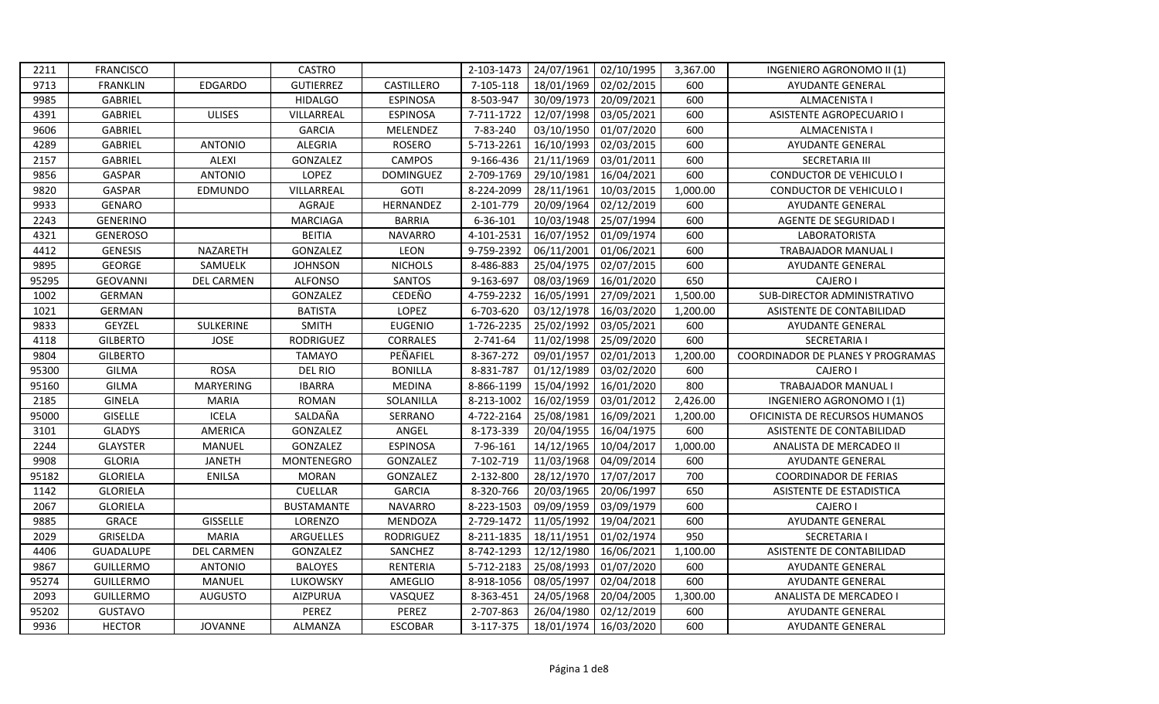| 24/07/1961<br>2211<br><b>FRANCISCO</b><br><b>CASTRO</b><br>2-103-1473<br>02/10/1995<br>3,367.00<br>INGENIERO AGRONOMO II (1)<br>9713<br><b>FRANKLIN</b><br><b>GUTIERREZ</b><br>CASTILLERO<br>7-105-118<br>18/01/1969<br>02/02/2015<br>600<br><b>EDGARDO</b><br><b>AYUDANTE GENERAL</b><br>600<br>GABRIEL<br><b>HIDALGO</b><br>8-503-947<br>20/09/2021<br>9985<br><b>ESPINOSA</b><br>30/09/1973<br><b>ALMACENISTA I</b><br>600<br>4391<br>GABRIEL<br><b>ULISES</b><br>VILLARREAL<br><b>ESPINOSA</b><br>7-711-1722<br>12/07/1998<br>03/05/2021<br><b>ASISTENTE AGROPECUARIO I</b><br>600<br>9606<br>GABRIEL<br><b>GARCIA</b><br>MELENDEZ<br>7-83-240<br>03/10/1950<br>01/07/2020<br><b>ALMACENISTA I</b><br>600<br>4289<br>GABRIEL<br><b>ANTONIO</b><br><b>ALEGRIA</b><br><b>ROSERO</b><br>5-713-2261<br>16/10/1993<br>02/03/2015<br>AYUDANTE GENERAL<br>2157<br>GABRIEL<br><b>ALEXI</b><br>GONZALEZ<br><b>CAMPOS</b><br>9-166-436<br>21/11/1969<br>03/01/2011<br>600<br><b>SECRETARIA III</b><br>600<br>9856<br>GASPAR<br><b>ANTONIO</b><br>LOPEZ<br><b>DOMINGUEZ</b><br>2-709-1769<br>29/10/1981<br><b>CONDUCTOR DE VEHICULO I</b><br>16/04/2021<br>9820<br><b>GASPAR</b><br>EDMUNDO<br>VILLARREAL<br><b>GOTI</b><br>8-224-2099<br>28/11/1961<br>10/03/2015<br>1,000.00<br><b>CONDUCTOR DE VEHICULO I</b><br>AGRAJE<br>HERNANDEZ<br>2-101-779<br>20/09/1964<br>02/12/2019<br>600<br>9933<br><b>GENARO</b><br><b>AYUDANTE GENERAL</b><br>6-36-101<br>10/03/1948<br>25/07/1994<br>600<br>2243<br><b>GENERINO</b><br><b>MARCIAGA</b><br><b>BARRIA</b><br>AGENTE DE SEGURIDAD I<br><b>BEITIA</b><br>16/07/1952<br>600<br>GENEROSO<br><b>NAVARRO</b><br>4-101-2531<br>01/09/1974<br>LABORATORISTA<br>4321<br>9-759-2392<br>GENESIS<br>NAZARETH<br>GONZALEZ<br>LEON<br>06/11/2001<br>600<br>4412<br>01/06/2021<br><b>TRABAJADOR MANUAL I</b><br>9895<br>GEORGE<br><b>NICHOLS</b><br>8-486-883<br>25/04/1975<br>600<br>SAMUELK<br><b>JOHNSON</b><br>02/07/2015<br>AYUDANTE GENERAL<br>95295<br><b>GEOVANNI</b><br><b>DEL CARMEN</b><br><b>ALFONSO</b><br>SANTOS<br>9-163-697<br>08/03/1969<br>16/01/2020<br>650<br>CAJERO I<br>CEDEÑO<br>4-759-2232<br>16/05/1991<br>1002<br><b>GERMAN</b><br>GONZALEZ<br>27/09/2021<br>1,500.00<br>SUB-DIRECTOR ADMINISTRATIVO<br><b>GERMAN</b><br><b>BATISTA</b><br>LOPEZ<br>6-703-620<br>03/12/1978<br>ASISTENTE DE CONTABILIDAD<br>1021<br>16/03/2020<br>1,200.00<br>GEYZEL<br>SULKERINE<br>1-726-2235<br>25/02/1992<br>600<br>9833<br><b>SMITH</b><br><b>EUGENIO</b><br>03/05/2021<br><b>AYUDANTE GENERAL</b><br>11/02/1998<br>600<br>4118<br><b>GILBERTO</b><br><b>JOSE</b><br>RODRIGUEZ<br><b>CORRALES</b><br>2-741-64<br>25/09/2020<br><b>SECRETARIA I</b><br>PEÑAFIEL<br>09/01/1957<br>9804<br><b>GILBERTO</b><br><b>TAMAYO</b><br>8-367-272<br>02/01/2013<br>1,200.00<br>95300<br><b>ROSA</b><br><b>DEL RIO</b><br><b>BONILLA</b><br>8-831-787<br>01/12/1989<br>03/02/2020<br>600<br>CAJERO I<br><b>GILMA</b><br><b>MARYERING</b><br>15/04/1992<br>800<br>95160<br><b>GILMA</b><br><b>IBARRA</b><br><b>MEDINA</b><br>8-866-1199<br>16/01/2020<br>TRABAJADOR MANUAL I<br>8-213-1002<br>16/02/1959<br>2185<br><b>GINELA</b><br><b>MARIA</b><br><b>ROMAN</b><br>SOLANILLA<br>03/01/2012<br>2,426.00<br>INGENIERO AGRONOMO I (1)<br>95000<br><b>GISELLE</b><br><b>ICELA</b><br>SALDAÑA<br>SERRANO<br>4-722-2164<br>25/08/1981<br>16/09/2021<br>1,200.00<br>OFICINISTA DE RECURSOS HUMANOS<br>600<br>3101<br><b>GLADYS</b><br>AMERICA<br>GONZALEZ<br>ANGEL<br>8-173-339<br>20/04/1955<br>16/04/1975<br>ASISTENTE DE CONTABILIDAD<br>7-96-161<br>14/12/1965<br>1,000.00<br>2244<br><b>GLAYSTER</b><br>MANUEL<br>GONZALEZ<br><b>ESPINOSA</b><br>10/04/2017<br>ANALISTA DE MERCADEO II<br>11/03/1968<br>600<br>9908<br><b>GLORIA</b><br><b>JANETH</b><br>MONTENEGRO<br>GONZALEZ<br>7-102-719<br>04/09/2014<br><b>AYUDANTE GENERAL</b><br>95182<br><b>GLORIELA</b><br><b>MORAN</b><br>GONZALEZ<br>2-132-800<br>28/12/1970<br>17/07/2017<br>700<br><b>ENILSA</b><br><b>COORDINADOR DE FERIAS</b><br>650<br>1142<br><b>GLORIELA</b><br>CUELLAR<br><b>GARCIA</b><br>8-320-766<br>20/03/1965<br>20/06/1997<br>ASISTENTE DE ESTADISTICA<br><b>NAVARRO</b><br>8-223-1503<br>09/09/1959<br>03/09/1979<br>600<br>2067<br><b>GLORIELA</b><br><b>BUSTAMANTE</b><br>CAJERO I<br><b>GRACE</b><br><b>GISSELLE</b><br>11/05/1992<br>600<br>9885<br>LORENZO<br>MENDOZA<br>2-729-1472<br>19/04/2021<br>AYUDANTE GENERAL<br>950<br>GRISELDA<br><b>MARIA</b><br>8-211-1835<br>18/11/1951<br>01/02/1974<br>2029<br>ARGUELLES<br><b>RODRIGUEZ</b><br><b>SECRETARIA I</b><br>SANCHEZ<br>8-742-1293<br>12/12/1980<br>1,100.00<br>4406<br><b>GUADALUPE</b><br><b>DEL CARMEN</b><br>GONZALEZ<br>16/06/2021<br>ASISTENTE DE CONTABILIDAD<br>5-712-2183<br>9867<br><b>ANTONIO</b><br><b>BALOYES</b><br>RENTERIA<br>25/08/1993<br>01/07/2020<br>600<br><b>GUILLERMO</b><br><b>AYUDANTE GENERAL</b><br>600<br>95274<br><b>GUILLERMO</b><br>MANUEL<br>LUKOWSKY<br>AMEGLIO<br>8-918-1056<br>08/05/1997<br>02/04/2018<br><b>AYUDANTE GENERAL</b><br><b>GUILLERMO</b><br>8-363-451<br>1,300.00<br>2093<br><b>AUGUSTO</b><br><b>AIZPURUA</b><br>VASQUEZ<br>24/05/1968<br>20/04/2005<br>ANALISTA DE MERCADEO I<br>95202<br>PEREZ<br>PEREZ<br>2-707-863<br>02/12/2019<br>600<br><b>GUSTAVO</b><br>26/04/1980<br><b>AYUDANTE GENERAL</b><br>600<br>9936<br><b>HECTOR</b><br><b>JOVANNE</b><br>ALMANZA<br><b>ESCOBAR</b><br>3-117-375<br>18/01/1974<br>16/03/2020<br><b>AYUDANTE GENERAL</b> |  |  |  |  |                                   |
|-----------------------------------------------------------------------------------------------------------------------------------------------------------------------------------------------------------------------------------------------------------------------------------------------------------------------------------------------------------------------------------------------------------------------------------------------------------------------------------------------------------------------------------------------------------------------------------------------------------------------------------------------------------------------------------------------------------------------------------------------------------------------------------------------------------------------------------------------------------------------------------------------------------------------------------------------------------------------------------------------------------------------------------------------------------------------------------------------------------------------------------------------------------------------------------------------------------------------------------------------------------------------------------------------------------------------------------------------------------------------------------------------------------------------------------------------------------------------------------------------------------------------------------------------------------------------------------------------------------------------------------------------------------------------------------------------------------------------------------------------------------------------------------------------------------------------------------------------------------------------------------------------------------------------------------------------------------------------------------------------------------------------------------------------------------------------------------------------------------------------------------------------------------------------------------------------------------------------------------------------------------------------------------------------------------------------------------------------------------------------------------------------------------------------------------------------------------------------------------------------------------------------------------------------------------------------------------------------------------------------------------------------------------------------------------------------------------------------------------------------------------------------------------------------------------------------------------------------------------------------------------------------------------------------------------------------------------------------------------------------------------------------------------------------------------------------------------------------------------------------------------------------------------------------------------------------------------------------------------------------------------------------------------------------------------------------------------------------------------------------------------------------------------------------------------------------------------------------------------------------------------------------------------------------------------------------------------------------------------------------------------------------------------------------------------------------------------------------------------------------------------------------------------------------------------------------------------------------------------------------------------------------------------------------------------------------------------------------------------------------------------------------------------------------------------------------------------------------------------------------------------------------------------------------------------------------------------------------------------------------------------------------------------------------------------------------------------------------------------------------------------------------------------------------------------------------------------------------------------------------------------------------------------------------------------------------------------------------------------------------------------------------------------------------------------------------------------------------------------------------------------------------------------------------------------------------------------------------------------------------------------------------------------------------------------------------------------------------------------------------------------------------------------------------------------------------------------------------------------------------------------------------------------------------------------------------------------------------------------------------------------------------------------------------------------------------------------------------------------------------------------------------------------------------------------------------------------------------------------|--|--|--|--|-----------------------------------|
|                                                                                                                                                                                                                                                                                                                                                                                                                                                                                                                                                                                                                                                                                                                                                                                                                                                                                                                                                                                                                                                                                                                                                                                                                                                                                                                                                                                                                                                                                                                                                                                                                                                                                                                                                                                                                                                                                                                                                                                                                                                                                                                                                                                                                                                                                                                                                                                                                                                                                                                                                                                                                                                                                                                                                                                                                                                                                                                                                                                                                                                                                                                                                                                                                                                                                                                                                                                                                                                                                                                                                                                                                                                                                                                                                                                                                                                                                                                                                                                                                                                                                                                                                                                                                                                                                                                                                                                                                                                                                                                                                                                                                                                                                                                                                                                                                                                                                                                                                                                                                                                                                                                                                                                                                                                                                                                                                                                                                                                                                   |  |  |  |  |                                   |
|                                                                                                                                                                                                                                                                                                                                                                                                                                                                                                                                                                                                                                                                                                                                                                                                                                                                                                                                                                                                                                                                                                                                                                                                                                                                                                                                                                                                                                                                                                                                                                                                                                                                                                                                                                                                                                                                                                                                                                                                                                                                                                                                                                                                                                                                                                                                                                                                                                                                                                                                                                                                                                                                                                                                                                                                                                                                                                                                                                                                                                                                                                                                                                                                                                                                                                                                                                                                                                                                                                                                                                                                                                                                                                                                                                                                                                                                                                                                                                                                                                                                                                                                                                                                                                                                                                                                                                                                                                                                                                                                                                                                                                                                                                                                                                                                                                                                                                                                                                                                                                                                                                                                                                                                                                                                                                                                                                                                                                                                                   |  |  |  |  |                                   |
|                                                                                                                                                                                                                                                                                                                                                                                                                                                                                                                                                                                                                                                                                                                                                                                                                                                                                                                                                                                                                                                                                                                                                                                                                                                                                                                                                                                                                                                                                                                                                                                                                                                                                                                                                                                                                                                                                                                                                                                                                                                                                                                                                                                                                                                                                                                                                                                                                                                                                                                                                                                                                                                                                                                                                                                                                                                                                                                                                                                                                                                                                                                                                                                                                                                                                                                                                                                                                                                                                                                                                                                                                                                                                                                                                                                                                                                                                                                                                                                                                                                                                                                                                                                                                                                                                                                                                                                                                                                                                                                                                                                                                                                                                                                                                                                                                                                                                                                                                                                                                                                                                                                                                                                                                                                                                                                                                                                                                                                                                   |  |  |  |  |                                   |
|                                                                                                                                                                                                                                                                                                                                                                                                                                                                                                                                                                                                                                                                                                                                                                                                                                                                                                                                                                                                                                                                                                                                                                                                                                                                                                                                                                                                                                                                                                                                                                                                                                                                                                                                                                                                                                                                                                                                                                                                                                                                                                                                                                                                                                                                                                                                                                                                                                                                                                                                                                                                                                                                                                                                                                                                                                                                                                                                                                                                                                                                                                                                                                                                                                                                                                                                                                                                                                                                                                                                                                                                                                                                                                                                                                                                                                                                                                                                                                                                                                                                                                                                                                                                                                                                                                                                                                                                                                                                                                                                                                                                                                                                                                                                                                                                                                                                                                                                                                                                                                                                                                                                                                                                                                                                                                                                                                                                                                                                                   |  |  |  |  |                                   |
|                                                                                                                                                                                                                                                                                                                                                                                                                                                                                                                                                                                                                                                                                                                                                                                                                                                                                                                                                                                                                                                                                                                                                                                                                                                                                                                                                                                                                                                                                                                                                                                                                                                                                                                                                                                                                                                                                                                                                                                                                                                                                                                                                                                                                                                                                                                                                                                                                                                                                                                                                                                                                                                                                                                                                                                                                                                                                                                                                                                                                                                                                                                                                                                                                                                                                                                                                                                                                                                                                                                                                                                                                                                                                                                                                                                                                                                                                                                                                                                                                                                                                                                                                                                                                                                                                                                                                                                                                                                                                                                                                                                                                                                                                                                                                                                                                                                                                                                                                                                                                                                                                                                                                                                                                                                                                                                                                                                                                                                                                   |  |  |  |  |                                   |
|                                                                                                                                                                                                                                                                                                                                                                                                                                                                                                                                                                                                                                                                                                                                                                                                                                                                                                                                                                                                                                                                                                                                                                                                                                                                                                                                                                                                                                                                                                                                                                                                                                                                                                                                                                                                                                                                                                                                                                                                                                                                                                                                                                                                                                                                                                                                                                                                                                                                                                                                                                                                                                                                                                                                                                                                                                                                                                                                                                                                                                                                                                                                                                                                                                                                                                                                                                                                                                                                                                                                                                                                                                                                                                                                                                                                                                                                                                                                                                                                                                                                                                                                                                                                                                                                                                                                                                                                                                                                                                                                                                                                                                                                                                                                                                                                                                                                                                                                                                                                                                                                                                                                                                                                                                                                                                                                                                                                                                                                                   |  |  |  |  |                                   |
|                                                                                                                                                                                                                                                                                                                                                                                                                                                                                                                                                                                                                                                                                                                                                                                                                                                                                                                                                                                                                                                                                                                                                                                                                                                                                                                                                                                                                                                                                                                                                                                                                                                                                                                                                                                                                                                                                                                                                                                                                                                                                                                                                                                                                                                                                                                                                                                                                                                                                                                                                                                                                                                                                                                                                                                                                                                                                                                                                                                                                                                                                                                                                                                                                                                                                                                                                                                                                                                                                                                                                                                                                                                                                                                                                                                                                                                                                                                                                                                                                                                                                                                                                                                                                                                                                                                                                                                                                                                                                                                                                                                                                                                                                                                                                                                                                                                                                                                                                                                                                                                                                                                                                                                                                                                                                                                                                                                                                                                                                   |  |  |  |  |                                   |
|                                                                                                                                                                                                                                                                                                                                                                                                                                                                                                                                                                                                                                                                                                                                                                                                                                                                                                                                                                                                                                                                                                                                                                                                                                                                                                                                                                                                                                                                                                                                                                                                                                                                                                                                                                                                                                                                                                                                                                                                                                                                                                                                                                                                                                                                                                                                                                                                                                                                                                                                                                                                                                                                                                                                                                                                                                                                                                                                                                                                                                                                                                                                                                                                                                                                                                                                                                                                                                                                                                                                                                                                                                                                                                                                                                                                                                                                                                                                                                                                                                                                                                                                                                                                                                                                                                                                                                                                                                                                                                                                                                                                                                                                                                                                                                                                                                                                                                                                                                                                                                                                                                                                                                                                                                                                                                                                                                                                                                                                                   |  |  |  |  |                                   |
|                                                                                                                                                                                                                                                                                                                                                                                                                                                                                                                                                                                                                                                                                                                                                                                                                                                                                                                                                                                                                                                                                                                                                                                                                                                                                                                                                                                                                                                                                                                                                                                                                                                                                                                                                                                                                                                                                                                                                                                                                                                                                                                                                                                                                                                                                                                                                                                                                                                                                                                                                                                                                                                                                                                                                                                                                                                                                                                                                                                                                                                                                                                                                                                                                                                                                                                                                                                                                                                                                                                                                                                                                                                                                                                                                                                                                                                                                                                                                                                                                                                                                                                                                                                                                                                                                                                                                                                                                                                                                                                                                                                                                                                                                                                                                                                                                                                                                                                                                                                                                                                                                                                                                                                                                                                                                                                                                                                                                                                                                   |  |  |  |  |                                   |
|                                                                                                                                                                                                                                                                                                                                                                                                                                                                                                                                                                                                                                                                                                                                                                                                                                                                                                                                                                                                                                                                                                                                                                                                                                                                                                                                                                                                                                                                                                                                                                                                                                                                                                                                                                                                                                                                                                                                                                                                                                                                                                                                                                                                                                                                                                                                                                                                                                                                                                                                                                                                                                                                                                                                                                                                                                                                                                                                                                                                                                                                                                                                                                                                                                                                                                                                                                                                                                                                                                                                                                                                                                                                                                                                                                                                                                                                                                                                                                                                                                                                                                                                                                                                                                                                                                                                                                                                                                                                                                                                                                                                                                                                                                                                                                                                                                                                                                                                                                                                                                                                                                                                                                                                                                                                                                                                                                                                                                                                                   |  |  |  |  |                                   |
|                                                                                                                                                                                                                                                                                                                                                                                                                                                                                                                                                                                                                                                                                                                                                                                                                                                                                                                                                                                                                                                                                                                                                                                                                                                                                                                                                                                                                                                                                                                                                                                                                                                                                                                                                                                                                                                                                                                                                                                                                                                                                                                                                                                                                                                                                                                                                                                                                                                                                                                                                                                                                                                                                                                                                                                                                                                                                                                                                                                                                                                                                                                                                                                                                                                                                                                                                                                                                                                                                                                                                                                                                                                                                                                                                                                                                                                                                                                                                                                                                                                                                                                                                                                                                                                                                                                                                                                                                                                                                                                                                                                                                                                                                                                                                                                                                                                                                                                                                                                                                                                                                                                                                                                                                                                                                                                                                                                                                                                                                   |  |  |  |  |                                   |
|                                                                                                                                                                                                                                                                                                                                                                                                                                                                                                                                                                                                                                                                                                                                                                                                                                                                                                                                                                                                                                                                                                                                                                                                                                                                                                                                                                                                                                                                                                                                                                                                                                                                                                                                                                                                                                                                                                                                                                                                                                                                                                                                                                                                                                                                                                                                                                                                                                                                                                                                                                                                                                                                                                                                                                                                                                                                                                                                                                                                                                                                                                                                                                                                                                                                                                                                                                                                                                                                                                                                                                                                                                                                                                                                                                                                                                                                                                                                                                                                                                                                                                                                                                                                                                                                                                                                                                                                                                                                                                                                                                                                                                                                                                                                                                                                                                                                                                                                                                                                                                                                                                                                                                                                                                                                                                                                                                                                                                                                                   |  |  |  |  |                                   |
|                                                                                                                                                                                                                                                                                                                                                                                                                                                                                                                                                                                                                                                                                                                                                                                                                                                                                                                                                                                                                                                                                                                                                                                                                                                                                                                                                                                                                                                                                                                                                                                                                                                                                                                                                                                                                                                                                                                                                                                                                                                                                                                                                                                                                                                                                                                                                                                                                                                                                                                                                                                                                                                                                                                                                                                                                                                                                                                                                                                                                                                                                                                                                                                                                                                                                                                                                                                                                                                                                                                                                                                                                                                                                                                                                                                                                                                                                                                                                                                                                                                                                                                                                                                                                                                                                                                                                                                                                                                                                                                                                                                                                                                                                                                                                                                                                                                                                                                                                                                                                                                                                                                                                                                                                                                                                                                                                                                                                                                                                   |  |  |  |  |                                   |
|                                                                                                                                                                                                                                                                                                                                                                                                                                                                                                                                                                                                                                                                                                                                                                                                                                                                                                                                                                                                                                                                                                                                                                                                                                                                                                                                                                                                                                                                                                                                                                                                                                                                                                                                                                                                                                                                                                                                                                                                                                                                                                                                                                                                                                                                                                                                                                                                                                                                                                                                                                                                                                                                                                                                                                                                                                                                                                                                                                                                                                                                                                                                                                                                                                                                                                                                                                                                                                                                                                                                                                                                                                                                                                                                                                                                                                                                                                                                                                                                                                                                                                                                                                                                                                                                                                                                                                                                                                                                                                                                                                                                                                                                                                                                                                                                                                                                                                                                                                                                                                                                                                                                                                                                                                                                                                                                                                                                                                                                                   |  |  |  |  |                                   |
|                                                                                                                                                                                                                                                                                                                                                                                                                                                                                                                                                                                                                                                                                                                                                                                                                                                                                                                                                                                                                                                                                                                                                                                                                                                                                                                                                                                                                                                                                                                                                                                                                                                                                                                                                                                                                                                                                                                                                                                                                                                                                                                                                                                                                                                                                                                                                                                                                                                                                                                                                                                                                                                                                                                                                                                                                                                                                                                                                                                                                                                                                                                                                                                                                                                                                                                                                                                                                                                                                                                                                                                                                                                                                                                                                                                                                                                                                                                                                                                                                                                                                                                                                                                                                                                                                                                                                                                                                                                                                                                                                                                                                                                                                                                                                                                                                                                                                                                                                                                                                                                                                                                                                                                                                                                                                                                                                                                                                                                                                   |  |  |  |  |                                   |
|                                                                                                                                                                                                                                                                                                                                                                                                                                                                                                                                                                                                                                                                                                                                                                                                                                                                                                                                                                                                                                                                                                                                                                                                                                                                                                                                                                                                                                                                                                                                                                                                                                                                                                                                                                                                                                                                                                                                                                                                                                                                                                                                                                                                                                                                                                                                                                                                                                                                                                                                                                                                                                                                                                                                                                                                                                                                                                                                                                                                                                                                                                                                                                                                                                                                                                                                                                                                                                                                                                                                                                                                                                                                                                                                                                                                                                                                                                                                                                                                                                                                                                                                                                                                                                                                                                                                                                                                                                                                                                                                                                                                                                                                                                                                                                                                                                                                                                                                                                                                                                                                                                                                                                                                                                                                                                                                                                                                                                                                                   |  |  |  |  |                                   |
|                                                                                                                                                                                                                                                                                                                                                                                                                                                                                                                                                                                                                                                                                                                                                                                                                                                                                                                                                                                                                                                                                                                                                                                                                                                                                                                                                                                                                                                                                                                                                                                                                                                                                                                                                                                                                                                                                                                                                                                                                                                                                                                                                                                                                                                                                                                                                                                                                                                                                                                                                                                                                                                                                                                                                                                                                                                                                                                                                                                                                                                                                                                                                                                                                                                                                                                                                                                                                                                                                                                                                                                                                                                                                                                                                                                                                                                                                                                                                                                                                                                                                                                                                                                                                                                                                                                                                                                                                                                                                                                                                                                                                                                                                                                                                                                                                                                                                                                                                                                                                                                                                                                                                                                                                                                                                                                                                                                                                                                                                   |  |  |  |  |                                   |
|                                                                                                                                                                                                                                                                                                                                                                                                                                                                                                                                                                                                                                                                                                                                                                                                                                                                                                                                                                                                                                                                                                                                                                                                                                                                                                                                                                                                                                                                                                                                                                                                                                                                                                                                                                                                                                                                                                                                                                                                                                                                                                                                                                                                                                                                                                                                                                                                                                                                                                                                                                                                                                                                                                                                                                                                                                                                                                                                                                                                                                                                                                                                                                                                                                                                                                                                                                                                                                                                                                                                                                                                                                                                                                                                                                                                                                                                                                                                                                                                                                                                                                                                                                                                                                                                                                                                                                                                                                                                                                                                                                                                                                                                                                                                                                                                                                                                                                                                                                                                                                                                                                                                                                                                                                                                                                                                                                                                                                                                                   |  |  |  |  |                                   |
|                                                                                                                                                                                                                                                                                                                                                                                                                                                                                                                                                                                                                                                                                                                                                                                                                                                                                                                                                                                                                                                                                                                                                                                                                                                                                                                                                                                                                                                                                                                                                                                                                                                                                                                                                                                                                                                                                                                                                                                                                                                                                                                                                                                                                                                                                                                                                                                                                                                                                                                                                                                                                                                                                                                                                                                                                                                                                                                                                                                                                                                                                                                                                                                                                                                                                                                                                                                                                                                                                                                                                                                                                                                                                                                                                                                                                                                                                                                                                                                                                                                                                                                                                                                                                                                                                                                                                                                                                                                                                                                                                                                                                                                                                                                                                                                                                                                                                                                                                                                                                                                                                                                                                                                                                                                                                                                                                                                                                                                                                   |  |  |  |  |                                   |
|                                                                                                                                                                                                                                                                                                                                                                                                                                                                                                                                                                                                                                                                                                                                                                                                                                                                                                                                                                                                                                                                                                                                                                                                                                                                                                                                                                                                                                                                                                                                                                                                                                                                                                                                                                                                                                                                                                                                                                                                                                                                                                                                                                                                                                                                                                                                                                                                                                                                                                                                                                                                                                                                                                                                                                                                                                                                                                                                                                                                                                                                                                                                                                                                                                                                                                                                                                                                                                                                                                                                                                                                                                                                                                                                                                                                                                                                                                                                                                                                                                                                                                                                                                                                                                                                                                                                                                                                                                                                                                                                                                                                                                                                                                                                                                                                                                                                                                                                                                                                                                                                                                                                                                                                                                                                                                                                                                                                                                                                                   |  |  |  |  | COORDINADOR DE PLANES Y PROGRAMAS |
|                                                                                                                                                                                                                                                                                                                                                                                                                                                                                                                                                                                                                                                                                                                                                                                                                                                                                                                                                                                                                                                                                                                                                                                                                                                                                                                                                                                                                                                                                                                                                                                                                                                                                                                                                                                                                                                                                                                                                                                                                                                                                                                                                                                                                                                                                                                                                                                                                                                                                                                                                                                                                                                                                                                                                                                                                                                                                                                                                                                                                                                                                                                                                                                                                                                                                                                                                                                                                                                                                                                                                                                                                                                                                                                                                                                                                                                                                                                                                                                                                                                                                                                                                                                                                                                                                                                                                                                                                                                                                                                                                                                                                                                                                                                                                                                                                                                                                                                                                                                                                                                                                                                                                                                                                                                                                                                                                                                                                                                                                   |  |  |  |  |                                   |
|                                                                                                                                                                                                                                                                                                                                                                                                                                                                                                                                                                                                                                                                                                                                                                                                                                                                                                                                                                                                                                                                                                                                                                                                                                                                                                                                                                                                                                                                                                                                                                                                                                                                                                                                                                                                                                                                                                                                                                                                                                                                                                                                                                                                                                                                                                                                                                                                                                                                                                                                                                                                                                                                                                                                                                                                                                                                                                                                                                                                                                                                                                                                                                                                                                                                                                                                                                                                                                                                                                                                                                                                                                                                                                                                                                                                                                                                                                                                                                                                                                                                                                                                                                                                                                                                                                                                                                                                                                                                                                                                                                                                                                                                                                                                                                                                                                                                                                                                                                                                                                                                                                                                                                                                                                                                                                                                                                                                                                                                                   |  |  |  |  |                                   |
|                                                                                                                                                                                                                                                                                                                                                                                                                                                                                                                                                                                                                                                                                                                                                                                                                                                                                                                                                                                                                                                                                                                                                                                                                                                                                                                                                                                                                                                                                                                                                                                                                                                                                                                                                                                                                                                                                                                                                                                                                                                                                                                                                                                                                                                                                                                                                                                                                                                                                                                                                                                                                                                                                                                                                                                                                                                                                                                                                                                                                                                                                                                                                                                                                                                                                                                                                                                                                                                                                                                                                                                                                                                                                                                                                                                                                                                                                                                                                                                                                                                                                                                                                                                                                                                                                                                                                                                                                                                                                                                                                                                                                                                                                                                                                                                                                                                                                                                                                                                                                                                                                                                                                                                                                                                                                                                                                                                                                                                                                   |  |  |  |  |                                   |
|                                                                                                                                                                                                                                                                                                                                                                                                                                                                                                                                                                                                                                                                                                                                                                                                                                                                                                                                                                                                                                                                                                                                                                                                                                                                                                                                                                                                                                                                                                                                                                                                                                                                                                                                                                                                                                                                                                                                                                                                                                                                                                                                                                                                                                                                                                                                                                                                                                                                                                                                                                                                                                                                                                                                                                                                                                                                                                                                                                                                                                                                                                                                                                                                                                                                                                                                                                                                                                                                                                                                                                                                                                                                                                                                                                                                                                                                                                                                                                                                                                                                                                                                                                                                                                                                                                                                                                                                                                                                                                                                                                                                                                                                                                                                                                                                                                                                                                                                                                                                                                                                                                                                                                                                                                                                                                                                                                                                                                                                                   |  |  |  |  |                                   |
|                                                                                                                                                                                                                                                                                                                                                                                                                                                                                                                                                                                                                                                                                                                                                                                                                                                                                                                                                                                                                                                                                                                                                                                                                                                                                                                                                                                                                                                                                                                                                                                                                                                                                                                                                                                                                                                                                                                                                                                                                                                                                                                                                                                                                                                                                                                                                                                                                                                                                                                                                                                                                                                                                                                                                                                                                                                                                                                                                                                                                                                                                                                                                                                                                                                                                                                                                                                                                                                                                                                                                                                                                                                                                                                                                                                                                                                                                                                                                                                                                                                                                                                                                                                                                                                                                                                                                                                                                                                                                                                                                                                                                                                                                                                                                                                                                                                                                                                                                                                                                                                                                                                                                                                                                                                                                                                                                                                                                                                                                   |  |  |  |  |                                   |
|                                                                                                                                                                                                                                                                                                                                                                                                                                                                                                                                                                                                                                                                                                                                                                                                                                                                                                                                                                                                                                                                                                                                                                                                                                                                                                                                                                                                                                                                                                                                                                                                                                                                                                                                                                                                                                                                                                                                                                                                                                                                                                                                                                                                                                                                                                                                                                                                                                                                                                                                                                                                                                                                                                                                                                                                                                                                                                                                                                                                                                                                                                                                                                                                                                                                                                                                                                                                                                                                                                                                                                                                                                                                                                                                                                                                                                                                                                                                                                                                                                                                                                                                                                                                                                                                                                                                                                                                                                                                                                                                                                                                                                                                                                                                                                                                                                                                                                                                                                                                                                                                                                                                                                                                                                                                                                                                                                                                                                                                                   |  |  |  |  |                                   |
|                                                                                                                                                                                                                                                                                                                                                                                                                                                                                                                                                                                                                                                                                                                                                                                                                                                                                                                                                                                                                                                                                                                                                                                                                                                                                                                                                                                                                                                                                                                                                                                                                                                                                                                                                                                                                                                                                                                                                                                                                                                                                                                                                                                                                                                                                                                                                                                                                                                                                                                                                                                                                                                                                                                                                                                                                                                                                                                                                                                                                                                                                                                                                                                                                                                                                                                                                                                                                                                                                                                                                                                                                                                                                                                                                                                                                                                                                                                                                                                                                                                                                                                                                                                                                                                                                                                                                                                                                                                                                                                                                                                                                                                                                                                                                                                                                                                                                                                                                                                                                                                                                                                                                                                                                                                                                                                                                                                                                                                                                   |  |  |  |  |                                   |
|                                                                                                                                                                                                                                                                                                                                                                                                                                                                                                                                                                                                                                                                                                                                                                                                                                                                                                                                                                                                                                                                                                                                                                                                                                                                                                                                                                                                                                                                                                                                                                                                                                                                                                                                                                                                                                                                                                                                                                                                                                                                                                                                                                                                                                                                                                                                                                                                                                                                                                                                                                                                                                                                                                                                                                                                                                                                                                                                                                                                                                                                                                                                                                                                                                                                                                                                                                                                                                                                                                                                                                                                                                                                                                                                                                                                                                                                                                                                                                                                                                                                                                                                                                                                                                                                                                                                                                                                                                                                                                                                                                                                                                                                                                                                                                                                                                                                                                                                                                                                                                                                                                                                                                                                                                                                                                                                                                                                                                                                                   |  |  |  |  |                                   |
|                                                                                                                                                                                                                                                                                                                                                                                                                                                                                                                                                                                                                                                                                                                                                                                                                                                                                                                                                                                                                                                                                                                                                                                                                                                                                                                                                                                                                                                                                                                                                                                                                                                                                                                                                                                                                                                                                                                                                                                                                                                                                                                                                                                                                                                                                                                                                                                                                                                                                                                                                                                                                                                                                                                                                                                                                                                                                                                                                                                                                                                                                                                                                                                                                                                                                                                                                                                                                                                                                                                                                                                                                                                                                                                                                                                                                                                                                                                                                                                                                                                                                                                                                                                                                                                                                                                                                                                                                                                                                                                                                                                                                                                                                                                                                                                                                                                                                                                                                                                                                                                                                                                                                                                                                                                                                                                                                                                                                                                                                   |  |  |  |  |                                   |
|                                                                                                                                                                                                                                                                                                                                                                                                                                                                                                                                                                                                                                                                                                                                                                                                                                                                                                                                                                                                                                                                                                                                                                                                                                                                                                                                                                                                                                                                                                                                                                                                                                                                                                                                                                                                                                                                                                                                                                                                                                                                                                                                                                                                                                                                                                                                                                                                                                                                                                                                                                                                                                                                                                                                                                                                                                                                                                                                                                                                                                                                                                                                                                                                                                                                                                                                                                                                                                                                                                                                                                                                                                                                                                                                                                                                                                                                                                                                                                                                                                                                                                                                                                                                                                                                                                                                                                                                                                                                                                                                                                                                                                                                                                                                                                                                                                                                                                                                                                                                                                                                                                                                                                                                                                                                                                                                                                                                                                                                                   |  |  |  |  |                                   |
|                                                                                                                                                                                                                                                                                                                                                                                                                                                                                                                                                                                                                                                                                                                                                                                                                                                                                                                                                                                                                                                                                                                                                                                                                                                                                                                                                                                                                                                                                                                                                                                                                                                                                                                                                                                                                                                                                                                                                                                                                                                                                                                                                                                                                                                                                                                                                                                                                                                                                                                                                                                                                                                                                                                                                                                                                                                                                                                                                                                                                                                                                                                                                                                                                                                                                                                                                                                                                                                                                                                                                                                                                                                                                                                                                                                                                                                                                                                                                                                                                                                                                                                                                                                                                                                                                                                                                                                                                                                                                                                                                                                                                                                                                                                                                                                                                                                                                                                                                                                                                                                                                                                                                                                                                                                                                                                                                                                                                                                                                   |  |  |  |  |                                   |
|                                                                                                                                                                                                                                                                                                                                                                                                                                                                                                                                                                                                                                                                                                                                                                                                                                                                                                                                                                                                                                                                                                                                                                                                                                                                                                                                                                                                                                                                                                                                                                                                                                                                                                                                                                                                                                                                                                                                                                                                                                                                                                                                                                                                                                                                                                                                                                                                                                                                                                                                                                                                                                                                                                                                                                                                                                                                                                                                                                                                                                                                                                                                                                                                                                                                                                                                                                                                                                                                                                                                                                                                                                                                                                                                                                                                                                                                                                                                                                                                                                                                                                                                                                                                                                                                                                                                                                                                                                                                                                                                                                                                                                                                                                                                                                                                                                                                                                                                                                                                                                                                                                                                                                                                                                                                                                                                                                                                                                                                                   |  |  |  |  |                                   |
|                                                                                                                                                                                                                                                                                                                                                                                                                                                                                                                                                                                                                                                                                                                                                                                                                                                                                                                                                                                                                                                                                                                                                                                                                                                                                                                                                                                                                                                                                                                                                                                                                                                                                                                                                                                                                                                                                                                                                                                                                                                                                                                                                                                                                                                                                                                                                                                                                                                                                                                                                                                                                                                                                                                                                                                                                                                                                                                                                                                                                                                                                                                                                                                                                                                                                                                                                                                                                                                                                                                                                                                                                                                                                                                                                                                                                                                                                                                                                                                                                                                                                                                                                                                                                                                                                                                                                                                                                                                                                                                                                                                                                                                                                                                                                                                                                                                                                                                                                                                                                                                                                                                                                                                                                                                                                                                                                                                                                                                                                   |  |  |  |  |                                   |
|                                                                                                                                                                                                                                                                                                                                                                                                                                                                                                                                                                                                                                                                                                                                                                                                                                                                                                                                                                                                                                                                                                                                                                                                                                                                                                                                                                                                                                                                                                                                                                                                                                                                                                                                                                                                                                                                                                                                                                                                                                                                                                                                                                                                                                                                                                                                                                                                                                                                                                                                                                                                                                                                                                                                                                                                                                                                                                                                                                                                                                                                                                                                                                                                                                                                                                                                                                                                                                                                                                                                                                                                                                                                                                                                                                                                                                                                                                                                                                                                                                                                                                                                                                                                                                                                                                                                                                                                                                                                                                                                                                                                                                                                                                                                                                                                                                                                                                                                                                                                                                                                                                                                                                                                                                                                                                                                                                                                                                                                                   |  |  |  |  |                                   |
|                                                                                                                                                                                                                                                                                                                                                                                                                                                                                                                                                                                                                                                                                                                                                                                                                                                                                                                                                                                                                                                                                                                                                                                                                                                                                                                                                                                                                                                                                                                                                                                                                                                                                                                                                                                                                                                                                                                                                                                                                                                                                                                                                                                                                                                                                                                                                                                                                                                                                                                                                                                                                                                                                                                                                                                                                                                                                                                                                                                                                                                                                                                                                                                                                                                                                                                                                                                                                                                                                                                                                                                                                                                                                                                                                                                                                                                                                                                                                                                                                                                                                                                                                                                                                                                                                                                                                                                                                                                                                                                                                                                                                                                                                                                                                                                                                                                                                                                                                                                                                                                                                                                                                                                                                                                                                                                                                                                                                                                                                   |  |  |  |  |                                   |
|                                                                                                                                                                                                                                                                                                                                                                                                                                                                                                                                                                                                                                                                                                                                                                                                                                                                                                                                                                                                                                                                                                                                                                                                                                                                                                                                                                                                                                                                                                                                                                                                                                                                                                                                                                                                                                                                                                                                                                                                                                                                                                                                                                                                                                                                                                                                                                                                                                                                                                                                                                                                                                                                                                                                                                                                                                                                                                                                                                                                                                                                                                                                                                                                                                                                                                                                                                                                                                                                                                                                                                                                                                                                                                                                                                                                                                                                                                                                                                                                                                                                                                                                                                                                                                                                                                                                                                                                                                                                                                                                                                                                                                                                                                                                                                                                                                                                                                                                                                                                                                                                                                                                                                                                                                                                                                                                                                                                                                                                                   |  |  |  |  |                                   |
|                                                                                                                                                                                                                                                                                                                                                                                                                                                                                                                                                                                                                                                                                                                                                                                                                                                                                                                                                                                                                                                                                                                                                                                                                                                                                                                                                                                                                                                                                                                                                                                                                                                                                                                                                                                                                                                                                                                                                                                                                                                                                                                                                                                                                                                                                                                                                                                                                                                                                                                                                                                                                                                                                                                                                                                                                                                                                                                                                                                                                                                                                                                                                                                                                                                                                                                                                                                                                                                                                                                                                                                                                                                                                                                                                                                                                                                                                                                                                                                                                                                                                                                                                                                                                                                                                                                                                                                                                                                                                                                                                                                                                                                                                                                                                                                                                                                                                                                                                                                                                                                                                                                                                                                                                                                                                                                                                                                                                                                                                   |  |  |  |  |                                   |
|                                                                                                                                                                                                                                                                                                                                                                                                                                                                                                                                                                                                                                                                                                                                                                                                                                                                                                                                                                                                                                                                                                                                                                                                                                                                                                                                                                                                                                                                                                                                                                                                                                                                                                                                                                                                                                                                                                                                                                                                                                                                                                                                                                                                                                                                                                                                                                                                                                                                                                                                                                                                                                                                                                                                                                                                                                                                                                                                                                                                                                                                                                                                                                                                                                                                                                                                                                                                                                                                                                                                                                                                                                                                                                                                                                                                                                                                                                                                                                                                                                                                                                                                                                                                                                                                                                                                                                                                                                                                                                                                                                                                                                                                                                                                                                                                                                                                                                                                                                                                                                                                                                                                                                                                                                                                                                                                                                                                                                                                                   |  |  |  |  |                                   |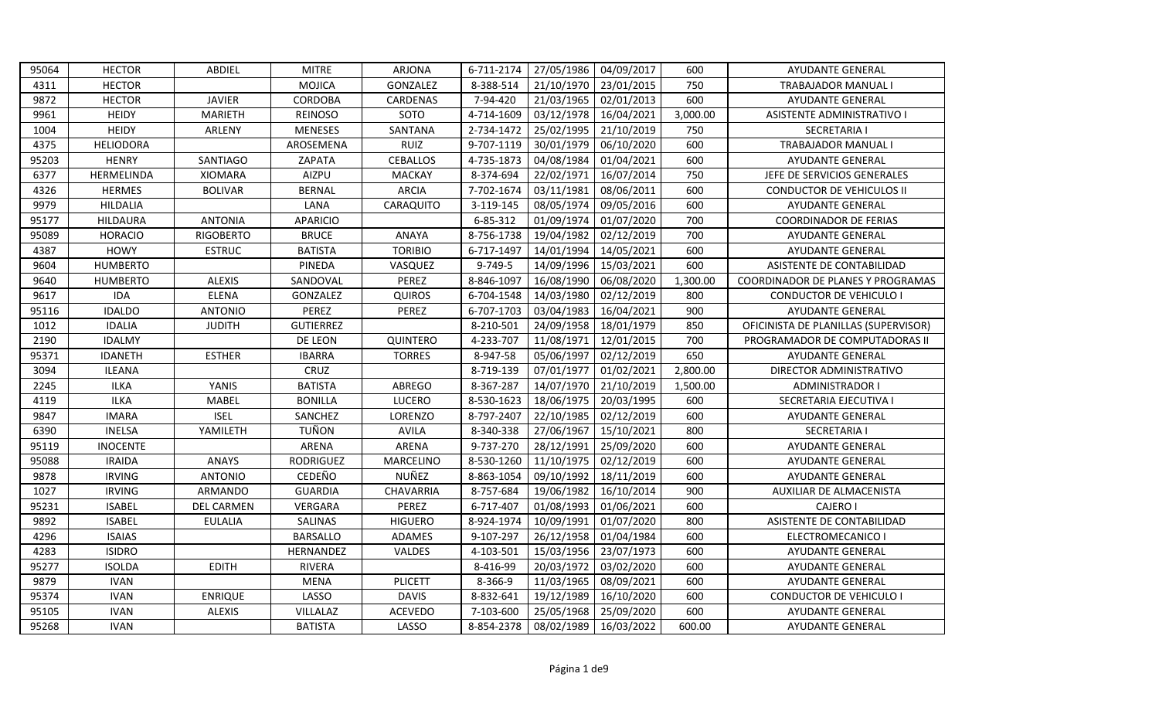| 95064 | <b>HECTOR</b>    | ABDIEL            | <b>MITRE</b>     | <b>ARJONA</b>   | 6-711-2174 | 27/05/1986 | 04/09/2017 | 600      | <b>AYUDANTE GENERAL</b>              |
|-------|------------------|-------------------|------------------|-----------------|------------|------------|------------|----------|--------------------------------------|
| 4311  | <b>HECTOR</b>    |                   | <b>MOJICA</b>    | GONZALEZ        | 8-388-514  | 21/10/1970 | 23/01/2015 | 750      | <b>TRABAJADOR MANUAL I</b>           |
| 9872  | <b>HECTOR</b>    | <b>JAVIER</b>     | <b>CORDOBA</b>   | CARDENAS        | 7-94-420   | 21/03/1965 | 02/01/2013 | 600      | <b>AYUDANTE GENERAL</b>              |
| 9961  | <b>HEIDY</b>     | <b>MARIETH</b>    | <b>REINOSO</b>   | SOTO            | 4-714-1609 | 03/12/1978 | 16/04/2021 | 3,000.00 | ASISTENTE ADMINISTRATIVO I           |
| 1004  | <b>HEIDY</b>     | ARLENY            | <b>MENESES</b>   | SANTANA         | 2-734-1472 | 25/02/1995 | 21/10/2019 | 750      | <b>SECRETARIA I</b>                  |
| 4375  | <b>HELIODORA</b> |                   | AROSEMENA        | <b>RUIZ</b>     | 9-707-1119 | 30/01/1979 | 06/10/2020 | 600      | <b>TRABAJADOR MANUAL I</b>           |
| 95203 | <b>HENRY</b>     | SANTIAGO          | ZAPATA           | <b>CEBALLOS</b> | 4-735-1873 | 04/08/1984 | 01/04/2021 | 600      | AYUDANTE GENERAL                     |
| 6377  | HERMELINDA       | <b>XIOMARA</b>    | AIZPU            | MACKAY          | 8-374-694  | 22/02/1971 | 16/07/2014 | 750      | JEFE DE SERVICIOS GENERALES          |
| 4326  | <b>HERMES</b>    | <b>BOLIVAR</b>    | <b>BERNAL</b>    | <b>ARCIA</b>    | 7-702-1674 | 03/11/1981 | 08/06/2011 | 600      | <b>CONDUCTOR DE VEHICULOS II</b>     |
| 9979  | <b>HILDALIA</b>  |                   | LANA             | CARAQUITO       | 3-119-145  | 08/05/1974 | 09/05/2016 | 600      | <b>AYUDANTE GENERAL</b>              |
| 95177 | HILDAURA         | <b>ANTONIA</b>    | <b>APARICIO</b>  |                 | 6-85-312   | 01/09/1974 | 01/07/2020 | 700      | <b>COORDINADOR DE FERIAS</b>         |
| 95089 | <b>HORACIO</b>   | <b>RIGOBERTO</b>  | <b>BRUCE</b>     | <b>ANAYA</b>    | 8-756-1738 | 19/04/1982 | 02/12/2019 | 700      | AYUDANTE GENERAL                     |
| 4387  | <b>HOWY</b>      | <b>ESTRUC</b>     | <b>BATISTA</b>   | <b>TORIBIO</b>  | 6-717-1497 | 14/01/1994 | 14/05/2021 | 600      | <b>AYUDANTE GENERAL</b>              |
| 9604  | <b>HUMBERTO</b>  |                   | PINEDA           | VASQUEZ         | 9-749-5    | 14/09/1996 | 15/03/2021 | 600      | ASISTENTE DE CONTABILIDAD            |
| 9640  | <b>HUMBERTO</b>  | <b>ALEXIS</b>     | SANDOVAL         | PEREZ           | 8-846-1097 | 16/08/1990 | 06/08/2020 | 1,300.00 | COORDINADOR DE PLANES Y PROGRAMAS    |
| 9617  | <b>IDA</b>       | <b>ELENA</b>      | GONZALEZ         | <b>QUIROS</b>   | 6-704-1548 | 14/03/1980 | 02/12/2019 | 800      | <b>CONDUCTOR DE VEHICULO I</b>       |
| 95116 | <b>IDALDO</b>    | <b>ANTONIO</b>    | PEREZ            | PEREZ           | 6-707-1703 | 03/04/1983 | 16/04/2021 | 900      | <b>AYUDANTE GENERAL</b>              |
| 1012  | <b>IDALIA</b>    | <b>JUDITH</b>     | <b>GUTIERREZ</b> |                 | 8-210-501  | 24/09/1958 | 18/01/1979 | 850      | OFICINISTA DE PLANILLAS (SUPERVISOR) |
| 2190  | <b>IDALMY</b>    |                   | DE LEON          | QUINTERO        | 4-233-707  | 11/08/1971 | 12/01/2015 | 700      | PROGRAMADOR DE COMPUTADORAS II       |
| 95371 | <b>IDANETH</b>   | <b>ESTHER</b>     | <b>IBARRA</b>    | <b>TORRES</b>   | 8-947-58   | 05/06/1997 | 02/12/2019 | 650      | <b>AYUDANTE GENERAL</b>              |
| 3094  | <b>ILEANA</b>    |                   | CRUZ             |                 | 8-719-139  | 07/01/1977 | 01/02/2021 | 2,800.00 | DIRECTOR ADMINISTRATIVO              |
| 2245  | <b>ILKA</b>      | YANIS             | <b>BATISTA</b>   | ABREGO          | 8-367-287  | 14/07/1970 | 21/10/2019 | 1,500.00 | ADMINISTRADOR I                      |
| 4119  | <b>ILKA</b>      | <b>MABEL</b>      | <b>BONILLA</b>   | LUCERO          | 8-530-1623 | 18/06/1975 | 20/03/1995 | 600      | SECRETARIA EJECUTIVA I               |
| 9847  | <b>IMARA</b>     | <b>ISEL</b>       | SANCHEZ          | LORENZO         | 8-797-2407 | 22/10/1985 | 02/12/2019 | 600      | <b>AYUDANTE GENERAL</b>              |
| 6390  | INELSA           | YAMILETH          | TUÑON            | <b>AVILA</b>    | 8-340-338  | 27/06/1967 | 15/10/2021 | 800      | <b>SECRETARIA I</b>                  |
| 95119 | <b>INOCENTE</b>  |                   | ARENA            | ARENA           | 9-737-270  | 28/12/1991 | 25/09/2020 | 600      | AYUDANTE GENERAL                     |
| 95088 | <b>IRAIDA</b>    | <b>ANAYS</b>      | <b>RODRIGUEZ</b> | MARCELINO       | 8-530-1260 | 11/10/1975 | 02/12/2019 | 600      | <b>AYUDANTE GENERAL</b>              |
| 9878  | <b>IRVING</b>    | <b>ANTONIO</b>    | CEDEÑO           | NUÑEZ           | 8-863-1054 | 09/10/1992 | 18/11/2019 | 600      | <b>AYUDANTE GENERAL</b>              |
| 1027  | <b>IRVING</b>    | ARMANDO           | <b>GUARDIA</b>   | CHAVARRIA       | 8-757-684  | 19/06/1982 | 16/10/2014 | 900      | AUXILIAR DE ALMACENISTA              |
| 95231 | <b>ISABEL</b>    | <b>DEL CARMEN</b> | VERGARA          | PEREZ           | 6-717-407  | 01/08/1993 | 01/06/2021 | 600      | <b>CAJERO I</b>                      |
| 9892  | <b>ISABEL</b>    | <b>EULALIA</b>    | SALINAS          | <b>HIGUERO</b>  | 8-924-1974 | 10/09/1991 | 01/07/2020 | 800      | ASISTENTE DE CONTABILIDAD            |
| 4296  | <b>ISAIAS</b>    |                   | <b>BARSALLO</b>  | ADAMES          | 9-107-297  | 26/12/1958 | 01/04/1984 | 600      | ELECTROMECANICO I                    |
| 4283  | <b>ISIDRO</b>    |                   | HERNANDEZ        | VALDES          | 4-103-501  | 15/03/1956 | 23/07/1973 | 600      | <b>AYUDANTE GENERAL</b>              |
| 95277 | <b>ISOLDA</b>    | <b>EDITH</b>      | <b>RIVERA</b>    |                 | 8-416-99   | 20/03/1972 | 03/02/2020 | 600      | AYUDANTE GENERAL                     |
| 9879  | <b>IVAN</b>      |                   | <b>MENA</b>      | <b>PLICETT</b>  | 8-366-9    | 11/03/1965 | 08/09/2021 | 600      | <b>AYUDANTE GENERAL</b>              |
| 95374 | <b>IVAN</b>      | <b>ENRIQUE</b>    | LASSO            | <b>DAVIS</b>    | 8-832-641  | 19/12/1989 | 16/10/2020 | 600      | CONDUCTOR DE VEHICULO I              |
| 95105 | <b>IVAN</b>      | <b>ALEXIS</b>     | VILLALAZ         | <b>ACEVEDO</b>  | 7-103-600  | 25/05/1968 | 25/09/2020 | 600      | <b>AYUDANTE GENERAL</b>              |
| 95268 | <b>IVAN</b>      |                   | <b>BATISTA</b>   | LASSO           | 8-854-2378 | 08/02/1989 | 16/03/2022 | 600.00   | <b>AYUDANTE GENERAL</b>              |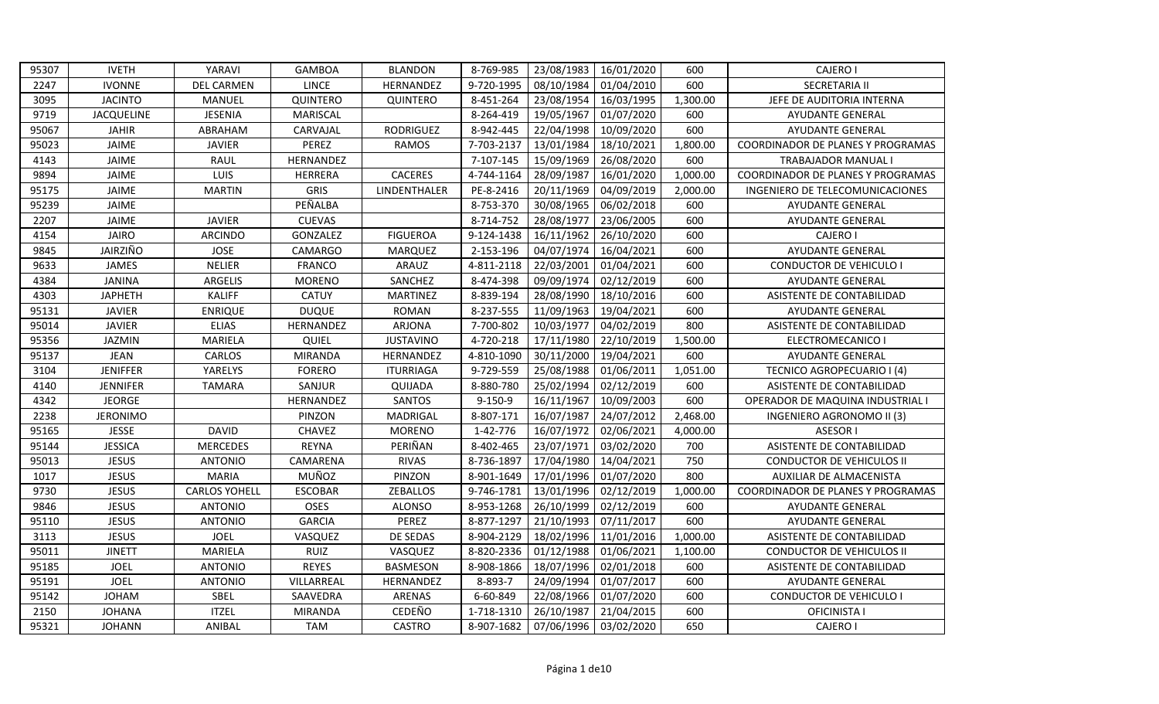| 95307 | <b>IVETH</b>      | YARAVI               | <b>GAMBOA</b>  | <b>BLANDON</b>      | 8-769-985     | 23/08/1983 | 16/01/2020 | 600      | CAJERO I                          |
|-------|-------------------|----------------------|----------------|---------------------|---------------|------------|------------|----------|-----------------------------------|
| 2247  | <b>IVONNE</b>     | <b>DEL CARMEN</b>    | <b>LINCE</b>   | HERNANDEZ           | 9-720-1995    | 08/10/1984 | 01/04/2010 | 600      | <b>SECRETARIA II</b>              |
| 3095  | <b>JACINTO</b>    | <b>MANUEL</b>        | QUINTERO       | QUINTERO            | 8-451-264     | 23/08/1954 | 16/03/1995 | 1,300.00 | JEFE DE AUDITORIA INTERNA         |
| 9719  | <b>JACQUELINE</b> | <b>JESENIA</b>       | MARISCAL       |                     | 8-264-419     | 19/05/1967 | 01/07/2020 | 600      | <b>AYUDANTE GENERAL</b>           |
| 95067 | <b>JAHIR</b>      | ABRAHAM              | CARVAJAL       | <b>RODRIGUEZ</b>    | 8-942-445     | 22/04/1998 | 10/09/2020 | 600      | <b>AYUDANTE GENERAL</b>           |
| 95023 | JAIME             | <b>JAVIER</b>        | PEREZ          | <b>RAMOS</b>        | 7-703-2137    | 13/01/1984 | 18/10/2021 | 1,800.00 | COORDINADOR DE PLANES Y PROGRAMAS |
| 4143  | JAIME             | RAUL                 | HERNANDEZ      |                     | 7-107-145     | 15/09/1969 | 26/08/2020 | 600      | <b>TRABAJADOR MANUAL I</b>        |
| 9894  | JAIME             | LUIS                 | <b>HERRERA</b> | <b>CACERES</b>      | 4-744-1164    | 28/09/1987 | 16/01/2020 | 1,000.00 | COORDINADOR DE PLANES Y PROGRAMAS |
| 95175 | <b>JAIME</b>      | <b>MARTIN</b>        | <b>GRIS</b>    | <b>LINDENTHALER</b> | PE-8-2416     | 20/11/1969 | 04/09/2019 | 2,000.00 | INGENIERO DE TELECOMUNICACIONES   |
| 95239 | JAIME             |                      | PEÑALBA        |                     | 8-753-370     | 30/08/1965 | 06/02/2018 | 600      | <b>AYUDANTE GENERAL</b>           |
| 2207  | JAIME             | <b>JAVIER</b>        | <b>CUEVAS</b>  |                     | 8-714-752     | 28/08/1977 | 23/06/2005 | 600      | <b>AYUDANTE GENERAL</b>           |
| 4154  | <b>JAIRO</b>      | <b>ARCINDO</b>       | GONZALEZ       | <b>FIGUEROA</b>     | 9-124-1438    | 16/11/1962 | 26/10/2020 | 600      | <b>CAJERO I</b>                   |
| 9845  | JAIRZIÑO          | <b>JOSE</b>          | <b>CAMARGO</b> | <b>MARQUEZ</b>      | 2-153-196     | 04/07/1974 | 16/04/2021 | 600      | <b>AYUDANTE GENERAL</b>           |
| 9633  | JAMES             | <b>NELIER</b>        | <b>FRANCO</b>  | ARAUZ               | 4-811-2118    | 22/03/2001 | 01/04/2021 | 600      | <b>CONDUCTOR DE VEHICULO I</b>    |
| 4384  | <b>JANINA</b>     | <b>ARGELIS</b>       | <b>MORENO</b>  | SANCHEZ             | 8-474-398     | 09/09/1974 | 02/12/2019 | 600      | <b>AYUDANTE GENERAL</b>           |
| 4303  | <b>JAPHETH</b>    | <b>KALIFF</b>        | <b>CATUY</b>   | <b>MARTINEZ</b>     | 8-839-194     | 28/08/1990 | 18/10/2016 | 600      | ASISTENTE DE CONTABILIDAD         |
| 95131 | <b>JAVIER</b>     | <b>ENRIQUE</b>       | <b>DUQUE</b>   | <b>ROMAN</b>        | 8-237-555     | 11/09/1963 | 19/04/2021 | 600      | <b>AYUDANTE GENERAL</b>           |
| 95014 | <b>JAVIER</b>     | <b>ELIAS</b>         | HERNANDEZ      | <b>ARJONA</b>       | 7-700-802     | 10/03/1977 | 04/02/2019 | 800      | ASISTENTE DE CONTABILIDAD         |
| 95356 | <b>JAZMIN</b>     | <b>MARIELA</b>       | QUIEL          | <b>JUSTAVINO</b>    | 4-720-218     | 17/11/1980 | 22/10/2019 | 1,500.00 | ELECTROMECANICO I                 |
| 95137 | <b>JEAN</b>       | CARLOS               | <b>MIRANDA</b> | HERNANDEZ           | 4-810-1090    | 30/11/2000 | 19/04/2021 | 600      | <b>AYUDANTE GENERAL</b>           |
| 3104  | <b>JENIFFER</b>   | YARELYS              | <b>FORERO</b>  | <b>ITURRIAGA</b>    | 9-729-559     | 25/08/1988 | 01/06/2011 | 1,051.00 | TECNICO AGROPECUARIO I (4)        |
| 4140  | <b>JENNIFER</b>   | <b>TAMARA</b>        | SANJUR         | QUIJADA             | 8-880-780     | 25/02/1994 | 02/12/2019 | 600      | ASISTENTE DE CONTABILIDAD         |
| 4342  | <b>JEORGE</b>     |                      | HERNANDEZ      | SANTOS              | $9 - 150 - 9$ | 16/11/1967 | 10/09/2003 | 600      | OPERADOR DE MAQUINA INDUSTRIAL I  |
| 2238  | <b>JERONIMO</b>   |                      | PINZON         | MADRIGAL            | 8-807-171     | 16/07/1987 | 24/07/2012 | 2,468.00 | INGENIERO AGRONOMO II (3)         |
| 95165 | <b>JESSE</b>      | <b>DAVID</b>         | <b>CHAVEZ</b>  | <b>MORENO</b>       | 1-42-776      | 16/07/1972 | 02/06/2021 | 4,000.00 | ASESOR I                          |
| 95144 | <b>JESSICA</b>    | <b>MERCEDES</b>      | <b>REYNA</b>   | PERIÑAN             | 8-402-465     | 23/07/1971 | 03/02/2020 | 700      | ASISTENTE DE CONTABILIDAD         |
| 95013 | <b>JESUS</b>      | <b>ANTONIO</b>       | CAMARENA       | <b>RIVAS</b>        | 8-736-1897    | 17/04/1980 | 14/04/2021 | 750      | <b>CONDUCTOR DE VEHICULOS II</b>  |
| 1017  | <b>JESUS</b>      | <b>MARIA</b>         | MUÑOZ          | PINZON              | 8-901-1649    | 17/01/1996 | 01/07/2020 | 800      | AUXILIAR DE ALMACENISTA           |
| 9730  | <b>JESUS</b>      | <b>CARLOS YOHELL</b> | <b>ESCOBAR</b> | <b>ZEBALLOS</b>     | 9-746-1781    | 13/01/1996 | 02/12/2019 | 1,000.00 | COORDINADOR DE PLANES Y PROGRAMAS |
| 9846  | <b>JESUS</b>      | <b>ANTONIO</b>       | OSES           | <b>ALONSO</b>       | 8-953-1268    | 26/10/1999 | 02/12/2019 | 600      | <b>AYUDANTE GENERAL</b>           |
| 95110 | <b>JESUS</b>      | <b>ANTONIO</b>       | <b>GARCIA</b>  | PEREZ               | 8-877-1297    | 21/10/1993 | 07/11/2017 | 600      | <b>AYUDANTE GENERAL</b>           |
| 3113  | <b>JESUS</b>      | <b>JOEL</b>          | VASQUEZ        | DE SEDAS            | 8-904-2129    | 18/02/1996 | 11/01/2016 | 1,000.00 | ASISTENTE DE CONTABILIDAD         |
| 95011 | <b>JINETT</b>     | MARIELA              | <b>RUIZ</b>    | VASQUEZ             | 8-820-2336    | 01/12/1988 | 01/06/2021 | 1,100.00 | <b>CONDUCTOR DE VEHICULOS II</b>  |
| 95185 | <b>JOEL</b>       | <b>ANTONIO</b>       | <b>REYES</b>   | <b>BASMESON</b>     | 8-908-1866    | 18/07/1996 | 02/01/2018 | 600      | ASISTENTE DE CONTABILIDAD         |
| 95191 | <b>JOEL</b>       | <b>ANTONIO</b>       | VILLARREAL     | HERNANDEZ           | 8-893-7       | 24/09/1994 | 01/07/2017 | 600      | <b>AYUDANTE GENERAL</b>           |
| 95142 | <b>JOHAM</b>      | SBEL                 | SAAVEDRA       | ARENAS              | 6-60-849      | 22/08/1966 | 01/07/2020 | 600      | <b>CONDUCTOR DE VEHICULO I</b>    |
| 2150  | <b>JOHANA</b>     | <b>ITZEL</b>         | MIRANDA        | CEDEÑO              | 1-718-1310    | 26/10/1987 | 21/04/2015 | 600      | OFICINISTA I                      |
| 95321 | <b>JOHANN</b>     | ANIBAL               | <b>TAM</b>     | <b>CASTRO</b>       | 8-907-1682    | 07/06/1996 | 03/02/2020 | 650      | CAJERO I                          |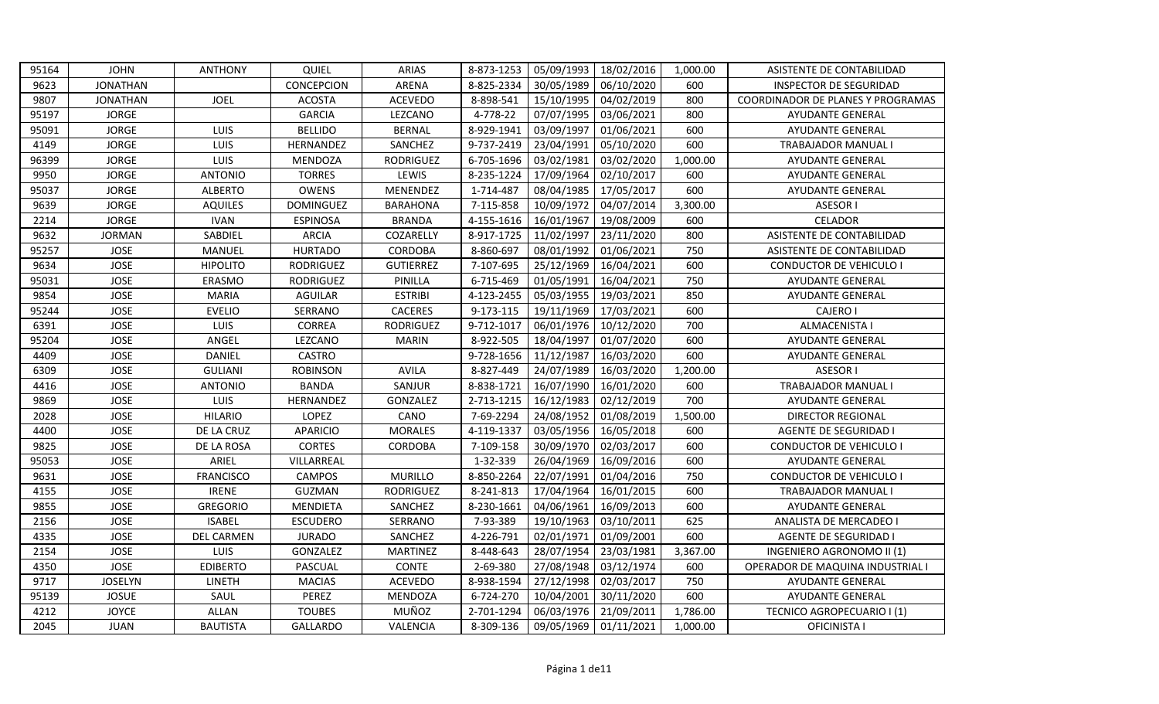| 95164 | <b>JOHN</b>     | <b>ANTHONY</b>    | QUIEL            | <b>ARIAS</b>     | 8-873-1253 | 05/09/1993 | 18/02/2016 | 1,000.00 | ASISTENTE DE CONTABILIDAD         |
|-------|-----------------|-------------------|------------------|------------------|------------|------------|------------|----------|-----------------------------------|
| 9623  | <b>JONATHAN</b> |                   | CONCEPCION       | ARENA            | 8-825-2334 | 30/05/1989 | 06/10/2020 | 600      | INSPECTOR DE SEGURIDAD            |
| 9807  | <b>JONATHAN</b> | <b>JOEL</b>       | <b>ACOSTA</b>    | <b>ACEVEDO</b>   | 8-898-541  | 15/10/1995 | 04/02/2019 | 800      | COORDINADOR DE PLANES Y PROGRAMAS |
| 95197 | <b>JORGE</b>    |                   | <b>GARCIA</b>    | LEZCANO          | 4-778-22   | 07/07/1995 | 03/06/2021 | 800      | <b>AYUDANTE GENERAL</b>           |
| 95091 | <b>JORGE</b>    | LUIS              | <b>BELLIDO</b>   | <b>BERNAL</b>    | 8-929-1941 | 03/09/1997 | 01/06/2021 | 600      | <b>AYUDANTE GENERAL</b>           |
| 4149  | <b>JORGE</b>    | LUIS              | HERNANDEZ        | SANCHEZ          | 9-737-2419 | 23/04/1991 | 05/10/2020 | 600      | <b>TRABAJADOR MANUAL I</b>        |
| 96399 | <b>JORGE</b>    | LUIS              | MENDOZA          | <b>RODRIGUEZ</b> | 6-705-1696 | 03/02/1981 | 03/02/2020 | 1,000.00 | <b>AYUDANTE GENERAL</b>           |
| 9950  | <b>JORGE</b>    | <b>ANTONIO</b>    | <b>TORRES</b>    | LEWIS            | 8-235-1224 | 17/09/1964 | 02/10/2017 | 600      | <b>AYUDANTE GENERAL</b>           |
| 95037 | <b>JORGE</b>    | <b>ALBERTO</b>    | OWENS            | MENENDEZ         | 1-714-487  | 08/04/1985 | 17/05/2017 | 600      | AYUDANTE GENERAL                  |
| 9639  | <b>JORGE</b>    | <b>AQUILES</b>    | <b>DOMINGUEZ</b> | <b>BARAHONA</b>  | 7-115-858  | 10/09/1972 | 04/07/2014 | 3,300.00 | <b>ASESOR I</b>                   |
| 2214  | <b>JORGE</b>    | <b>IVAN</b>       | <b>ESPINOSA</b>  | <b>BRANDA</b>    | 4-155-1616 | 16/01/1967 | 19/08/2009 | 600      | CELADOR                           |
| 9632  | <b>JORMAN</b>   | SABDIEL           | <b>ARCIA</b>     | COZARELLY        | 8-917-1725 | 11/02/1997 | 23/11/2020 | 800      | ASISTENTE DE CONTABILIDAD         |
| 95257 | JOSE            | MANUEL            | <b>HURTADO</b>   | CORDOBA          | 8-860-697  | 08/01/1992 | 01/06/2021 | 750      | ASISTENTE DE CONTABILIDAD         |
| 9634  | <b>JOSE</b>     | <b>HIPOLITO</b>   | <b>RODRIGUEZ</b> | <b>GUTIERREZ</b> | 7-107-695  | 25/12/1969 | 16/04/2021 | 600      | <b>CONDUCTOR DE VEHICULO I</b>    |
| 95031 | <b>JOSE</b>     | ERASMO            | <b>RODRIGUEZ</b> | PINILLA          | 6-715-469  | 01/05/1991 | 16/04/2021 | 750      | AYUDANTE GENERAL                  |
| 9854  | <b>JOSE</b>     | <b>MARIA</b>      | <b>AGUILAR</b>   | <b>ESTRIBI</b>   | 4-123-2455 | 05/03/1955 | 19/03/2021 | 850      | <b>AYUDANTE GENERAL</b>           |
| 95244 | <b>JOSE</b>     | <b>EVELIO</b>     | SERRANO          | CACERES          | 9-173-115  | 19/11/1969 | 17/03/2021 | 600      | CAJERO I                          |
| 6391  | <b>JOSE</b>     | LUIS              | CORREA           | <b>RODRIGUEZ</b> | 9-712-1017 | 06/01/1976 | 10/12/2020 | 700      | <b>ALMACENISTA I</b>              |
| 95204 | <b>JOSE</b>     | ANGEL             | LEZCANO          | <b>MARIN</b>     | 8-922-505  | 18/04/1997 | 01/07/2020 | 600      | <b>AYUDANTE GENERAL</b>           |
| 4409  | <b>JOSE</b>     | DANIEL            | <b>CASTRO</b>    |                  | 9-728-1656 | 11/12/1987 | 16/03/2020 | 600      | <b>AYUDANTE GENERAL</b>           |
| 6309  | <b>JOSE</b>     | <b>GULIANI</b>    | <b>ROBINSON</b>  | <b>AVILA</b>     | 8-827-449  | 24/07/1989 | 16/03/2020 | 1,200.00 | <b>ASESOR I</b>                   |
| 4416  | <b>JOSE</b>     | <b>ANTONIO</b>    | <b>BANDA</b>     | SANJUR           | 8-838-1721 | 16/07/1990 | 16/01/2020 | 600      | <b>TRABAJADOR MANUAL I</b>        |
| 9869  | <b>JOSE</b>     | <b>LUIS</b>       | HERNANDEZ        | GONZALEZ         | 2-713-1215 | 16/12/1983 | 02/12/2019 | 700      | <b>AYUDANTE GENERAL</b>           |
| 2028  | <b>JOSE</b>     | <b>HILARIO</b>    | <b>LOPEZ</b>     | CANO             | 7-69-2294  | 24/08/1952 | 01/08/2019 | 1,500.00 | DIRECTOR REGIONAL                 |
| 4400  | <b>JOSE</b>     | DE LA CRUZ        | <b>APARICIO</b>  | <b>MORALES</b>   | 4-119-1337 | 03/05/1956 | 16/05/2018 | 600      | <b>AGENTE DE SEGURIDAD I</b>      |
| 9825  | <b>JOSE</b>     | DE LA ROSA        | <b>CORTES</b>    | CORDOBA          | 7-109-158  | 30/09/1970 | 02/03/2017 | 600      | CONDUCTOR DE VEHICULO I           |
| 95053 | <b>JOSE</b>     | ARIEL             | VILLARREAL       |                  | 1-32-339   | 26/04/1969 | 16/09/2016 | 600      | <b>AYUDANTE GENERAL</b>           |
| 9631  | <b>JOSE</b>     | <b>FRANCISCO</b>  | CAMPOS           | <b>MURILLO</b>   | 8-850-2264 | 22/07/1991 | 01/04/2016 | 750      | <b>CONDUCTOR DE VEHICULO I</b>    |
| 4155  | <b>JOSE</b>     | <b>IRENE</b>      | GUZMAN           | <b>RODRIGUEZ</b> | 8-241-813  | 17/04/1964 | 16/01/2015 | 600      | TRABAJADOR MANUAL I               |
| 9855  | <b>JOSE</b>     | <b>GREGORIO</b>   | <b>MENDIETA</b>  | SANCHEZ          | 8-230-1661 | 04/06/1961 | 16/09/2013 | 600      | <b>AYUDANTE GENERAL</b>           |
| 2156  | <b>JOSE</b>     | <b>ISABEL</b>     | <b>ESCUDERO</b>  | SERRANO          | 7-93-389   | 19/10/1963 | 03/10/2011 | 625      | ANALISTA DE MERCADEO I            |
| 4335  | <b>JOSE</b>     | <b>DEL CARMEN</b> | <b>JURADO</b>    | SANCHEZ          | 4-226-791  | 02/01/1971 | 01/09/2001 | 600      | AGENTE DE SEGURIDAD I             |
| 2154  | <b>JOSE</b>     | LUIS              | GONZALEZ         | <b>MARTINEZ</b>  | 8-448-643  | 28/07/1954 | 23/03/1981 | 3,367.00 | INGENIERO AGRONOMO II (1)         |
| 4350  | <b>JOSE</b>     | <b>EDIBERTO</b>   | PASCUAL          | CONTE            | 2-69-380   | 27/08/1948 | 03/12/1974 | 600      | OPERADOR DE MAQUINA INDUSTRIAL I  |
| 9717  | <b>JOSELYN</b>  | LINETH            | <b>MACIAS</b>    | <b>ACEVEDO</b>   | 8-938-1594 | 27/12/1998 | 02/03/2017 | 750      | AYUDANTE GENERAL                  |
| 95139 | <b>JOSUE</b>    | SAUL              | PEREZ            | MENDOZA          | 6-724-270  | 10/04/2001 | 30/11/2020 | 600      | <b>AYUDANTE GENERAL</b>           |
| 4212  | <b>JOYCE</b>    | <b>ALLAN</b>      | <b>TOUBES</b>    | MUÑOZ            | 2-701-1294 | 06/03/1976 | 21/09/2011 | 1,786.00 | TECNICO AGROPECUARIO I (1)        |
| 2045  | JUAN            | BAUTISTA          | <b>GALLARDO</b>  | VALENCIA         | 8-309-136  | 09/05/1969 | 01/11/2021 | 1,000.00 | OFICINISTA I                      |
|       |                 |                   |                  |                  |            |            |            |          |                                   |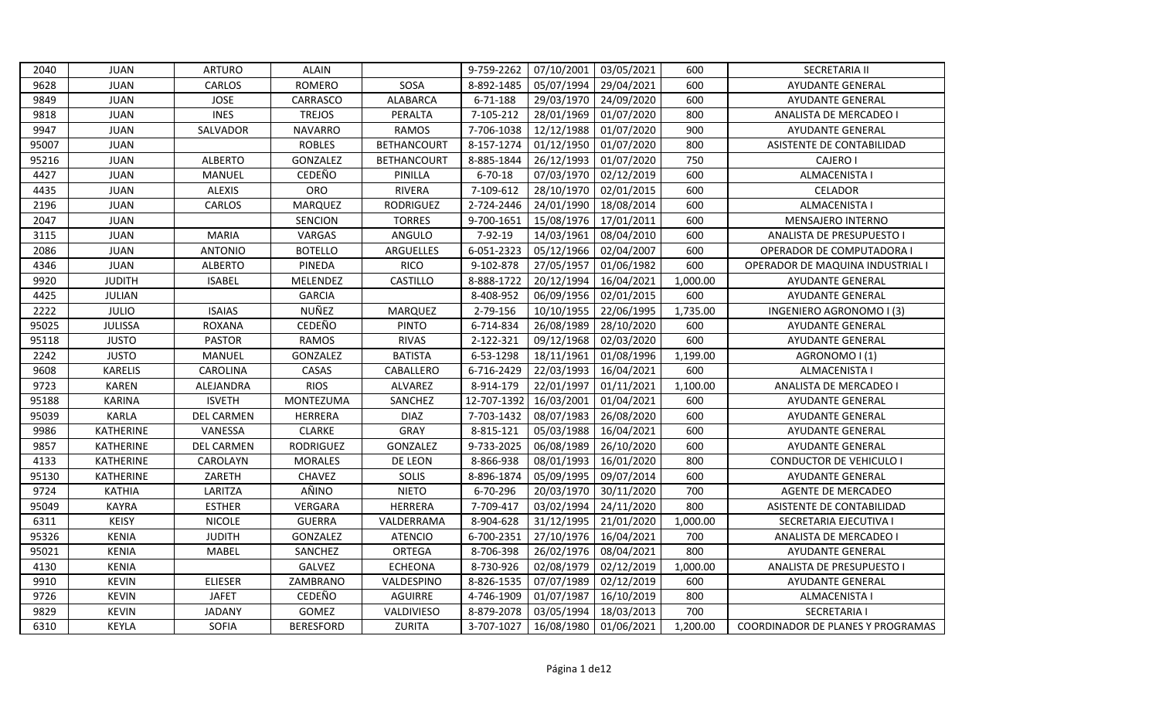| 2040  | <b>JUAN</b>    | <b>ARTURO</b>     | <b>ALAIN</b>     |                    | 9-759-2262    | 07/10/2001 | 03/05/2021 | 600      | <b>SECRETARIA II</b>              |
|-------|----------------|-------------------|------------------|--------------------|---------------|------------|------------|----------|-----------------------------------|
| 9628  | <b>JUAN</b>    | CARLOS            | <b>ROMERO</b>    | SOSA               | 8-892-1485    | 05/07/1994 | 29/04/2021 | 600      | AYUDANTE GENERAL                  |
| 9849  | <b>JUAN</b>    | <b>JOSE</b>       | CARRASCO         | <b>ALABARCA</b>    | 6-71-188      | 29/03/1970 | 24/09/2020 | 600      | <b>AYUDANTE GENERAL</b>           |
| 9818  | <b>JUAN</b>    | <b>INES</b>       | <b>TREJOS</b>    | PERALTA            | 7-105-212     | 28/01/1969 | 01/07/2020 | 800      | ANALISTA DE MERCADEO I            |
| 9947  | <b>JUAN</b>    | SALVADOR          | <b>NAVARRO</b>   | <b>RAMOS</b>       | 7-706-1038    | 12/12/1988 | 01/07/2020 | 900      | <b>AYUDANTE GENERAL</b>           |
| 95007 | <b>JUAN</b>    |                   | <b>ROBLES</b>    | <b>BETHANCOURT</b> | 8-157-1274    | 01/12/1950 | 01/07/2020 | 800      | ASISTENTE DE CONTABILIDAD         |
| 95216 | <b>JUAN</b>    | <b>ALBERTO</b>    | GONZALEZ         | <b>BETHANCOURT</b> | 8-885-1844    | 26/12/1993 | 01/07/2020 | 750      | <b>CAJERO I</b>                   |
| 4427  | <b>JUAN</b>    | MANUEL            | CEDEÑO           | PINILLA            | $6 - 70 - 18$ | 07/03/1970 | 02/12/2019 | 600      | ALMACENISTA I                     |
| 4435  | <b>JUAN</b>    | <b>ALEXIS</b>     | ORO              | RIVERA             | 7-109-612     | 28/10/1970 | 02/01/2015 | 600      | <b>CELADOR</b>                    |
| 2196  | <b>JUAN</b>    | CARLOS            | MARQUEZ          | <b>RODRIGUEZ</b>   | 2-724-2446    | 24/01/1990 | 18/08/2014 | 600      | <b>ALMACENISTA I</b>              |
| 2047  | <b>JUAN</b>    |                   | <b>SENCION</b>   | <b>TORRES</b>      | 9-700-1651    | 15/08/1976 | 17/01/2011 | 600      | MENSAJERO INTERNO                 |
| 3115  | <b>JUAN</b>    | <b>MARIA</b>      | VARGAS           | ANGULO             | 7-92-19       | 14/03/1961 | 08/04/2010 | 600      | ANALISTA DE PRESUPUESTO I         |
| 2086  | <b>JUAN</b>    | <b>ANTONIO</b>    | <b>BOTELLO</b>   | ARGUELLES          | 6-051-2323    | 05/12/1966 | 02/04/2007 | 600      | OPERADOR DE COMPUTADORA I         |
| 4346  | JUAN           | <b>ALBERTO</b>    | PINEDA           | <b>RICO</b>        | 9-102-878     | 27/05/1957 | 01/06/1982 | 600      | OPERADOR DE MAQUINA INDUSTRIAL I  |
| 9920  | <b>JUDITH</b>  | <b>ISABEL</b>     | MELENDEZ         | CASTILLO           | 8-888-1722    | 20/12/1994 | 16/04/2021 | 1,000.00 | <b>AYUDANTE GENERAL</b>           |
| 4425  | <b>JULIAN</b>  |                   | <b>GARCIA</b>    |                    | 8-408-952     | 06/09/1956 | 02/01/2015 | 600      | <b>AYUDANTE GENERAL</b>           |
| 2222  | <b>JULIO</b>   | <b>ISAIAS</b>     | NUÑEZ            | <b>MARQUEZ</b>     | 2-79-156      | 10/10/1955 | 22/06/1995 | 1,735.00 | INGENIERO AGRONOMO I (3)          |
| 95025 | <b>JULISSA</b> | <b>ROXANA</b>     | CEDEÑO           | <b>PINTO</b>       | 6-714-834     | 26/08/1989 | 28/10/2020 | 600      | <b>AYUDANTE GENERAL</b>           |
| 95118 | <b>JUSTO</b>   | <b>PASTOR</b>     | <b>RAMOS</b>     | <b>RIVAS</b>       | 2-122-321     | 09/12/1968 | 02/03/2020 | 600      | <b>AYUDANTE GENERAL</b>           |
| 2242  | <b>JUSTO</b>   | MANUEL            | GONZALEZ         | <b>BATISTA</b>     | 6-53-1298     | 18/11/1961 | 01/08/1996 | 1,199.00 | AGRONOMO I (1)                    |
| 9608  | <b>KARELIS</b> | CAROLINA          | CASAS            | CABALLERO          | 6-716-2429    | 22/03/1993 | 16/04/2021 | 600      | <b>ALMACENISTA I</b>              |
| 9723  | <b>KAREN</b>   | ALEJANDRA         | <b>RIOS</b>      | ALVAREZ            | 8-914-179     | 22/01/1997 | 01/11/2021 | 1,100.00 | ANALISTA DE MERCADEO I            |
| 95188 | <b>KARINA</b>  | <b>ISVETH</b>     | <b>MONTEZUMA</b> | SANCHEZ            | 12-707-1392   | 16/03/2001 | 01/04/2021 | 600      | <b>AYUDANTE GENERAL</b>           |
| 95039 | <b>KARLA</b>   | <b>DEL CARMEN</b> | <b>HERRERA</b>   | <b>DIAZ</b>        | 7-703-1432    | 08/07/1983 | 26/08/2020 | 600      | AYUDANTE GENERAL                  |
| 9986  | KATHERINE      | VANESSA           | <b>CLARKE</b>    | <b>GRAY</b>        | 8-815-121     | 05/03/1988 | 16/04/2021 | 600      | <b>AYUDANTE GENERAL</b>           |
| 9857  | KATHERINE      | <b>DEL CARMEN</b> | <b>RODRIGUEZ</b> | GONZALEZ           | 9-733-2025    | 06/08/1989 | 26/10/2020 | 600      | <b>AYUDANTE GENERAL</b>           |
| 4133  | KATHERINE      | CAROLAYN          | <b>MORALES</b>   | DE LEON            | 8-866-938     | 08/01/1993 | 16/01/2020 | 800      | <b>CONDUCTOR DE VEHICULO I</b>    |
| 95130 | KATHERINE      | ZARETH            | CHAVEZ           | SOLIS              | 8-896-1874    | 05/09/1995 | 09/07/2014 | 600      | <b>AYUDANTE GENERAL</b>           |
| 9724  | <b>KATHIA</b>  | LARITZA           | AÑINO            | <b>NIETO</b>       | 6-70-296      | 20/03/1970 | 30/11/2020 | 700      | <b>AGENTE DE MERCADEO</b>         |
| 95049 | <b>KAYRA</b>   | <b>ESTHER</b>     | <b>VERGARA</b>   | HERRERA            | 7-709-417     | 03/02/1994 | 24/11/2020 | 800      | ASISTENTE DE CONTABILIDAD         |
| 6311  | <b>KEISY</b>   | <b>NICOLE</b>     | <b>GUERRA</b>    | VALDERRAMA         | 8-904-628     | 31/12/1995 | 21/01/2020 | 1,000.00 | SECRETARIA EJECUTIVA I            |
| 95326 | <b>KENIA</b>   | <b>JUDITH</b>     | GONZALEZ         | <b>ATENCIO</b>     | 6-700-2351    | 27/10/1976 | 16/04/2021 | 700      | ANALISTA DE MERCADEO I            |
| 95021 | <b>KENIA</b>   | <b>MABEL</b>      | SANCHEZ          | ORTEGA             | 8-706-398     | 26/02/1976 | 08/04/2021 | 800      | <b>AYUDANTE GENERAL</b>           |
| 4130  | <b>KENIA</b>   |                   | GALVEZ           | <b>ECHEONA</b>     | 8-730-926     | 02/08/1979 | 02/12/2019 | 1,000.00 | ANALISTA DE PRESUPUESTO I         |
| 9910  | <b>KEVIN</b>   | <b>ELIESER</b>    | ZAMBRANO         | VALDESPINO         | 8-826-1535    | 07/07/1989 | 02/12/2019 | 600      | <b>AYUDANTE GENERAL</b>           |
| 9726  | <b>KEVIN</b>   | <b>JAFET</b>      | CEDEÑO           | <b>AGUIRRE</b>     | 4-746-1909    | 01/07/1987 | 16/10/2019 | 800      | <b>ALMACENISTA I</b>              |
| 9829  | <b>KEVIN</b>   | <b>JADANY</b>     | GOMEZ            | VALDIVIESO         | 8-879-2078    | 03/05/1994 | 18/03/2013 | 700      | <b>SECRETARIA I</b>               |
| 6310  | KEYLA          | SOFIA             | <b>BERESFORD</b> | ZURITA             | 3-707-1027    | 16/08/1980 | 01/06/2021 | 1,200.00 | COORDINADOR DE PLANES Y PROGRAMAS |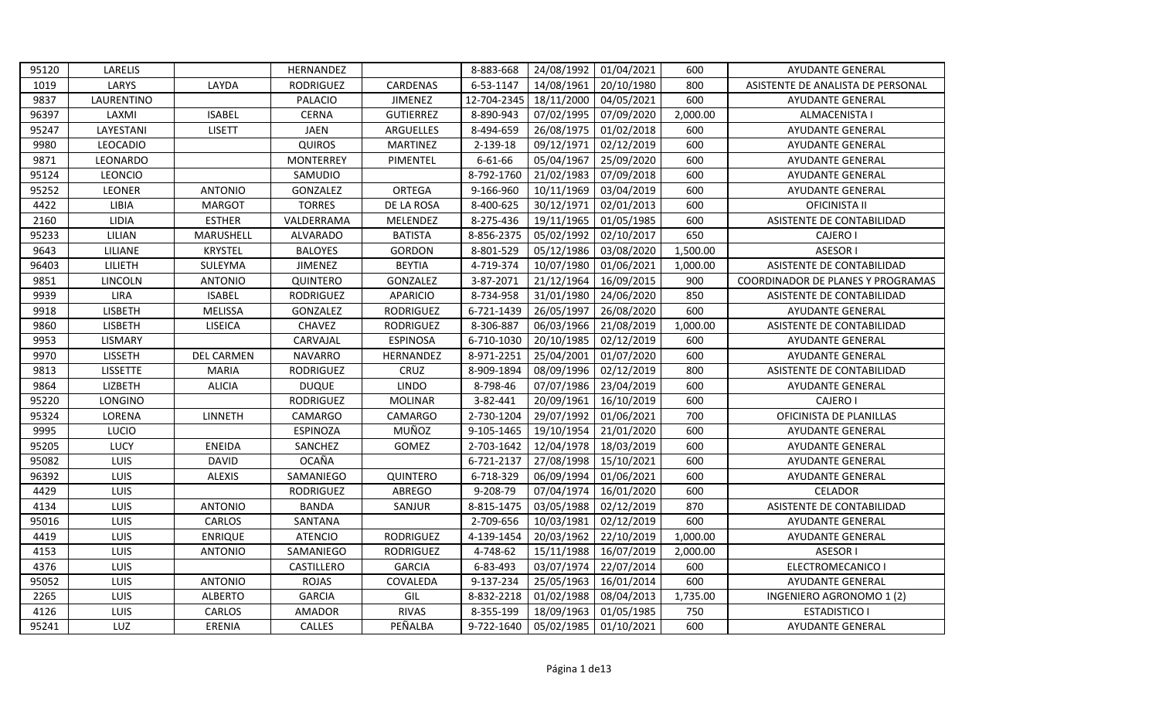| 95120 | LARELIS         |                   | HERNANDEZ        |                  | 8-883-668   | 24/08/1992 | 01/04/2021 | 600      | AYUDANTE GENERAL                  |
|-------|-----------------|-------------------|------------------|------------------|-------------|------------|------------|----------|-----------------------------------|
| 1019  | LARYS           | LAYDA             | <b>RODRIGUEZ</b> | CARDENAS         | 6-53-1147   | 14/08/1961 | 20/10/1980 | 800      | ASISTENTE DE ANALISTA DE PERSONAL |
| 9837  | LAURENTINO      |                   | PALACIO          | <b>JIMENEZ</b>   | 12-704-2345 | 18/11/2000 | 04/05/2021 | 600      | <b>AYUDANTE GENERAL</b>           |
| 96397 | LAXMI           | <b>ISABEL</b>     | CERNA            | <b>GUTIERREZ</b> | 8-890-943   | 07/02/1995 | 07/09/2020 | 2,000.00 | <b>ALMACENISTA I</b>              |
| 95247 | LAYESTANI       | <b>LISETT</b>     | <b>JAEN</b>      | ARGUELLES        | 8-494-659   | 26/08/1975 | 01/02/2018 | 600      | AYUDANTE GENERAL                  |
| 9980  | LEOCADIO        |                   | <b>QUIROS</b>    | <b>MARTINEZ</b>  | 2-139-18    | 09/12/1971 | 02/12/2019 | 600      | AYUDANTE GENERAL                  |
| 9871  | LEONARDO        |                   | <b>MONTERREY</b> | PIMENTEL         | 6-61-66     | 05/04/1967 | 25/09/2020 | 600      | AYUDANTE GENERAL                  |
| 95124 | LEONCIO         |                   | SAMUDIO          |                  | 8-792-1760  | 21/02/1983 | 07/09/2018 | 600      | <b>AYUDANTE GENERAL</b>           |
| 95252 | <b>LEONER</b>   | <b>ANTONIO</b>    | GONZALEZ         | ORTEGA           | 9-166-960   | 10/11/1969 | 03/04/2019 | 600      | AYUDANTE GENERAL                  |
| 4422  | LIBIA           | <b>MARGOT</b>     | <b>TORRES</b>    | DE LA ROSA       | 8-400-625   | 30/12/1971 | 02/01/2013 | 600      | <b>OFICINISTA II</b>              |
| 2160  | LIDIA           | <b>ESTHER</b>     | VALDERRAMA       | MELENDEZ         | 8-275-436   | 19/11/1965 | 01/05/1985 | 600      | ASISTENTE DE CONTABILIDAD         |
| 95233 | LILIAN          | MARUSHELL         | ALVARADO         | <b>BATISTA</b>   | 8-856-2375  | 05/02/1992 | 02/10/2017 | 650      | CAJERO I                          |
| 9643  | LILIANE         | <b>KRYSTEL</b>    | <b>BALOYES</b>   | GORDON           | 8-801-529   | 05/12/1986 | 03/08/2020 | 1,500.00 | <b>ASESOR I</b>                   |
| 96403 | LILIETH         | SULEYMA           | <b>JIMENEZ</b>   | <b>BEYTIA</b>    | 4-719-374   | 10/07/1980 | 01/06/2021 | 1,000.00 | ASISTENTE DE CONTABILIDAD         |
| 9851  | LINCOLN         | <b>ANTONIO</b>    | QUINTERO         | GONZALEZ         | 3-87-2071   | 21/12/1964 | 16/09/2015 | 900      | COORDINADOR DE PLANES Y PROGRAMAS |
| 9939  | <b>LIRA</b>     | <b>ISABEL</b>     | <b>RODRIGUEZ</b> | <b>APARICIO</b>  | 8-734-958   | 31/01/1980 | 24/06/2020 | 850      | ASISTENTE DE CONTABILIDAD         |
| 9918  | <b>LISBETH</b>  | <b>MELISSA</b>    | GONZALEZ         | <b>RODRIGUEZ</b> | 6-721-1439  | 26/05/1997 | 26/08/2020 | 600      | <b>AYUDANTE GENERAL</b>           |
| 9860  | LISBETH         | <b>LISEICA</b>    | CHAVEZ           | RODRIGUEZ        | 8-306-887   | 06/03/1966 | 21/08/2019 | 1,000.00 | ASISTENTE DE CONTABILIDAD         |
| 9953  | <b>LISMARY</b>  |                   | CARVAJAL         | <b>ESPINOSA</b>  | 6-710-1030  | 20/10/1985 | 02/12/2019 | 600      | <b>AYUDANTE GENERAL</b>           |
| 9970  | LISSETH         | <b>DEL CARMEN</b> | <b>NAVARRO</b>   | HERNANDEZ        | 8-971-2251  | 25/04/2001 | 01/07/2020 | 600      | <b>AYUDANTE GENERAL</b>           |
| 9813  | <b>LISSETTE</b> | <b>MARIA</b>      | <b>RODRIGUEZ</b> | CRUZ             | 8-909-1894  | 08/09/1996 | 02/12/2019 | 800      | ASISTENTE DE CONTABILIDAD         |
| 9864  | LIZBETH         | <b>ALICIA</b>     | <b>DUQUE</b>     | <b>LINDO</b>     | 8-798-46    | 07/07/1986 | 23/04/2019 | 600      | AYUDANTE GENERAL                  |
| 95220 | LONGINO         |                   | <b>RODRIGUEZ</b> | <b>MOLINAR</b>   | 3-82-441    | 20/09/1961 | 16/10/2019 | 600      | CAJERO I                          |
| 95324 | LORENA          | LINNETH           | CAMARGO          | CAMARGO          | 2-730-1204  | 29/07/1992 | 01/06/2021 | 700      | OFICINISTA DE PLANILLAS           |
| 9995  | <b>LUCIO</b>    |                   | <b>ESPINOZA</b>  | MUÑOZ            | 9-105-1465  | 19/10/1954 | 21/01/2020 | 600      | <b>AYUDANTE GENERAL</b>           |
| 95205 | LUCY            | <b>ENEIDA</b>     | SANCHEZ          | GOMEZ            | 2-703-1642  | 12/04/1978 | 18/03/2019 | 600      | AYUDANTE GENERAL                  |
| 95082 | LUIS            | <b>DAVID</b>      | <b>OCAÑA</b>     |                  | 6-721-2137  | 27/08/1998 | 15/10/2021 | 600      | <b>AYUDANTE GENERAL</b>           |
| 96392 | LUIS            | <b>ALEXIS</b>     | SAMANIEGO        | QUINTERO         | 6-718-329   | 06/09/1994 | 01/06/2021 | 600      | AYUDANTE GENERAL                  |
| 4429  | <b>LUIS</b>     |                   | RODRIGUEZ        | ABREGO           | 9-208-79    | 07/04/1974 | 16/01/2020 | 600      | CELADOR                           |
| 4134  | <b>LUIS</b>     | <b>ANTONIO</b>    | <b>BANDA</b>     | SANJUR           | 8-815-1475  | 03/05/1988 | 02/12/2019 | 870      | ASISTENTE DE CONTABILIDAD         |
| 95016 | <b>LUIS</b>     | CARLOS            | SANTANA          |                  | 2-709-656   | 10/03/1981 | 02/12/2019 | 600      | <b>AYUDANTE GENERAL</b>           |
| 4419  | LUIS            | <b>ENRIQUE</b>    | <b>ATENCIO</b>   | <b>RODRIGUEZ</b> | 4-139-1454  | 20/03/1962 | 22/10/2019 | 1,000.00 | AYUDANTE GENERAL                  |
| 4153  | LUIS            | <b>ANTONIO</b>    | SAMANIEGO        | <b>RODRIGUEZ</b> | 4-748-62    | 15/11/1988 | 16/07/2019 | 2,000.00 | <b>ASESOR I</b>                   |
| 4376  | LUIS            |                   | CASTILLERO       | <b>GARCIA</b>    | 6-83-493    | 03/07/1974 | 22/07/2014 | 600      | ELECTROMECANICO I                 |
| 95052 | LUIS            | <b>ANTONIO</b>    | <b>ROJAS</b>     | COVALEDA         | 9-137-234   | 25/05/1963 | 16/01/2014 | 600      | AYUDANTE GENERAL                  |
| 2265  | LUIS            | <b>ALBERTO</b>    | <b>GARCIA</b>    | GIL              | 8-832-2218  | 01/02/1988 | 08/04/2013 | 1,735.00 | INGENIERO AGRONOMO 1 (2)          |
| 4126  | LUIS            | CARLOS            | <b>AMADOR</b>    | <b>RIVAS</b>     | 8-355-199   | 18/09/1963 | 01/05/1985 | 750      | <b>ESTADISTICO I</b>              |
| 95241 | LUZ             | ERENIA            | <b>CALLES</b>    | PEÑALBA          | 9-722-1640  | 05/02/1985 | 01/10/2021 | 600      | <b>AYUDANTE GENERAL</b>           |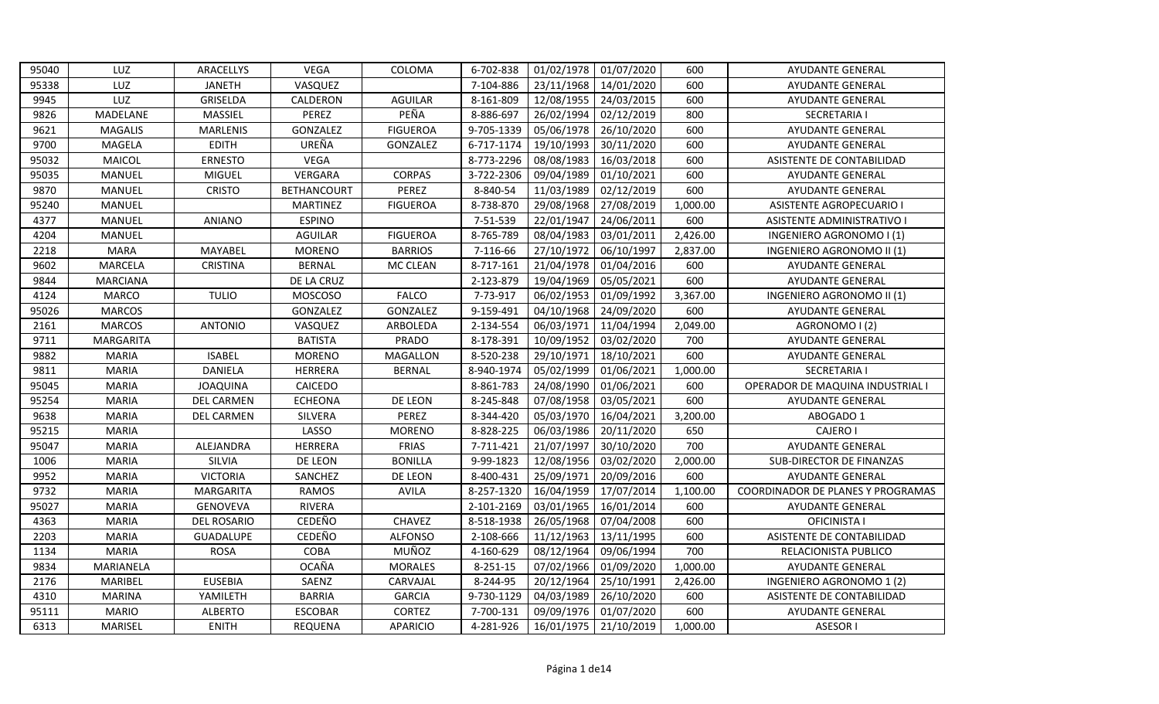| 95040 | LUZ              | ARACELLYS         | VEGA               | COLOMA          | 6-702-838  | 01/02/1978 | 01/07/2020 | 600      | AYUDANTE GENERAL                         |
|-------|------------------|-------------------|--------------------|-----------------|------------|------------|------------|----------|------------------------------------------|
| 95338 | LUZ              | <b>JANETH</b>     | VASQUEZ            |                 | 7-104-886  | 23/11/1968 | 14/01/2020 | 600      | <b>AYUDANTE GENERAL</b>                  |
| 9945  | LUZ              | GRISELDA          | CALDERON           | AGUILAR         | 8-161-809  | 12/08/1955 | 24/03/2015 | 600      | AYUDANTE GENERAL                         |
| 9826  | MADELANE         | <b>MASSIEL</b>    | PEREZ              | PEÑA            | 8-886-697  | 26/02/1994 | 02/12/2019 | 800      | <b>SECRETARIA I</b>                      |
| 9621  | <b>MAGALIS</b>   | <b>MARLENIS</b>   | GONZALEZ           | <b>FIGUEROA</b> | 9-705-1339 | 05/06/1978 | 26/10/2020 | 600      | AYUDANTE GENERAL                         |
| 9700  | MAGELA           | <b>EDITH</b>      | UREÑA              | GONZALEZ        | 6-717-1174 | 19/10/1993 | 30/11/2020 | 600      | AYUDANTE GENERAL                         |
| 95032 | MAICOL           | <b>ERNESTO</b>    | VEGA               |                 | 8-773-2296 | 08/08/1983 | 16/03/2018 | 600      | ASISTENTE DE CONTABILIDAD                |
| 95035 | MANUEL           | MIGUEL            | VERGARA            | <b>CORPAS</b>   | 3-722-2306 | 09/04/1989 | 01/10/2021 | 600      | <b>AYUDANTE GENERAL</b>                  |
| 9870  | MANUEL           | <b>CRISTO</b>     | <b>BETHANCOURT</b> | PEREZ           | 8-840-54   | 11/03/1989 | 02/12/2019 | 600      | AYUDANTE GENERAL                         |
| 95240 | <b>MANUEL</b>    |                   | <b>MARTINEZ</b>    | <b>FIGUEROA</b> | 8-738-870  | 29/08/1968 | 27/08/2019 | 1,000.00 | <b>ASISTENTE AGROPECUARIO I</b>          |
| 4377  | MANUEL           | ANIANO            | <b>ESPINO</b>      |                 | 7-51-539   | 22/01/1947 | 24/06/2011 | 600      | ASISTENTE ADMINISTRATIVO I               |
| 4204  | MANUEL           |                   | <b>AGUILAR</b>     | <b>FIGUEROA</b> | 8-765-789  | 08/04/1983 | 03/01/2011 | 2,426.00 | INGENIERO AGRONOMO I (1)                 |
| 2218  | <b>MARA</b>      | <b>MAYABEL</b>    | <b>MORENO</b>      | <b>BARRIOS</b>  | 7-116-66   | 27/10/1972 | 06/10/1997 | 2,837.00 | INGENIERO AGRONOMO II (1)                |
| 9602  | MARCELA          | <b>CRISTINA</b>   | <b>BERNAL</b>      | MC CLEAN        | 8-717-161  | 21/04/1978 | 01/04/2016 | 600      | AYUDANTE GENERAL                         |
| 9844  | <b>MARCIANA</b>  |                   | DE LA CRUZ         |                 | 2-123-879  | 19/04/1969 | 05/05/2021 | 600      | AYUDANTE GENERAL                         |
| 4124  | <b>MARCO</b>     | <b>TULIO</b>      | <b>MOSCOSO</b>     | <b>FALCO</b>    | 7-73-917   | 06/02/1953 | 01/09/1992 | 3,367.00 | INGENIERO AGRONOMO II (1)                |
| 95026 | <b>MARCOS</b>    |                   | GONZALEZ           | GONZALEZ        | 9-159-491  | 04/10/1968 | 24/09/2020 | 600      | <b>AYUDANTE GENERAL</b>                  |
| 2161  | <b>MARCOS</b>    | <b>ANTONIO</b>    | VASQUEZ            | ARBOLEDA        | 2-134-554  | 06/03/1971 | 11/04/1994 | 2,049.00 | AGRONOMO I (2)                           |
| 9711  | <b>MARGARITA</b> |                   | <b>BATISTA</b>     | PRADO           | 8-178-391  | 10/09/1952 | 03/02/2020 | 700      | AYUDANTE GENERAL                         |
| 9882  | <b>MARIA</b>     | <b>ISABEL</b>     | <b>MORENO</b>      | MAGALLON        | 8-520-238  | 29/10/1971 | 18/10/2021 | 600      | AYUDANTE GENERAL                         |
| 9811  | <b>MARIA</b>     | <b>DANIELA</b>    | HERRERA            | <b>BERNAL</b>   | 8-940-1974 | 05/02/1999 | 01/06/2021 | 1,000.00 | <b>SECRETARIA I</b>                      |
| 95045 | <b>MARIA</b>     | <b>JOAQUINA</b>   | CAICEDO            |                 | 8-861-783  | 24/08/1990 | 01/06/2021 | 600      | OPERADOR DE MAQUINA INDUSTRIAL I         |
| 95254 | <b>MARIA</b>     | <b>DEL CARMEN</b> | <b>ECHEONA</b>     | DE LEON         | 8-245-848  | 07/08/1958 | 03/05/2021 | 600      | AYUDANTE GENERAL                         |
| 9638  | <b>MARIA</b>     | DEL CARMEN        | SILVERA            | PEREZ           | 8-344-420  | 05/03/1970 | 16/04/2021 | 3,200.00 | ABOGADO 1                                |
| 95215 | <b>MARIA</b>     |                   | LASSO              | <b>MORENO</b>   | 8-828-225  | 06/03/1986 | 20/11/2020 | 650      | <b>CAJERO I</b>                          |
| 95047 | <b>MARIA</b>     | ALEJANDRA         | HERRERA            | <b>FRIAS</b>    | 7-711-421  | 21/07/1997 | 30/10/2020 | 700      | AYUDANTE GENERAL                         |
| 1006  | <b>MARIA</b>     | SILVIA            | DE LEON            | <b>BONILLA</b>  | 9-99-1823  | 12/08/1956 | 03/02/2020 | 2,000.00 | <b>SUB-DIRECTOR DE FINANZAS</b>          |
| 9952  | <b>MARIA</b>     | <b>VICTORIA</b>   | SANCHEZ            | DE LEON         | 8-400-431  | 25/09/1971 | 20/09/2016 | 600      | <b>AYUDANTE GENERAL</b>                  |
| 9732  | <b>MARIA</b>     | <b>MARGARITA</b>  | <b>RAMOS</b>       | <b>AVILA</b>    | 8-257-1320 | 16/04/1959 | 17/07/2014 | 1,100.00 | <b>COORDINADOR DE PLANES Y PROGRAMAS</b> |
| 95027 | <b>MARIA</b>     | <b>GENOVEVA</b>   | <b>RIVERA</b>      |                 | 2-101-2169 | 03/01/1965 | 16/01/2014 | 600      | AYUDANTE GENERAL                         |
| 4363  | <b>MARIA</b>     | DEL ROSARIO       | CEDEÑO             | CHAVEZ          | 8-518-1938 | 26/05/1968 | 07/04/2008 | 600      | OFICINISTA I                             |
| 2203  | <b>MARIA</b>     | <b>GUADALUPE</b>  | CEDEÑO             | <b>ALFONSO</b>  | 2-108-666  | 11/12/1963 | 13/11/1995 | 600      | ASISTENTE DE CONTABILIDAD                |
| 1134  | <b>MARIA</b>     | <b>ROSA</b>       | COBA               | MUÑOZ           | 4-160-629  | 08/12/1964 | 09/06/1994 | 700      | RELACIONISTA PUBLICO                     |
| 9834  | MARIANELA        |                   | <b>OCAÑA</b>       | <b>MORALES</b>  | 8-251-15   | 07/02/1966 | 01/09/2020 | 1,000.00 | AYUDANTE GENERAL                         |
| 2176  | MARIBEL          | <b>EUSEBIA</b>    | SAENZ              | CARVAJAL        | 8-244-95   | 20/12/1964 | 25/10/1991 | 2,426.00 | INGENIERO AGRONOMO 1 (2)                 |
| 4310  | MARINA           | YAMILETH          | <b>BARRIA</b>      | <b>GARCIA</b>   | 9-730-1129 | 04/03/1989 | 26/10/2020 | 600      | ASISTENTE DE CONTABILIDAD                |
| 95111 | <b>MARIO</b>     | <b>ALBERTO</b>    | <b>ESCOBAR</b>     | <b>CORTEZ</b>   | 7-700-131  | 09/09/1976 | 01/07/2020 | 600      | AYUDANTE GENERAL                         |
| 6313  | MARISEL          | <b>ENITH</b>      | REQUENA            | <b>APARICIO</b> | 4-281-926  | 16/01/1975 | 21/10/2019 | 1,000.00 | <b>ASESORI</b>                           |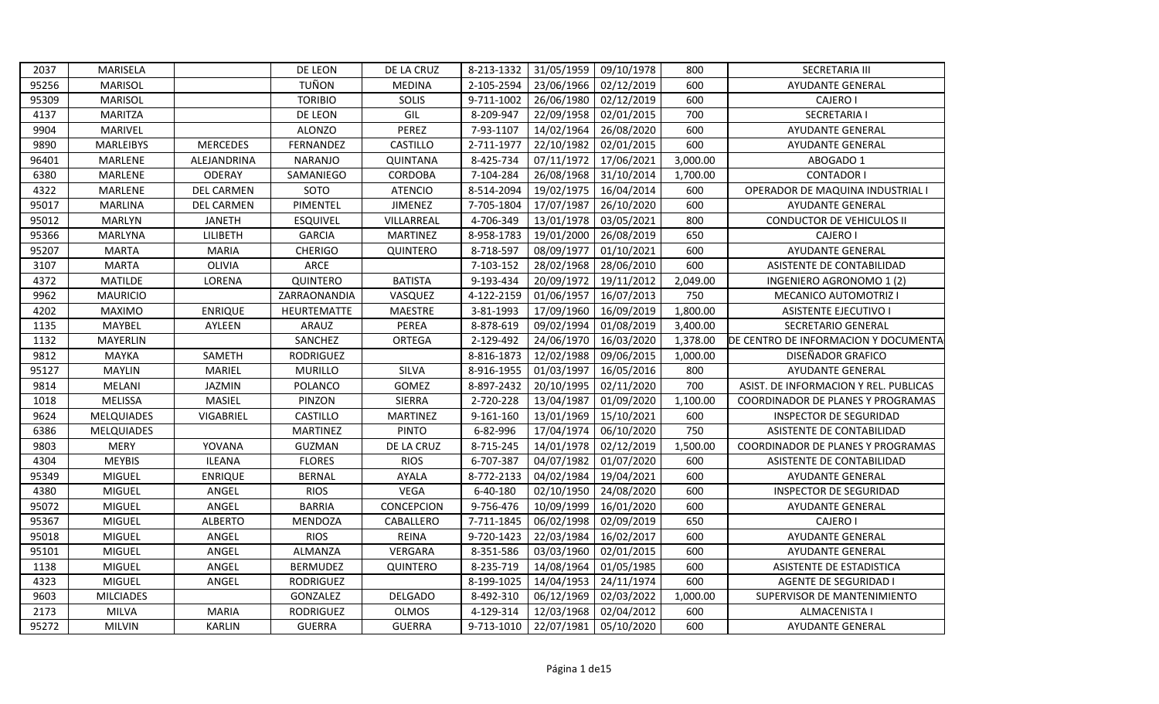| 2037  | MARISELA          |                   | DE LEON          | DE LA CRUZ      | 8-213-1332 |            | 31/05/1959 09/10/1978 | 800      | <b>SECRETARIA III</b>                 |
|-------|-------------------|-------------------|------------------|-----------------|------------|------------|-----------------------|----------|---------------------------------------|
| 95256 | <b>MARISOL</b>    |                   | <b>TUÑON</b>     | <b>MEDINA</b>   | 2-105-2594 | 23/06/1966 | 02/12/2019            | 600      | <b>AYUDANTE GENERAL</b>               |
| 95309 | <b>MARISOL</b>    |                   | <b>TORIBIO</b>   | SOLIS           | 9-711-1002 | 26/06/1980 | 02/12/2019            | 600      | <b>CAJERO I</b>                       |
| 4137  | <b>MARITZA</b>    |                   | DE LEON          | GIL             | 8-209-947  | 22/09/1958 | 02/01/2015            | 700      | <b>SECRETARIA I</b>                   |
| 9904  | MARIVEL           |                   | <b>ALONZO</b>    | PEREZ           | 7-93-1107  | 14/02/1964 | 26/08/2020            | 600      | <b>AYUDANTE GENERAL</b>               |
| 9890  | <b>MARLEIBYS</b>  | <b>MERCEDES</b>   | FERNANDEZ        | CASTILLO        | 2-711-1977 | 22/10/1982 | 02/01/2015            | 600      | <b>AYUDANTE GENERAL</b>               |
| 96401 | MARLENE           | ALEJANDRINA       | <b>NARANJO</b>   | <b>QUINTANA</b> | 8-425-734  | 07/11/1972 | 17/06/2021            | 3,000.00 | ABOGADO 1                             |
| 6380  | MARLENE           | ODERAY            | SAMANIEGO        | <b>CORDOBA</b>  | 7-104-284  | 26/08/1968 | 31/10/2014            | 1,700.00 | <b>CONTADOR I</b>                     |
| 4322  | MARLENE           | <b>DEL CARMEN</b> | SOTO             | <b>ATENCIO</b>  | 8-514-2094 |            | 19/02/1975 16/04/2014 | 600      | OPERADOR DE MAQUINA INDUSTRIAL I      |
| 95017 | MARLINA           | <b>DEL CARMEN</b> | PIMENTEL         | <b>JIMENEZ</b>  | 7-705-1804 | 17/07/1987 | 26/10/2020            | 600      | <b>AYUDANTE GENERAL</b>               |
| 95012 | <b>MARLYN</b>     | <b>JANETH</b>     | <b>ESQUIVEL</b>  | VILLARREAL      | 4-706-349  | 13/01/1978 | 03/05/2021            | 800      | CONDUCTOR DE VEHICULOS II             |
| 95366 | <b>MARLYNA</b>    | LILIBETH          | <b>GARCIA</b>    | <b>MARTINEZ</b> | 8-958-1783 | 19/01/2000 | 26/08/2019            | 650      | CAJERO I                              |
| 95207 | <b>MARTA</b>      | <b>MARIA</b>      | <b>CHERIGO</b>   | QUINTERO        | 8-718-597  | 08/09/1977 | 01/10/2021            | 600      | <b>AYUDANTE GENERAL</b>               |
| 3107  | <b>MARTA</b>      | OLIVIA            | ARCE             |                 | 7-103-152  | 28/02/1968 | 28/06/2010            | 600      | ASISTENTE DE CONTABILIDAD             |
| 4372  | <b>MATILDE</b>    | LORENA            | QUINTERO         | <b>BATISTA</b>  | 9-193-434  | 20/09/1972 | 19/11/2012            | 2,049.00 | INGENIERO AGRONOMO 1 (2)              |
| 9962  | <b>MAURICIO</b>   |                   | ZARRAONANDIA     | VASQUEZ         | 4-122-2159 | 01/06/1957 | 16/07/2013            | 750      | MECANICO AUTOMOTRIZ I                 |
| 4202  | <b>MAXIMO</b>     | <b>ENRIQUE</b>    | HEURTEMATTE      | <b>MAESTRE</b>  | 3-81-1993  | 17/09/1960 | 16/09/2019            | 1,800.00 | <b>ASISTENTE EJECUTIVO I</b>          |
| 1135  | MAYBEL            | AYLEEN            | ARAUZ            | PEREA           | 8-878-619  | 09/02/1994 | 01/08/2019            | 3,400.00 | SECRETARIO GENERAL                    |
| 1132  | <b>MAYERLIN</b>   |                   | SANCHEZ          | <b>ORTEGA</b>   | 2-129-492  | 24/06/1970 | 16/03/2020            | 1,378.00 | DE CENTRO DE INFORMACION Y DOCUMENTA  |
| 9812  | MAYKA             | SAMETH            | RODRIGUEZ        |                 | 8-816-1873 | 12/02/1988 | 09/06/2015            | 1,000.00 | DISEÑADOR GRAFICO                     |
| 95127 | <b>MAYLIN</b>     | MARIEL            | <b>MURILLO</b>   | SILVA           | 8-916-1955 | 01/03/1997 | 16/05/2016            | 800      | <b>AYUDANTE GENERAL</b>               |
| 9814  | MELANI            | JAZMIN            | POLANCO          | GOMEZ           | 8-897-2432 | 20/10/1995 | 02/11/2020            | 700      | ASIST. DE INFORMACION Y REL. PUBLICAS |
| 1018  | MELISSA           | MASIEL            | PINZON           | SIERRA          | 2-720-228  | 13/04/1987 | 01/09/2020            | 1,100.00 | COORDINADOR DE PLANES Y PROGRAMAS     |
| 9624  | <b>MELQUIADES</b> | VIGABRIEL         | CASTILLO         | <b>MARTINEZ</b> | 9-161-160  | 13/01/1969 | 15/10/2021            | 600      | INSPECTOR DE SEGURIDAD                |
| 6386  | <b>MELQUIADES</b> |                   | <b>MARTINEZ</b>  | <b>PINTO</b>    | 6-82-996   | 17/04/1974 | 06/10/2020            | 750      | ASISTENTE DE CONTABILIDAD             |
| 9803  | <b>MERY</b>       | YOVANA            | GUZMAN           | DE LA CRUZ      | 8-715-245  | 14/01/1978 | 02/12/2019            | 1,500.00 | COORDINADOR DE PLANES Y PROGRAMAS     |
| 4304  | <b>MEYBIS</b>     | <b>ILEANA</b>     | <b>FLORES</b>    | <b>RIOS</b>     | 6-707-387  | 04/07/1982 | 01/07/2020            | 600      | ASISTENTE DE CONTABILIDAD             |
| 95349 | MIGUEL            | <b>ENRIQUE</b>    | <b>BERNAL</b>    | <b>AYALA</b>    | 8-772-2133 | 04/02/1984 | 19/04/2021            | 600      | AYUDANTE GENERAL                      |
| 4380  | MIGUEL            | ANGEL             | <b>RIOS</b>      | <b>VEGA</b>     | 6-40-180   | 02/10/1950 | 24/08/2020            | 600      | INSPECTOR DE SEGURIDAD                |
| 95072 | MIGUEL            | ANGEL             | <b>BARRIA</b>    | CONCEPCION      | 9-756-476  | 10/09/1999 | 16/01/2020            | 600      | AYUDANTE GENERAL                      |
| 95367 | <b>MIGUEL</b>     | <b>ALBERTO</b>    | MENDOZA          | CABALLERO       | 7-711-1845 | 06/02/1998 | 02/09/2019            | 650      | <b>CAJERO I</b>                       |
| 95018 | MIGUEL            | ANGEL             | <b>RIOS</b>      | <b>REINA</b>    | 9-720-1423 | 22/03/1984 | 16/02/2017            | 600      | AYUDANTE GENERAL                      |
| 95101 | <b>MIGUEL</b>     | ANGEL             | <b>ALMANZA</b>   | VERGARA         | 8-351-586  | 03/03/1960 | 02/01/2015            | 600      | <b>AYUDANTE GENERAL</b>               |
| 1138  | MIGUEL            | ANGEL             | <b>BERMUDEZ</b>  | QUINTERO        | 8-235-719  | 14/08/1964 | 01/05/1985            | 600      | ASISTENTE DE ESTADISTICA              |
| 4323  | <b>MIGUEL</b>     | ANGEL             | <b>RODRIGUEZ</b> |                 | 8-199-1025 | 14/04/1953 | 24/11/1974            | 600      | <b>AGENTE DE SEGURIDAD I</b>          |
| 9603  | <b>MILCIADES</b>  |                   | GONZALEZ         | <b>DELGADO</b>  | 8-492-310  | 06/12/1969 | 02/03/2022            | 1,000.00 | SUPERVISOR DE MANTENIMIENTO           |
| 2173  | <b>MILVA</b>      | <b>MARIA</b>      | <b>RODRIGUEZ</b> | <b>OLMOS</b>    | 4-129-314  | 12/03/1968 | 02/04/2012            | 600      | ALMACENISTA I                         |
| 95272 | <b>MILVIN</b>     | <b>KARLIN</b>     | <b>GUERRA</b>    | <b>GUERRA</b>   | 9-713-1010 |            | 22/07/1981 05/10/2020 | 600      | <b>AYUDANTE GENERAL</b>               |
|       |                   |                   |                  |                 |            |            |                       |          |                                       |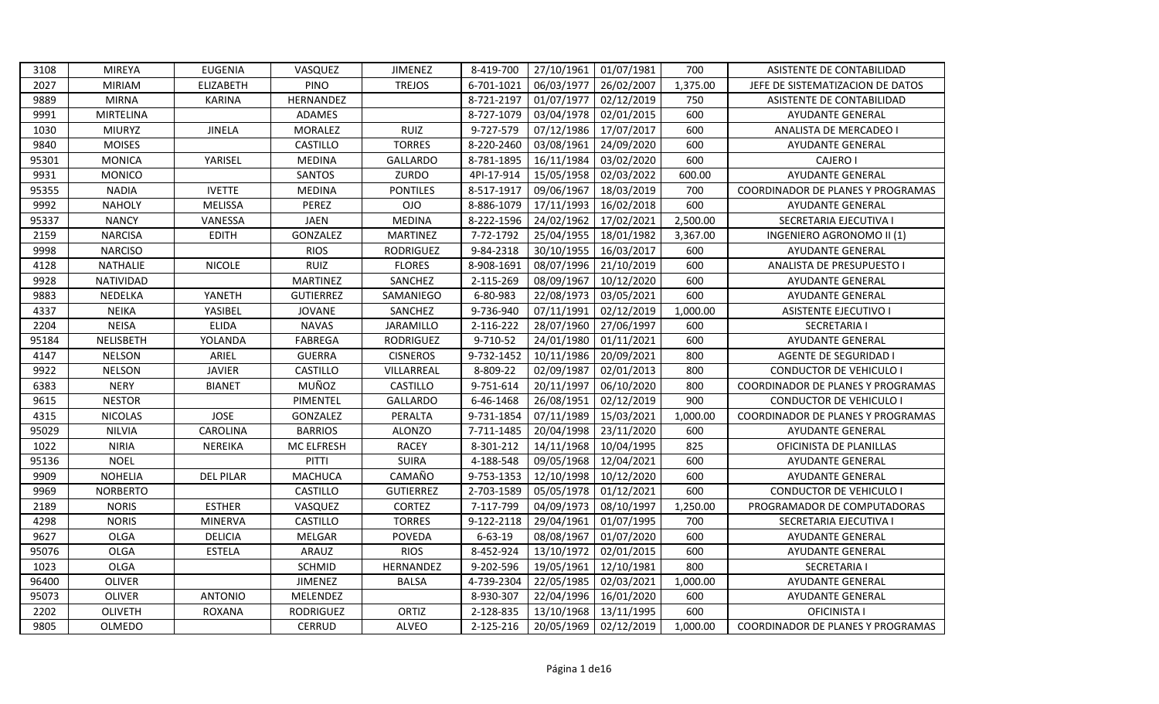| 3108  | <b>MIREYA</b>   | <b>EUGENIA</b>   | VASQUEZ          | <b>JIMENEZ</b>   | 8-419-700     | 27/10/1961 | 01/07/1981 | 700      | ASISTENTE DE CONTABILIDAD                |
|-------|-----------------|------------------|------------------|------------------|---------------|------------|------------|----------|------------------------------------------|
| 2027  | <b>MIRIAM</b>   | <b>ELIZABETH</b> | <b>PINO</b>      | <b>TREJOS</b>    | 6-701-1021    | 06/03/1977 | 26/02/2007 | 1,375.00 | JEFE DE SISTEMATIZACION DE DATOS         |
| 9889  | <b>MIRNA</b>    | <b>KARINA</b>    | HERNANDEZ        |                  | 8-721-2197    | 01/07/1977 | 02/12/2019 | 750      | ASISTENTE DE CONTABILIDAD                |
| 9991  | MIRTELINA       |                  | ADAMES           |                  | 8-727-1079    | 03/04/1978 | 02/01/2015 | 600      | <b>AYUDANTE GENERAL</b>                  |
| 1030  | <b>MIURYZ</b>   | <b>JINELA</b>    | <b>MORALEZ</b>   | RUIZ             | 9-727-579     | 07/12/1986 | 17/07/2017 | 600      | ANALISTA DE MERCADEO I                   |
| 9840  | <b>MOISES</b>   |                  | CASTILLO         | <b>TORRES</b>    | 8-220-2460    | 03/08/1961 | 24/09/2020 | 600      | AYUDANTE GENERAL                         |
| 95301 | <b>MONICA</b>   | YARISEL          | <b>MEDINA</b>    | <b>GALLARDO</b>  | 8-781-1895    | 16/11/1984 | 03/02/2020 | 600      | CAJERO I                                 |
| 9931  | <b>MONICO</b>   |                  | <b>SANTOS</b>    | ZURDO            | 4PI-17-914    | 15/05/1958 | 02/03/2022 | 600.00   | <b>AYUDANTE GENERAL</b>                  |
| 95355 | <b>NADIA</b>    | <b>IVETTE</b>    | <b>MEDINA</b>    | <b>PONTILES</b>  | 8-517-1917    | 09/06/1967 | 18/03/2019 | 700      | COORDINADOR DE PLANES Y PROGRAMAS        |
| 9992  | <b>NAHOLY</b>   | <b>MELISSA</b>   | PEREZ            | <b>OJO</b>       | 8-886-1079    | 17/11/1993 | 16/02/2018 | 600      | <b>AYUDANTE GENERAL</b>                  |
| 95337 | <b>NANCY</b>    | VANESSA          | <b>JAEN</b>      | <b>MEDINA</b>    | 8-222-1596    | 24/02/1962 | 17/02/2021 | 2,500.00 | SECRETARIA EJECUTIVA I                   |
| 2159  | <b>NARCISA</b>  | <b>EDITH</b>     | GONZALEZ         | <b>MARTINEZ</b>  | 7-72-1792     | 25/04/1955 | 18/01/1982 | 3,367.00 | INGENIERO AGRONOMO II (1)                |
| 9998  | <b>NARCISO</b>  |                  | <b>RIOS</b>      | <b>RODRIGUEZ</b> | 9-84-2318     | 30/10/1955 | 16/03/2017 | 600      | AYUDANTE GENERAL                         |
| 4128  | NATHALIE        | <b>NICOLE</b>    | <b>RUIZ</b>      | <b>FLORES</b>    | 8-908-1691    | 08/07/1996 | 21/10/2019 | 600      | ANALISTA DE PRESUPUESTO I                |
| 9928  | NATIVIDAD       |                  | <b>MARTINEZ</b>  | SANCHEZ          | 2-115-269     | 08/09/1967 | 10/12/2020 | 600      | AYUDANTE GENERAL                         |
| 9883  | NEDELKA         | YANETH           | <b>GUTIERREZ</b> | SAMANIEGO        | 6-80-983      | 22/08/1973 | 03/05/2021 | 600      | AYUDANTE GENERAL                         |
| 4337  | <b>NEIKA</b>    | YASIBEL          | <b>JOVANE</b>    | SANCHEZ          | 9-736-940     | 07/11/1991 | 02/12/2019 | 1,000.00 | <b>ASISTENTE EJECUTIVO I</b>             |
| 2204  | <b>NEISA</b>    | <b>ELIDA</b>     | <b>NAVAS</b>     | JARAMILLO        | 2-116-222     | 28/07/1960 | 27/06/1997 | 600      | <b>SECRETARIA I</b>                      |
| 95184 | NELISBETH       | YOLANDA          | <b>FABREGA</b>   | <b>RODRIGUEZ</b> | 9-710-52      | 24/01/1980 | 01/11/2021 | 600      | AYUDANTE GENERAL                         |
| 4147  | <b>NELSON</b>   | ARIEL            | <b>GUERRA</b>    | <b>CISNEROS</b>  | 9-732-1452    | 10/11/1986 | 20/09/2021 | 800      | AGENTE DE SEGURIDAD I                    |
| 9922  | <b>NELSON</b>   | <b>JAVIER</b>    | CASTILLO         | VILLARREAL       | 8-809-22      | 02/09/1987 | 02/01/2013 | 800      | <b>CONDUCTOR DE VEHICULO I</b>           |
| 6383  | <b>NERY</b>     | <b>BIANET</b>    | MUÑOZ            | CASTILLO         | 9-751-614     | 20/11/1997 | 06/10/2020 | 800      | COORDINADOR DE PLANES Y PROGRAMAS        |
| 9615  | <b>NESTOR</b>   |                  | PIMENTEL         | <b>GALLARDO</b>  | 6-46-1468     | 26/08/1951 | 02/12/2019 | 900      | CONDUCTOR DE VEHICULO I                  |
| 4315  | <b>NICOLAS</b>  | <b>JOSE</b>      | GONZALEZ         | PERALTA          | 9-731-1854    | 07/11/1989 | 15/03/2021 | 1,000.00 | <b>COORDINADOR DE PLANES Y PROGRAMAS</b> |
| 95029 | <b>NILVIA</b>   | CAROLINA         | <b>BARRIOS</b>   | <b>ALONZO</b>    | 7-711-1485    | 20/04/1998 | 23/11/2020 | 600      | <b>AYUDANTE GENERAL</b>                  |
| 1022  | <b>NIRIA</b>    | NEREIKA          | MC ELFRESH       | <b>RACEY</b>     | 8-301-212     | 14/11/1968 | 10/04/1995 | 825      | OFICINISTA DE PLANILLAS                  |
| 95136 | <b>NOEL</b>     |                  | PITTI            | <b>SUIRA</b>     | 4-188-548     | 09/05/1968 | 12/04/2021 | 600      | <b>AYUDANTE GENERAL</b>                  |
| 9909  | <b>NOHELIA</b>  | <b>DEL PILAR</b> | <b>MACHUCA</b>   | CAMAÑO           | 9-753-1353    | 12/10/1998 | 10/12/2020 | 600      | AYUDANTE GENERAL                         |
| 9969  | <b>NORBERTO</b> |                  | CASTILLO         | <b>GUTIERREZ</b> | 2-703-1589    | 05/05/1978 | 01/12/2021 | 600      | CONDUCTOR DE VEHICULO I                  |
| 2189  | <b>NORIS</b>    | <b>ESTHER</b>    | VASQUEZ          | CORTEZ           | 7-117-799     | 04/09/1973 | 08/10/1997 | 1,250.00 | PROGRAMADOR DE COMPUTADORAS              |
| 4298  | <b>NORIS</b>    | <b>MINERVA</b>   | CASTILLO         | <b>TORRES</b>    | 9-122-2118    | 29/04/1961 | 01/07/1995 | 700      | SECRETARIA EJECUTIVA I                   |
| 9627  | <b>OLGA</b>     | <b>DELICIA</b>   | MELGAR           | <b>POVEDA</b>    | $6 - 63 - 19$ | 08/08/1967 | 01/07/2020 | 600      | <b>AYUDANTE GENERAL</b>                  |
| 95076 | <b>OLGA</b>     | <b>ESTELA</b>    | ARAUZ            | <b>RIOS</b>      | 8-452-924     | 13/10/1972 | 02/01/2015 | 600      | AYUDANTE GENERAL                         |
| 1023  | OLGA            |                  | <b>SCHMID</b>    | HERNANDEZ        | 9-202-596     | 19/05/1961 | 12/10/1981 | 800      | <b>SECRETARIA I</b>                      |
| 96400 | <b>OLIVER</b>   |                  | <b>JIMENEZ</b>   | <b>BALSA</b>     | 4-739-2304    | 22/05/1985 | 02/03/2021 | 1,000.00 | AYUDANTE GENERAL                         |
| 95073 | OLIVER          | <b>ANTONIO</b>   | MELENDEZ         |                  | 8-930-307     | 22/04/1996 | 16/01/2020 | 600      | AYUDANTE GENERAL                         |
| 2202  | OLIVETH         | <b>ROXANA</b>    | <b>RODRIGUEZ</b> | ORTIZ            | 2-128-835     | 13/10/1968 | 13/11/1995 | 600      | OFICINISTA I                             |
| 9805  | <b>OLMEDO</b>   |                  | <b>CERRUD</b>    | ALVEO            | 2-125-216     | 20/05/1969 | 02/12/2019 | 1,000.00 | COORDINADOR DE PLANES Y PROGRAMAS        |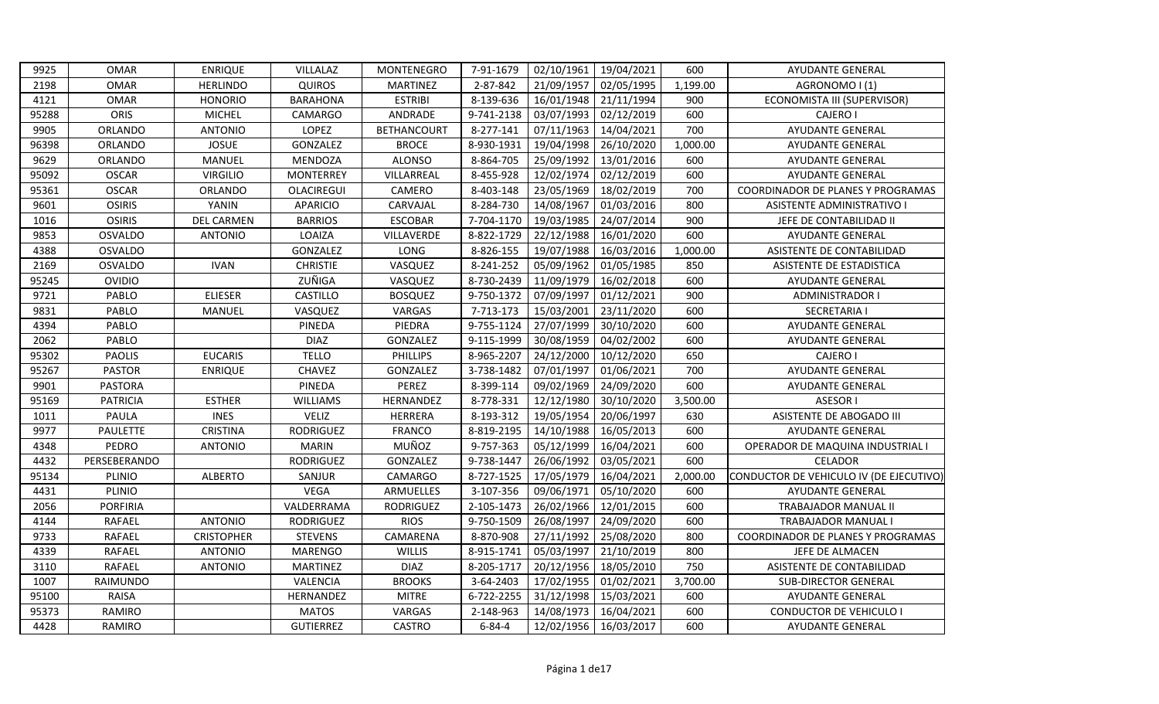| 9925  | <b>OMAR</b>     | <b>ENRIQUE</b>    | VILLALAZ         | MONTENEGRO         | 7-91-1679    | 02/10/1961 | 19/04/2021 | 600      | <b>AYUDANTE GENERAL</b>                 |
|-------|-----------------|-------------------|------------------|--------------------|--------------|------------|------------|----------|-----------------------------------------|
| 2198  | <b>OMAR</b>     | <b>HERLINDO</b>   | <b>QUIROS</b>    | <b>MARTINEZ</b>    | 2-87-842     | 21/09/1957 | 02/05/1995 | 1,199.00 | AGRONOMO I (1)                          |
| 4121  | <b>OMAR</b>     | <b>HONORIO</b>    | <b>BARAHONA</b>  | <b>ESTRIBI</b>     | 8-139-636    | 16/01/1948 | 21/11/1994 | 900      | ECONOMISTA III (SUPERVISOR)             |
| 95288 | ORIS            | <b>MICHEL</b>     | <b>CAMARGO</b>   | ANDRADE            | 9-741-2138   | 03/07/1993 | 02/12/2019 | 600      | <b>CAJERO I</b>                         |
| 9905  | ORLANDO         | <b>ANTONIO</b>    | LOPEZ            | <b>BETHANCOURT</b> | 8-277-141    | 07/11/1963 | 14/04/2021 | 700      | AYUDANTE GENERAL                        |
| 96398 | ORLANDO         | <b>JOSUE</b>      | GONZALEZ         | <b>BROCE</b>       | 8-930-1931   | 19/04/1998 | 26/10/2020 | 1,000.00 | AYUDANTE GENERAL                        |
| 9629  | ORLANDO         | MANUEL            | MENDOZA          | <b>ALONSO</b>      | 8-864-705    | 25/09/1992 | 13/01/2016 | 600      | AYUDANTE GENERAL                        |
| 95092 | <b>OSCAR</b>    | <b>VIRGILIO</b>   | <b>MONTERREY</b> | VILLARREAL         | 8-455-928    | 12/02/1974 | 02/12/2019 | 600      | AYUDANTE GENERAL                        |
| 95361 | <b>OSCAR</b>    | ORLANDO           | OLACIREGUI       | CAMERO             | 8-403-148    | 23/05/1969 | 18/02/2019 | 700      | COORDINADOR DE PLANES Y PROGRAMAS       |
| 9601  | <b>OSIRIS</b>   | YANIN             | <b>APARICIO</b>  | CARVAJAL           | 8-284-730    | 14/08/1967 | 01/03/2016 | 800      | <b>ASISTENTE ADMINISTRATIVO I</b>       |
| 1016  | <b>OSIRIS</b>   | DEL CARMEN        | <b>BARRIOS</b>   | <b>ESCOBAR</b>     | 7-704-1170   | 19/03/1985 | 24/07/2014 | 900      | JEFE DE CONTABILIDAD II                 |
| 9853  | <b>OSVALDO</b>  | <b>ANTONIO</b>    | LOAIZA           | VILLAVERDE         | 8-822-1729   | 22/12/1988 | 16/01/2020 | 600      | <b>AYUDANTE GENERAL</b>                 |
| 4388  | OSVALDO         |                   | GONZALEZ         | LONG               | 8-826-155    | 19/07/1988 | 16/03/2016 | 1,000.00 | ASISTENTE DE CONTABILIDAD               |
| 2169  | <b>OSVALDO</b>  | <b>IVAN</b>       | <b>CHRISTIE</b>  | VASQUEZ            | 8-241-252    | 05/09/1962 | 01/05/1985 | 850      | ASISTENTE DE ESTADISTICA                |
| 95245 | <b>OVIDIO</b>   |                   | ZUÑIGA           | VASQUEZ            | 8-730-2439   | 11/09/1979 | 16/02/2018 | 600      | AYUDANTE GENERAL                        |
| 9721  | PABLO           | <b>ELIESER</b>    | CASTILLO         | <b>BOSQUEZ</b>     | 9-750-1372   | 07/09/1997 | 01/12/2021 | 900      | <b>ADMINISTRADOR I</b>                  |
| 9831  | PABLO           | MANUEL            | VASQUEZ          | VARGAS             | 7-713-173    | 15/03/2001 | 23/11/2020 | 600      | <b>SECRETARIA I</b>                     |
| 4394  | PABLO           |                   | PINEDA           | PIEDRA             | 9-755-1124   | 27/07/1999 | 30/10/2020 | 600      | <b>AYUDANTE GENERAL</b>                 |
| 2062  | PABLO           |                   | <b>DIAZ</b>      | GONZALEZ           | 9-115-1999   | 30/08/1959 | 04/02/2002 | 600      | AYUDANTE GENERAL                        |
| 95302 | <b>PAOLIS</b>   | <b>EUCARIS</b>    | <b>TELLO</b>     | PHILLIPS           | 8-965-2207   | 24/12/2000 | 10/12/2020 | 650      | CAJERO I                                |
| 95267 | <b>PASTOR</b>   | <b>ENRIQUE</b>    | CHAVEZ           | GONZALEZ           | 3-738-1482   | 07/01/1997 | 01/06/2021 | 700      | AYUDANTE GENERAL                        |
| 9901  | <b>PASTORA</b>  |                   | PINEDA           | PEREZ              | 8-399-114    | 09/02/1969 | 24/09/2020 | 600      | AYUDANTE GENERAL                        |
| 95169 | <b>PATRICIA</b> | <b>ESTHER</b>     | <b>WILLIAMS</b>  | HERNANDEZ          | 8-778-331    | 12/12/1980 | 30/10/2020 | 3,500.00 | ASESOR I                                |
| 1011  | <b>PAULA</b>    | <b>INES</b>       | <b>VELIZ</b>     | HERRERA            | 8-193-312    | 19/05/1954 | 20/06/1997 | 630      | ASISTENTE DE ABOGADO III                |
| 9977  | PAULETTE        | CRISTINA          | <b>RODRIGUEZ</b> | <b>FRANCO</b>      | 8-819-2195   | 14/10/1988 | 16/05/2013 | 600      | <b>AYUDANTE GENERAL</b>                 |
| 4348  | PEDRO           | <b>ANTONIO</b>    | MARIN            | MUÑOZ              | 9-757-363    | 05/12/1999 | 16/04/2021 | 600      | OPERADOR DE MAQUINA INDUSTRIAL I        |
| 4432  | PERSEBERANDO    |                   | <b>RODRIGUEZ</b> | GONZALEZ           | 9-738-1447   | 26/06/1992 | 03/05/2021 | 600      | <b>CELADOR</b>                          |
| 95134 | PLINIO          | <b>ALBERTO</b>    | SANJUR           | <b>CAMARGO</b>     | 8-727-1525   | 17/05/1979 | 16/04/2021 | 2,000.00 | CONDUCTOR DE VEHICULO IV (DE EJECUTIVO) |
| 4431  | PLINIO          |                   | <b>VEGA</b>      | ARMUELLES          | 3-107-356    | 09/06/1971 | 05/10/2020 | 600      | <b>AYUDANTE GENERAL</b>                 |
| 2056  | <b>PORFIRIA</b> |                   | VALDERRAMA       | <b>RODRIGUEZ</b>   | 2-105-1473   | 26/02/1966 | 12/01/2015 | 600      | TRABAJADOR MANUAL II                    |
| 4144  | <b>RAFAEL</b>   | <b>ANTONIO</b>    | <b>RODRIGUEZ</b> | <b>RIOS</b>        | 9-750-1509   | 26/08/1997 | 24/09/2020 | 600      | TRABAJADOR MANUAL I                     |
| 9733  | <b>RAFAEL</b>   | <b>CRISTOPHER</b> | <b>STEVENS</b>   | CAMARENA           | 8-870-908    | 27/11/1992 | 25/08/2020 | 800      | COORDINADOR DE PLANES Y PROGRAMAS       |
| 4339  | <b>RAFAEL</b>   | <b>ANTONIO</b>    | <b>MARENGO</b>   | <b>WILLIS</b>      | 8-915-1741   | 05/03/1997 | 21/10/2019 | 800      | JEFE DE ALMACEN                         |
| 3110  | <b>RAFAEL</b>   | <b>ANTONIO</b>    | <b>MARTINEZ</b>  | <b>DIAZ</b>        | 8-205-1717   | 20/12/1956 | 18/05/2010 | 750      | ASISTENTE DE CONTABILIDAD               |
| 1007  | RAIMUNDO        |                   | VALENCIA         | <b>BROOKS</b>      | 3-64-2403    | 17/02/1955 | 01/02/2021 | 3,700.00 | <b>SUB-DIRECTOR GENERAL</b>             |
| 95100 | <b>RAISA</b>    |                   | HERNANDEZ        | <b>MITRE</b>       | 6-722-2255   | 31/12/1998 | 15/03/2021 | 600      | AYUDANTE GENERAL                        |
| 95373 | RAMIRO          |                   | <b>MATOS</b>     | VARGAS             | 2-148-963    | 14/08/1973 | 16/04/2021 | 600      | <b>CONDUCTOR DE VEHICULO I</b>          |
| 4428  | RAMIRO          |                   | <b>GUTIERREZ</b> | <b>CASTRO</b>      | $6 - 84 - 4$ | 12/02/1956 | 16/03/2017 | 600      | <b>AYUDANTE GENERAL</b>                 |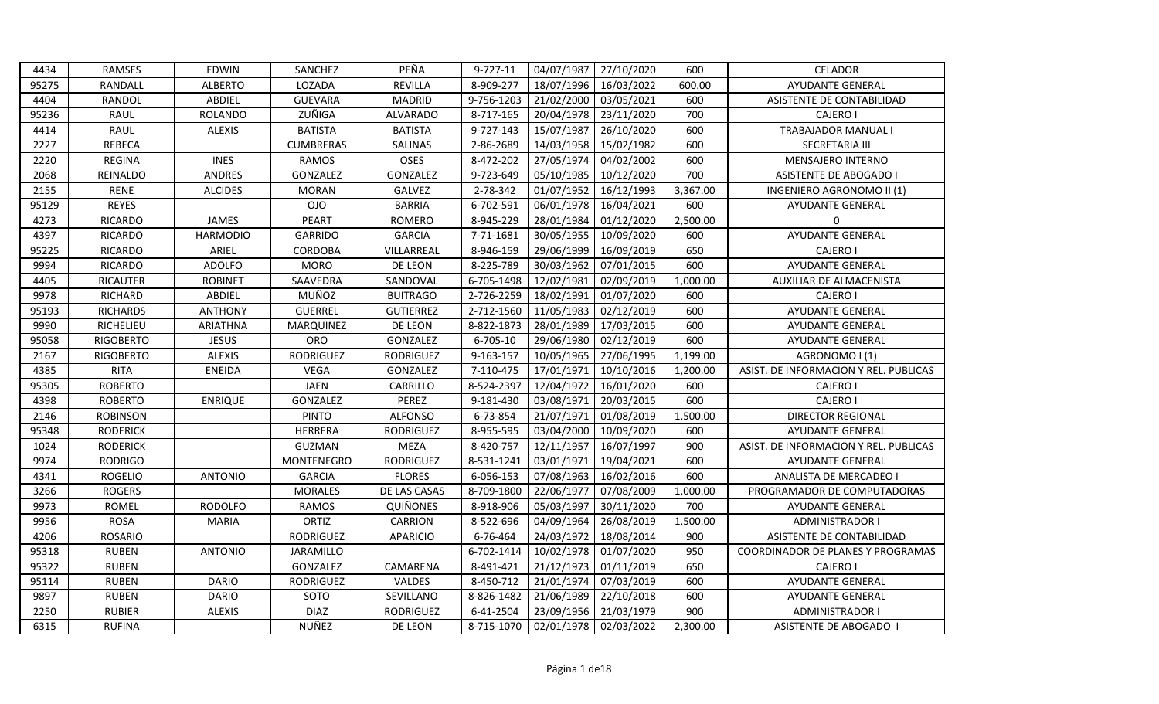| 4434  | <b>RAMSES</b>    | <b>EDWIN</b>    | SANCHEZ          | PEÑA             | 9-727-11   | 04/07/1987 | 27/10/2020 | 600      | <b>CELADOR</b>                        |
|-------|------------------|-----------------|------------------|------------------|------------|------------|------------|----------|---------------------------------------|
| 95275 | RANDALL          | <b>ALBERTO</b>  | LOZADA           | REVILLA          | 8-909-277  | 18/07/1996 | 16/03/2022 | 600.00   | <b>AYUDANTE GENERAL</b>               |
| 4404  | RANDOL           | ABDIEL          | <b>GUEVARA</b>   | <b>MADRID</b>    | 9-756-1203 | 21/02/2000 | 03/05/2021 | 600      | ASISTENTE DE CONTABILIDAD             |
| 95236 | <b>RAUL</b>      | <b>ROLANDO</b>  | ZUÑIGA           | <b>ALVARADO</b>  | 8-717-165  | 20/04/1978 | 23/11/2020 | 700      | <b>CAJERO I</b>                       |
| 4414  | <b>RAUL</b>      | <b>ALEXIS</b>   | <b>BATISTA</b>   | <b>BATISTA</b>   | 9-727-143  | 15/07/1987 | 26/10/2020 | 600      | TRABAJADOR MANUAL I                   |
| 2227  | <b>REBECA</b>    |                 | <b>CUMBRERAS</b> | SALINAS          | 2-86-2689  | 14/03/1958 | 15/02/1982 | 600      | SECRETARIA III                        |
| 2220  | <b>REGINA</b>    | <b>INES</b>     | <b>RAMOS</b>     | <b>OSES</b>      | 8-472-202  | 27/05/1974 | 04/02/2002 | 600      | MENSAJERO INTERNO                     |
| 2068  | REINALDO         | <b>ANDRES</b>   | GONZALEZ         | GONZALEZ         | 9-723-649  | 05/10/1985 | 10/12/2020 | 700      | <b>ASISTENTE DE ABOGADO I</b>         |
| 2155  | <b>RENE</b>      | <b>ALCIDES</b>  | <b>MORAN</b>     | GALVEZ           | 2-78-342   | 01/07/1952 | 16/12/1993 | 3,367.00 | INGENIERO AGRONOMO II (1)             |
| 95129 | <b>REYES</b>     |                 | <b>OJO</b>       | <b>BARRIA</b>    | 6-702-591  | 06/01/1978 | 16/04/2021 | 600      | <b>AYUDANTE GENERAL</b>               |
| 4273  | <b>RICARDO</b>   | JAMES           | PEART            | <b>ROMERO</b>    | 8-945-229  | 28/01/1984 | 01/12/2020 | 2,500.00 | 0                                     |
| 4397  | <b>RICARDO</b>   | <b>HARMODIO</b> | <b>GARRIDO</b>   | <b>GARCIA</b>    | 7-71-1681  | 30/05/1955 | 10/09/2020 | 600      | AYUDANTE GENERAL                      |
| 95225 | <b>RICARDO</b>   | ARIEL           | CORDOBA          | VILLARREAL       | 8-946-159  | 29/06/1999 | 16/09/2019 | 650      | <b>CAJERO I</b>                       |
| 9994  | <b>RICARDO</b>   | <b>ADOLFO</b>   | <b>MORO</b>      | DE LEON          | 8-225-789  | 30/03/1962 | 07/01/2015 | 600      | AYUDANTE GENERAL                      |
| 4405  | RICAUTER         | <b>ROBINET</b>  | SAAVEDRA         | SANDOVAL         | 6-705-1498 | 12/02/1981 | 02/09/2019 | 1,000.00 | AUXILIAR DE ALMACENISTA               |
| 9978  | <b>RICHARD</b>   | <b>ABDIEL</b>   | MUÑOZ            | <b>BUITRAGO</b>  | 2-726-2259 | 18/02/1991 | 01/07/2020 | 600      | <b>CAJERO I</b>                       |
| 95193 | <b>RICHARDS</b>  | <b>ANTHONY</b>  | <b>GUERREL</b>   | <b>GUTIERREZ</b> | 2-712-1560 | 11/05/1983 | 02/12/2019 | 600      | AYUDANTE GENERAL                      |
| 9990  | RICHELIEU        | <b>ARIATHNA</b> | MARQUINEZ        | DE LEON          | 8-822-1873 | 28/01/1989 | 17/03/2015 | 600      | AYUDANTE GENERAL                      |
| 95058 | <b>RIGOBERTO</b> | <b>JESUS</b>    | ORO              | GONZALEZ         | 6-705-10   | 29/06/1980 | 02/12/2019 | 600      | AYUDANTE GENERAL                      |
| 2167  | <b>RIGOBERTO</b> | <b>ALEXIS</b>   | <b>RODRIGUEZ</b> | <b>RODRIGUEZ</b> | 9-163-157  | 10/05/1965 | 27/06/1995 | 1,199.00 | AGRONOMO I (1)                        |
| 4385  | <b>RITA</b>      | <b>ENEIDA</b>   | <b>VEGA</b>      | GONZALEZ         | 7-110-475  | 17/01/1971 | 10/10/2016 | 1,200.00 | ASIST. DE INFORMACION Y REL. PUBLICAS |
| 95305 | <b>ROBERTO</b>   |                 | <b>JAEN</b>      | CARRILLO         | 8-524-2397 | 12/04/1972 | 16/01/2020 | 600      | <b>CAJERO I</b>                       |
| 4398  | <b>ROBERTO</b>   | <b>ENRIQUE</b>  | GONZALEZ         | PEREZ            | 9-181-430  | 03/08/1971 | 20/03/2015 | 600      | CAJERO I                              |
| 2146  | <b>ROBINSON</b>  |                 | <b>PINTO</b>     | <b>ALFONSO</b>   | 6-73-854   | 21/07/1971 | 01/08/2019 | 1,500.00 | <b>DIRECTOR REGIONAL</b>              |
| 95348 | <b>RODERICK</b>  |                 | <b>HERRERA</b>   | <b>RODRIGUEZ</b> | 8-955-595  | 03/04/2000 | 10/09/2020 | 600      | <b>AYUDANTE GENERAL</b>               |
| 1024  | <b>RODERICK</b>  |                 | <b>GUZMAN</b>    | <b>MEZA</b>      | 8-420-757  | 12/11/1957 | 16/07/1997 | 900      | ASIST. DE INFORMACION Y REL. PUBLICAS |
| 9974  | <b>RODRIGO</b>   |                 | MONTENEGRO       | <b>RODRIGUEZ</b> | 8-531-1241 | 03/01/1971 | 19/04/2021 | 600      | <b>AYUDANTE GENERAL</b>               |
| 4341  | <b>ROGELIO</b>   | <b>ANTONIO</b>  | <b>GARCIA</b>    | <b>FLORES</b>    | 6-056-153  | 07/08/1963 | 16/02/2016 | 600      | ANALISTA DE MERCADEO I                |
| 3266  | <b>ROGERS</b>    |                 | <b>MORALES</b>   | DE LAS CASAS     | 8-709-1800 | 22/06/1977 | 07/08/2009 | 1,000.00 | PROGRAMADOR DE COMPUTADORAS           |
| 9973  | <b>ROMEL</b>     | <b>RODOLFO</b>  | <b>RAMOS</b>     | <b>QUIÑONES</b>  | 8-918-906  | 05/03/1997 | 30/11/2020 | 700      | AYUDANTE GENERAL                      |
| 9956  | <b>ROSA</b>      | <b>MARIA</b>    | <b>ORTIZ</b>     | CARRION          | 8-522-696  | 04/09/1964 | 26/08/2019 | 1,500.00 | <b>ADMINISTRADOR I</b>                |
| 4206  | <b>ROSARIO</b>   |                 | <b>RODRIGUEZ</b> | <b>APARICIO</b>  | 6-76-464   | 24/03/1972 | 18/08/2014 | 900      | ASISTENTE DE CONTABILIDAD             |
| 95318 | <b>RUBEN</b>     | <b>ANTONIO</b>  | JARAMILLO        |                  | 6-702-1414 | 10/02/1978 | 01/07/2020 | 950      | COORDINADOR DE PLANES Y PROGRAMAS     |
| 95322 | <b>RUBEN</b>     |                 | GONZALEZ         | CAMARENA         | 8-491-421  | 21/12/1973 | 01/11/2019 | 650      | <b>CAJERO I</b>                       |
| 95114 | <b>RUBEN</b>     | <b>DARIO</b>    | <b>RODRIGUEZ</b> | VALDES           | 8-450-712  | 21/01/1974 | 07/03/2019 | 600      | AYUDANTE GENERAL                      |
| 9897  | <b>RUBEN</b>     | <b>DARIO</b>    | SOTO             | SEVILLANO        | 8-826-1482 | 21/06/1989 | 22/10/2018 | 600      | AYUDANTE GENERAL                      |
| 2250  | <b>RUBIER</b>    | <b>ALEXIS</b>   | <b>DIAZ</b>      | <b>RODRIGUEZ</b> | 6-41-2504  | 23/09/1956 | 21/03/1979 | 900      | <b>ADMINISTRADOR I</b>                |
| 6315  | <b>RUFINA</b>    |                 | NUÑEZ            | DE LEON          | 8-715-1070 | 02/01/1978 | 02/03/2022 | 2,300.00 | ASISTENTE DE ABOGADO                  |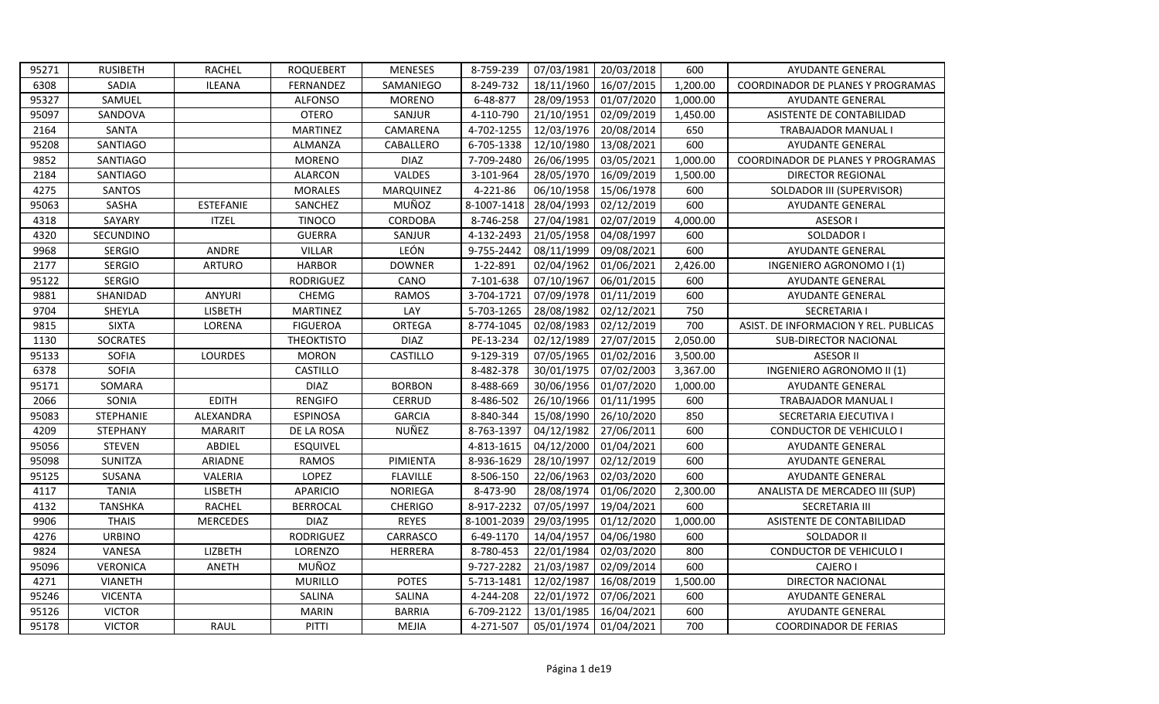| 95271 | <b>RUSIBETH</b>  | <b>RACHEL</b>    | <b>ROQUEBERT</b>  | <b>MENESES</b>  | 8-759-239   | 07/03/1981 | 20/03/2018 | 600      | AYUDANTE GENERAL                      |
|-------|------------------|------------------|-------------------|-----------------|-------------|------------|------------|----------|---------------------------------------|
| 6308  | SADIA            | <b>ILEANA</b>    | FERNANDEZ         | SAMANIEGO       | 8-249-732   | 18/11/1960 | 16/07/2015 | 1,200.00 | COORDINADOR DE PLANES Y PROGRAMAS     |
| 95327 | SAMUEL           |                  | <b>ALFONSO</b>    | <b>MORENO</b>   | 6-48-877    | 28/09/1953 | 01/07/2020 | 1,000.00 | <b>AYUDANTE GENERAL</b>               |
| 95097 | SANDOVA          |                  | <b>OTERO</b>      | SANJUR          | 4-110-790   | 21/10/1951 | 02/09/2019 | 1,450.00 | ASISTENTE DE CONTABILIDAD             |
| 2164  | SANTA            |                  | <b>MARTINEZ</b>   | CAMARENA        | 4-702-1255  | 12/03/1976 | 20/08/2014 | 650      | <b>TRABAJADOR MANUAL I</b>            |
| 95208 | SANTIAGO         |                  | ALMANZA           | CABALLERO       | 6-705-1338  | 12/10/1980 | 13/08/2021 | 600      | <b>AYUDANTE GENERAL</b>               |
| 9852  | SANTIAGO         |                  | <b>MORENO</b>     | <b>DIAZ</b>     | 7-709-2480  | 26/06/1995 | 03/05/2021 | 1,000.00 | COORDINADOR DE PLANES Y PROGRAMAS     |
| 2184  | SANTIAGO         |                  | <b>ALARCON</b>    | VALDES          | 3-101-964   | 28/05/1970 | 16/09/2019 | 1,500.00 | <b>DIRECTOR REGIONAL</b>              |
| 4275  | <b>SANTOS</b>    |                  | <b>MORALES</b>    | MARQUINEZ       | 4-221-86    | 06/10/1958 | 15/06/1978 | 600      | SOLDADOR III (SUPERVISOR)             |
| 95063 | SASHA            | <b>ESTEFANIE</b> | SANCHEZ           | MUÑOZ           | 8-1007-1418 | 28/04/1993 | 02/12/2019 | 600      | AYUDANTE GENERAL                      |
| 4318  | SAYARY           | <b>ITZEL</b>     | <b>TINOCO</b>     | CORDOBA         | 8-746-258   | 27/04/1981 | 02/07/2019 | 4,000.00 | ASESOR I                              |
| 4320  | SECUNDINO        |                  | <b>GUERRA</b>     | SANJUR          | 4-132-2493  | 21/05/1958 | 04/08/1997 | 600      | SOLDADOR I                            |
| 9968  | <b>SERGIO</b>    | ANDRE            | <b>VILLAR</b>     | LEÓN            | 9-755-2442  | 08/11/1999 | 09/08/2021 | 600      | AYUDANTE GENERAL                      |
| 2177  | <b>SERGIO</b>    | <b>ARTURO</b>    | <b>HARBOR</b>     | <b>DOWNER</b>   | 1-22-891    | 02/04/1962 | 01/06/2021 | 2,426.00 | INGENIERO AGRONOMO I (1)              |
| 95122 | <b>SERGIO</b>    |                  | <b>RODRIGUEZ</b>  | CANO            | 7-101-638   | 07/10/1967 | 06/01/2015 | 600      | <b>AYUDANTE GENERAL</b>               |
| 9881  | SHANIDAD         | <b>ANYURI</b>    | <b>CHEMG</b>      | <b>RAMOS</b>    | 3-704-1721  | 07/09/1978 | 01/11/2019 | 600      | AYUDANTE GENERAL                      |
| 9704  | SHEYLA           | <b>LISBETH</b>   | <b>MARTINEZ</b>   | LAY             | 5-703-1265  | 28/08/1982 | 02/12/2021 | 750      | <b>SECRETARIA I</b>                   |
| 9815  | <b>SIXTA</b>     | LORENA           | <b>FIGUEROA</b>   | ORTEGA          | 8-774-1045  | 02/08/1983 | 02/12/2019 | 700      | ASIST. DE INFORMACION Y REL. PUBLICAS |
| 1130  | <b>SOCRATES</b>  |                  | <b>THEOKTISTO</b> | <b>DIAZ</b>     | PE-13-234   | 02/12/1989 | 27/07/2015 | 2,050.00 | <b>SUB-DIRECTOR NACIONAL</b>          |
|       |                  |                  |                   |                 |             |            |            |          |                                       |
| 95133 | <b>SOFIA</b>     | LOURDES          | <b>MORON</b>      | CASTILLO        | 9-129-319   | 07/05/1965 | 01/02/2016 | 3,500.00 | <b>ASESOR II</b>                      |
| 6378  | <b>SOFIA</b>     |                  | CASTILLO          |                 | 8-482-378   | 30/01/1975 | 07/02/2003 | 3,367.00 | INGENIERO AGRONOMO II (1)             |
| 95171 | SOMARA           |                  | <b>DIAZ</b>       | <b>BORBON</b>   | 8-488-669   | 30/06/1956 | 01/07/2020 | 1,000.00 | <b>AYUDANTE GENERAL</b>               |
| 2066  | SONIA            | <b>EDITH</b>     | <b>RENGIFO</b>    | <b>CERRUD</b>   | 8-486-502   | 26/10/1966 | 01/11/1995 | 600      | <b>TRABAJADOR MANUAL I</b>            |
| 95083 | <b>STEPHANIE</b> | ALEXANDRA        | <b>ESPINOSA</b>   | <b>GARCIA</b>   | 8-840-344   | 15/08/1990 | 26/10/2020 | 850      | SECRETARIA EJECUTIVA I                |
| 4209  | <b>STEPHANY</b>  | <b>MARARIT</b>   | DE LA ROSA        | NUÑEZ           | 8-763-1397  | 04/12/1982 | 27/06/2011 | 600      | CONDUCTOR DE VEHICULO I               |
| 95056 | <b>STEVEN</b>    | ABDIEL           | <b>ESQUIVEL</b>   |                 | 4-813-1615  | 04/12/2000 | 01/04/2021 | 600      | <b>AYUDANTE GENERAL</b>               |
| 95098 | SUNITZA          | ARIADNE          | <b>RAMOS</b>      | PIMIENTA        | 8-936-1629  | 28/10/1997 | 02/12/2019 | 600      | <b>AYUDANTE GENERAL</b>               |
| 95125 | SUSANA           | VALERIA          | LOPEZ             | <b>FLAVILLE</b> | 8-506-150   | 22/06/1963 | 02/03/2020 | 600      | AYUDANTE GENERAL                      |
| 4117  | <b>TANIA</b>     | <b>LISBETH</b>   | <b>APARICIO</b>   | <b>NORIEGA</b>  | 8-473-90    | 28/08/1974 | 01/06/2020 | 2,300.00 | ANALISTA DE MERCADEO III (SUP)        |
| 4132  | <b>TANSHKA</b>   | <b>RACHEL</b>    | <b>BERROCAL</b>   | <b>CHERIGO</b>  | 8-917-2232  | 07/05/1997 | 19/04/2021 | 600      | SECRETARIA III                        |
| 9906  | <b>THAIS</b>     | <b>MERCEDES</b>  | <b>DIAZ</b>       | <b>REYES</b>    | 8-1001-2039 | 29/03/1995 | 01/12/2020 | 1,000.00 | ASISTENTE DE CONTABILIDAD             |
| 4276  | <b>URBINO</b>    |                  | RODRIGUEZ         | CARRASCO        | 6-49-1170   | 14/04/1957 | 04/06/1980 | 600      | SOLDADOR II                           |
| 9824  | VANESA           | LIZBETH          | LORENZO           | HERRERA         | 8-780-453   | 22/01/1984 | 02/03/2020 | 800      | <b>CONDUCTOR DE VEHICULO I</b>        |
| 95096 | <b>VERONICA</b>  | ANETH            | MUÑOZ             |                 | 9-727-2282  | 21/03/1987 | 02/09/2014 | 600      | <b>CAJERO I</b>                       |
| 4271  | <b>VIANETH</b>   |                  | <b>MURILLO</b>    | <b>POTES</b>    | 5-713-1481  | 12/02/1987 | 16/08/2019 | 1,500.00 | <b>DIRECTOR NACIONAL</b>              |
| 95246 | <b>VICENTA</b>   |                  | SALINA            | <b>SALINA</b>   | 4-244-208   | 22/01/1972 | 07/06/2021 | 600      | AYUDANTE GENERAL                      |
| 95126 | <b>VICTOR</b>    |                  | <b>MARIN</b>      | <b>BARRIA</b>   | 6-709-2122  | 13/01/1985 | 16/04/2021 | 600      | <b>AYUDANTE GENERAL</b>               |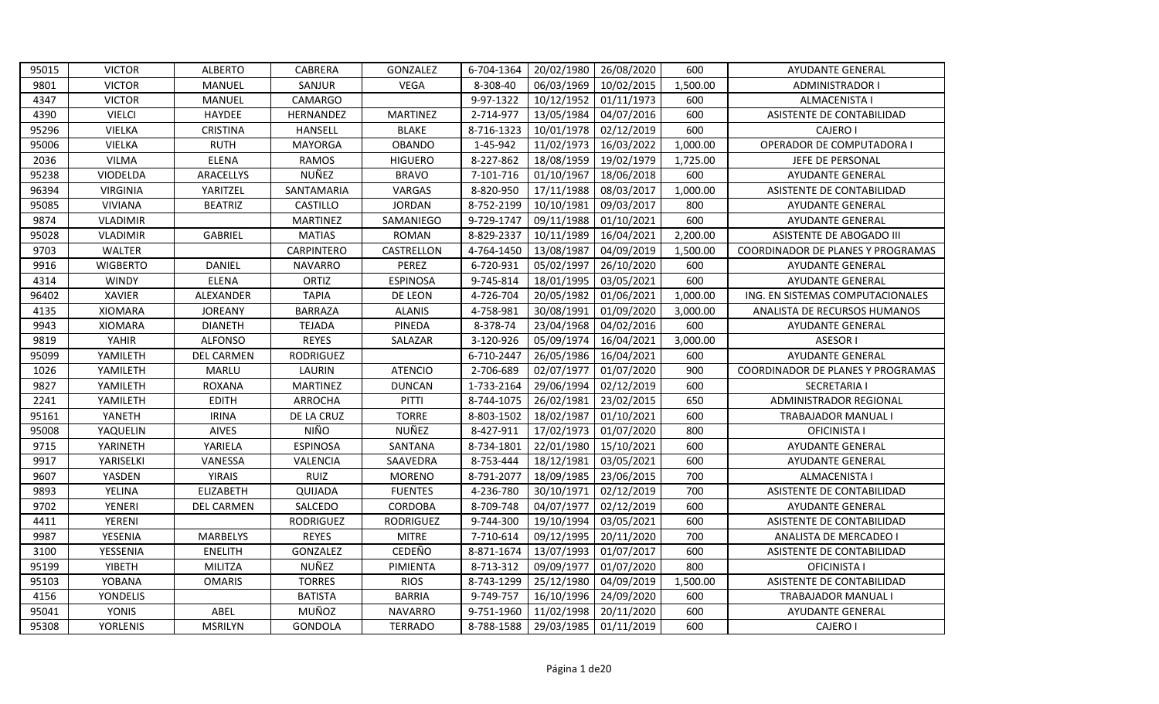| 95015 | <b>VICTOR</b>   | <b>ALBERTO</b>    | CABRERA          | GONZALEZ         | 6-704-1364 | 20/02/1980 | 26/08/2020 | 600      | <b>AYUDANTE GENERAL</b>           |
|-------|-----------------|-------------------|------------------|------------------|------------|------------|------------|----------|-----------------------------------|
| 9801  | <b>VICTOR</b>   | MANUEL            | SANJUR           | <b>VEGA</b>      | 8-308-40   | 06/03/1969 | 10/02/2015 | 1,500.00 | ADMINISTRADOR I                   |
| 4347  | <b>VICTOR</b>   | MANUEL            | CAMARGO          |                  | 9-97-1322  | 10/12/1952 | 01/11/1973 | 600      | ALMACENISTA I                     |
| 4390  | <b>VIELCI</b>   | <b>HAYDEE</b>     | HERNANDEZ        | <b>MARTINEZ</b>  | 2-714-977  | 13/05/1984 | 04/07/2016 | 600      | ASISTENTE DE CONTABILIDAD         |
| 95296 | <b>VIELKA</b>   | <b>CRISTINA</b>   | HANSELL          | <b>BLAKE</b>     | 8-716-1323 | 10/01/1978 | 02/12/2019 | 600      | <b>CAJERO I</b>                   |
| 95006 | <b>VIELKA</b>   | <b>RUTH</b>       | <b>MAYORGA</b>   | <b>OBANDO</b>    | 1-45-942   | 11/02/1973 | 16/03/2022 | 1,000.00 | OPERADOR DE COMPUTADORA I         |
| 2036  | <b>VILMA</b>    | <b>ELENA</b>      | <b>RAMOS</b>     | <b>HIGUERO</b>   | 8-227-862  | 18/08/1959 | 19/02/1979 | 1,725.00 | JEFE DE PERSONAL                  |
| 95238 | VIODELDA        | ARACELLYS         | NUÑEZ            | <b>BRAVO</b>     | 7-101-716  | 01/10/1967 | 18/06/2018 | 600      | <b>AYUDANTE GENERAL</b>           |
| 96394 | <b>VIRGINIA</b> | YARITZEL          | SANTAMARIA       | VARGAS           | 8-820-950  | 17/11/1988 | 08/03/2017 | 1,000.00 | ASISTENTE DE CONTABILIDAD         |
| 95085 | <b>VIVIANA</b>  | <b>BEATRIZ</b>    | <b>CASTILLO</b>  | <b>JORDAN</b>    | 8-752-2199 | 10/10/1981 | 09/03/2017 | 800      | AYUDANTE GENERAL                  |
| 9874  | <b>VLADIMIR</b> |                   | <b>MARTINEZ</b>  | SAMANIEGO        | 9-729-1747 | 09/11/1988 | 01/10/2021 | 600      | <b>AYUDANTE GENERAL</b>           |
| 95028 | <b>VLADIMIR</b> | <b>GABRIEL</b>    | <b>MATIAS</b>    | <b>ROMAN</b>     | 8-829-2337 | 10/11/1989 | 16/04/2021 | 2,200.00 | ASISTENTE DE ABOGADO III          |
| 9703  | <b>WALTER</b>   |                   | CARPINTERO       | CASTRELLON       | 4-764-1450 | 13/08/1987 | 04/09/2019 | 1,500.00 | COORDINADOR DE PLANES Y PROGRAMAS |
| 9916  | <b>WIGBERTO</b> | <b>DANIEL</b>     | <b>NAVARRO</b>   | PEREZ            | 6-720-931  | 05/02/1997 | 26/10/2020 | 600      | <b>AYUDANTE GENERAL</b>           |
| 4314  | <b>WINDY</b>    | <b>ELENA</b>      | ORTIZ            | <b>ESPINOSA</b>  | 9-745-814  | 18/01/1995 | 03/05/2021 | 600      | <b>AYUDANTE GENERAL</b>           |
| 96402 | <b>XAVIER</b>   | ALEXANDER         | <b>TAPIA</b>     | DE LEON          | 4-726-704  | 20/05/1982 | 01/06/2021 | 1,000.00 | ING. EN SISTEMAS COMPUTACIONALES  |
| 4135  | <b>XIOMARA</b>  | <b>JOREANY</b>    | <b>BARRAZA</b>   | <b>ALANIS</b>    | 4-758-981  | 30/08/1991 | 01/09/2020 | 3,000.00 | ANALISTA DE RECURSOS HUMANOS      |
| 9943  | <b>XIOMARA</b>  | <b>DIANETH</b>    | <b>TEJADA</b>    | PINEDA           | 8-378-74   | 23/04/1968 | 04/02/2016 | 600      | <b>AYUDANTE GENERAL</b>           |
| 9819  | YAHIR           | <b>ALFONSO</b>    | <b>REYES</b>     | SALAZAR          | 3-120-926  | 05/09/1974 | 16/04/2021 | 3,000.00 | <b>ASESOR I</b>                   |
| 95099 | YAMILETH        | <b>DEL CARMEN</b> | <b>RODRIGUEZ</b> |                  | 6-710-2447 | 26/05/1986 | 16/04/2021 | 600      | <b>AYUDANTE GENERAL</b>           |
| 1026  | YAMILETH        | <b>MARLU</b>      | LAURIN           | <b>ATENCIO</b>   | 2-706-689  | 02/07/1977 | 01/07/2020 | 900      | COORDINADOR DE PLANES Y PROGRAMAS |
| 9827  | YAMILETH        | <b>ROXANA</b>     | <b>MARTINEZ</b>  | <b>DUNCAN</b>    | 1-733-2164 | 29/06/1994 | 02/12/2019 | 600      | <b>SECRETARIA I</b>               |
| 2241  | YAMILETH        | <b>EDITH</b>      | ARROCHA          | PITTI            | 8-744-1075 | 26/02/1981 | 23/02/2015 | 650      | ADMINISTRADOR REGIONAL            |
| 95161 | YANETH          | <b>IRINA</b>      | DE LA CRUZ       | <b>TORRE</b>     | 8-803-1502 | 18/02/1987 | 01/10/2021 | 600      | TRABAJADOR MANUAL I               |
| 95008 | YAQUELIN        | <b>AIVES</b>      | <b>NIÑO</b>      | NUÑEZ            | 8-427-911  | 17/02/1973 | 01/07/2020 | 800      | <b>OFICINISTA I</b>               |
| 9715  | YARINETH        | YARIELA           | <b>ESPINOSA</b>  | SANTANA          | 8-734-1801 | 22/01/1980 | 15/10/2021 | 600      | <b>AYUDANTE GENERAL</b>           |
| 9917  | YARISELKI       | VANESSA           | VALENCIA         | SAAVEDRA         | 8-753-444  | 18/12/1981 | 03/05/2021 | 600      | AYUDANTE GENERAL                  |
| 9607  | YASDEN          | <b>YIRAIS</b>     | <b>RUIZ</b>      | <b>MORENO</b>    | 8-791-2077 | 18/09/1985 | 23/06/2015 | 700      | ALMACENISTA I                     |
| 9893  | YELINA          | <b>ELIZABETH</b>  | QUIJADA          | <b>FUENTES</b>   | 4-236-780  | 30/10/1971 | 02/12/2019 | 700      | ASISTENTE DE CONTABILIDAD         |
| 9702  | <b>YENERI</b>   | DEL CARMEN        | SALCEDO          | CORDOBA          | 8-709-748  | 04/07/1977 | 02/12/2019 | 600      | <b>AYUDANTE GENERAL</b>           |
| 4411  | YERENI          |                   | <b>RODRIGUEZ</b> | <b>RODRIGUEZ</b> | 9-744-300  | 19/10/1994 | 03/05/2021 | 600      | ASISTENTE DE CONTABILIDAD         |
| 9987  | YESENIA         | <b>MARBELYS</b>   | <b>REYES</b>     | <b>MITRE</b>     | 7-710-614  | 09/12/1995 | 20/11/2020 | 700      | <b>ANALISTA DE MERCADEO I</b>     |
| 3100  | YESSENIA        | <b>ENELITH</b>    | GONZALEZ         | CEDEÑO           | 8-871-1674 | 13/07/1993 | 01/07/2017 | 600      | ASISTENTE DE CONTABILIDAD         |
| 95199 | <b>YIBETH</b>   | <b>MILITZA</b>    | NUÑEZ            | PIMIENTA         | 8-713-312  | 09/09/1977 | 01/07/2020 | 800      | <b>OFICINISTA I</b>               |
| 95103 | YOBANA          | <b>OMARIS</b>     | <b>TORRES</b>    | <b>RIOS</b>      | 8-743-1299 | 25/12/1980 | 04/09/2019 | 1,500.00 | ASISTENTE DE CONTABILIDAD         |
| 4156  | YONDELIS        |                   | <b>BATISTA</b>   | <b>BARRIA</b>    | 9-749-757  | 16/10/1996 | 24/09/2020 | 600      | TRABAJADOR MANUAL I               |
| 95041 | YONIS           | ABEL              | MUÑOZ            | <b>NAVARRO</b>   | 9-751-1960 | 11/02/1998 | 20/11/2020 | 600      | AYUDANTE GENERAL                  |
|       |                 |                   |                  |                  |            |            |            |          |                                   |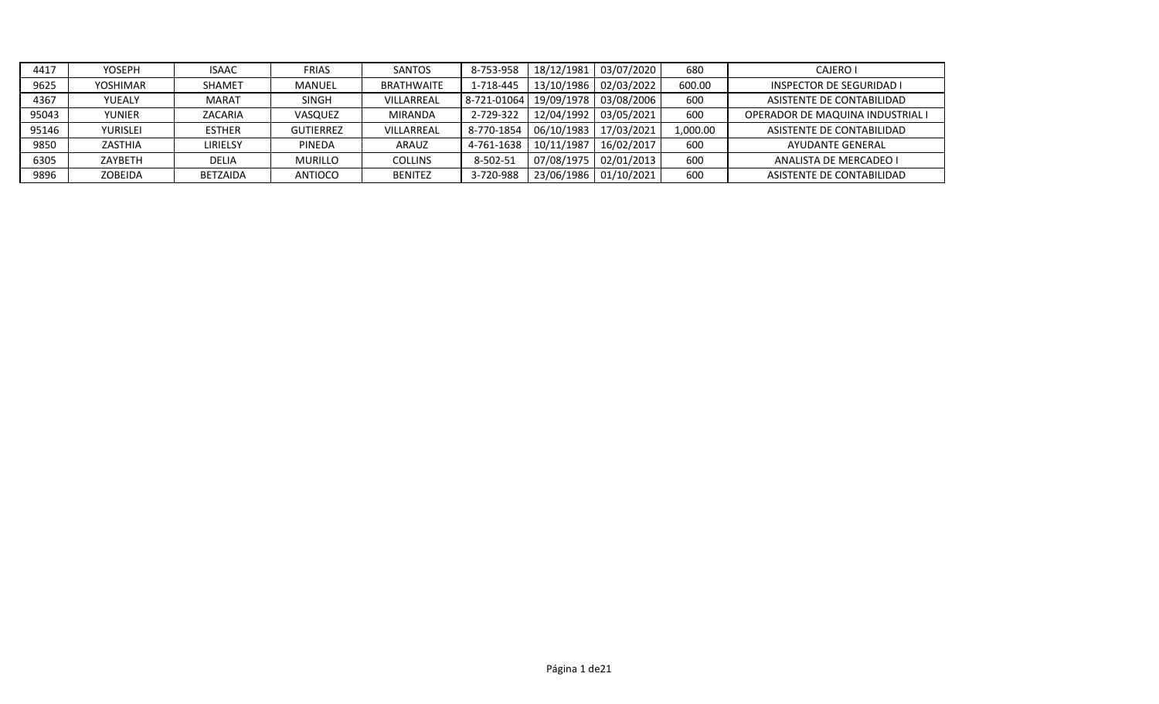| 4417  | <b>YOSEPH</b>   | <b>ISAAC</b>    | <b>FRIAS</b>     | <b>SANTOS</b>     | 8-753-958   | 18/12/1981 | 03/07/2020            | 680      | <b>CAJERO I</b>                  |
|-------|-----------------|-----------------|------------------|-------------------|-------------|------------|-----------------------|----------|----------------------------------|
| 9625  | YOSHIMAR        | <b>SHAMET</b>   | MANUEL           | <b>BRATHWAITE</b> | 1-718-445   |            | 13/10/1986 02/03/2022 | 600.00   | <b>INSPECTOR DE SEGURIDAD I</b>  |
| 4367  | YUEALY          | <b>MARAT</b>    | <b>SINGH</b>     | VILLARREAL        | 8-721-01064 |            | 19/09/1978 03/08/2006 | 600      | ASISTENTE DE CONTABILIDAD        |
| 95043 | <b>YUNIER</b>   | ZACARIA         | VASQUEZ          | <b>MIRANDA</b>    | 2-729-322   | 12/04/1992 | 03/05/2021            | 600      | OPERADOR DE MAQUINA INDUSTRIAL I |
| 95146 | <b>YURISLEI</b> | <b>ESTHER</b>   | <b>GUTIERREZ</b> | VILLARREAL        | 8-770-1854  | 06/10/1983 | 17/03/2021            | 1,000.00 | ASISTENTE DE CONTABILIDAD        |
| 9850  | ZASTHIA         | LIRIELSY        | <b>PINEDA</b>    | <b>ARAUZ</b>      | 4-761-1638  | 10/11/1987 | 16/02/2017            | 600      | <b>AYUDANTE GENERAL</b>          |
| 6305  | ZAYBETH         | <b>DELIA</b>    | <b>MURILLO</b>   | <b>COLLINS</b>    | 8-502-51    | 07/08/1975 | 02/01/2013            | 600      | ANALISTA DE MERCADEO I           |
| 9896  | <b>ZOBEIDA</b>  | <b>BETZAIDA</b> | ANTIOCO          | <b>BENITEZ</b>    | 3-720-988   | 23/06/1986 | 01/10/2021            | 600      | ASISTENTE DE CONTABILIDAD        |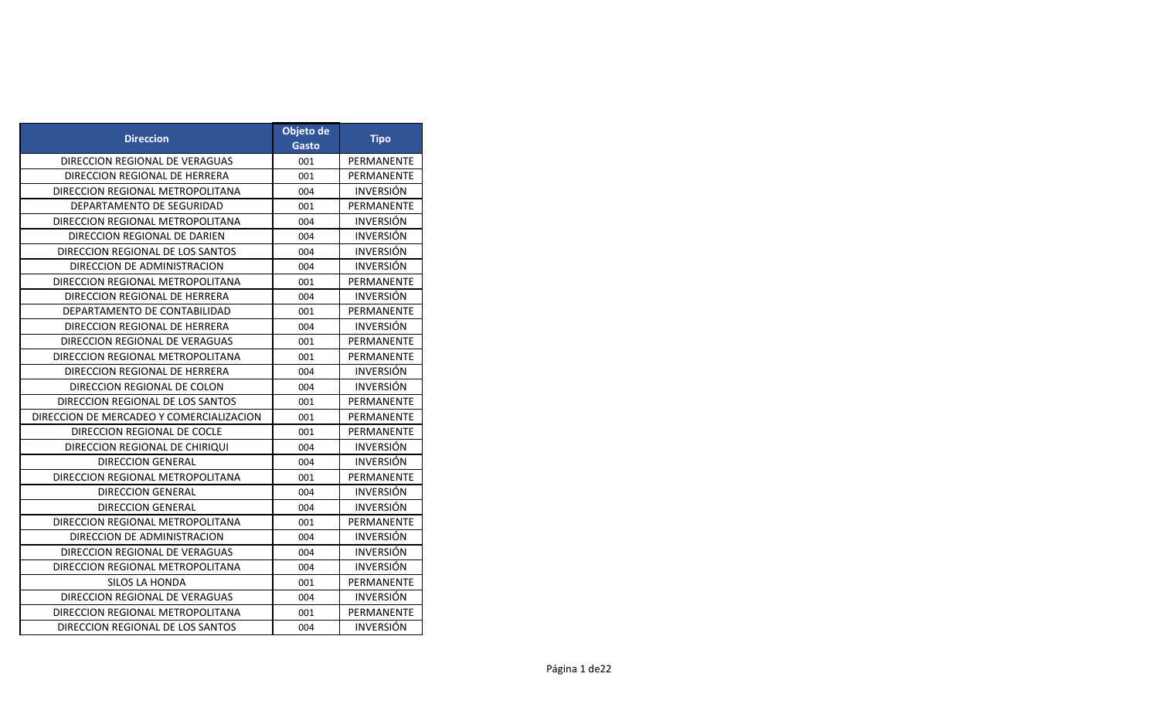| <b>Direccion</b>                         | Objeto de<br>Gasto | <b>Tipo</b>      |
|------------------------------------------|--------------------|------------------|
| DIRECCION REGIONAL DE VERAGUAS           | 001                | PERMANENTE       |
| DIRECCION REGIONAL DE HERRERA            | 001                | PERMANENTE       |
| DIRECCION REGIONAL METROPOLITANA         | 004                | <b>INVERSIÓN</b> |
| DEPARTAMENTO DE SEGURIDAD                | 001                | PERMANENTE       |
| DIRECCION REGIONAL METROPOLITANA         | 004                | <b>INVERSIÓN</b> |
| DIRECCION REGIONAL DE DARIEN             | 004                | <b>INVERSIÓN</b> |
| DIRECCION REGIONAL DE LOS SANTOS         | 004                | <b>INVERSIÓN</b> |
| DIRECCION DE ADMINISTRACION              | 004                | <b>INVERSIÓN</b> |
| DIRECCION REGIONAL METROPOLITANA         | 001                | PERMANENTE       |
| DIRECCION REGIONAL DE HERRERA            | 004                | <b>INVERSION</b> |
| DEPARTAMENTO DE CONTABILIDAD             | 001                | PERMANENTE       |
| DIRECCION REGIONAL DE HERRERA            | 004                | <b>INVERSIÓN</b> |
| DIRECCION REGIONAL DE VERAGUAS           | 001                | PERMANENTE       |
| DIRECCION REGIONAL METROPOLITANA         | 001                | PERMANENTE       |
| DIRECCION REGIONAL DE HERRERA            | 004                | <b>INVERSIÓN</b> |
| DIRECCION REGIONAL DE COLON              | 004                | <b>INVERSIÓN</b> |
| DIRECCION REGIONAL DE LOS SANTOS         | 001                | PERMANENTE       |
| DIRECCION DE MERCADEO Y COMERCIALIZACION | 001                | PERMANENTE       |
| DIRECCION REGIONAL DE COCLE              | 001                | PERMANENTE       |
| DIRECCION REGIONAL DE CHIRIQUI           | 004                | <b>INVERSIÓN</b> |
| <b>DIRECCION GENERAL</b>                 | 004                | <b>INVERSIÓN</b> |
| DIRECCION REGIONAL METROPOLITANA         | 001                | PERMANENTE       |
| <b>DIRECCION GENERAL</b>                 | 004                | <b>INVERSIÓN</b> |
| <b>DIRECCION GENERAL</b>                 | 004                | <b>INVERSIÓN</b> |
| DIRECCION REGIONAL METROPOLITANA         | 001                | PERMANENTE       |
| DIRECCION DE ADMINISTRACION              | 004                | <b>INVERSIÓN</b> |
| DIRECCION REGIONAL DE VERAGUAS           | 004                | <b>INVERSIÓN</b> |
| DIRECCION REGIONAL METROPOLITANA         | 004                | <b>INVERSIÓN</b> |
| SILOS LA HONDA                           | 001                | PERMANENTE       |
| DIRECCION REGIONAL DE VERAGUAS           | 004                | <b>INVERSIÓN</b> |
| DIRECCION REGIONAL METROPOLITANA         | 001                | PERMANENTE       |
| DIRECCION REGIONAL DE LOS SANTOS         | 004                | <b>INVERSIÓN</b> |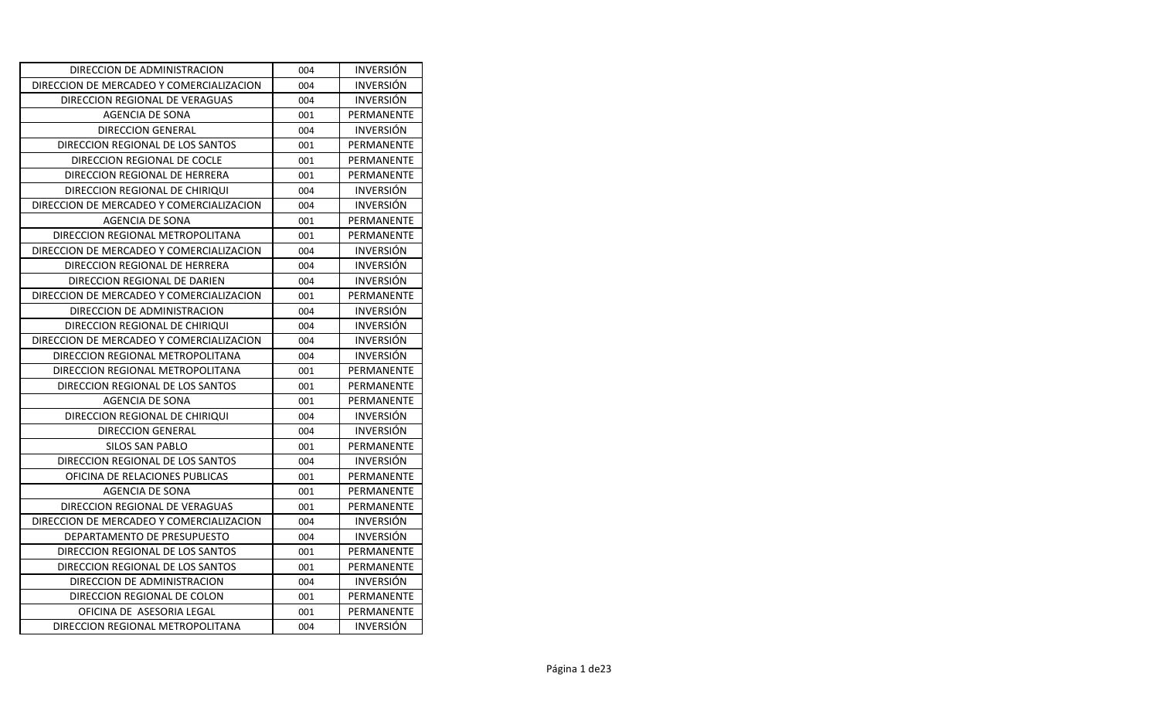| DIRECCION DE ADMINISTRACION              | 004 | <b>INVERSION</b> |
|------------------------------------------|-----|------------------|
| DIRECCION DE MERCADEO Y COMERCIALIZACION | 004 | <b>INVERSIÓN</b> |
| DIRECCION REGIONAL DE VERAGUAS           | 004 | <b>INVERSION</b> |
| AGENCIA DE SONA                          | 001 | PERMANENTE       |
| <b>DIRECCION GENERAL</b>                 | 004 | <b>INVERSIÓN</b> |
| DIRECCION REGIONAL DE LOS SANTOS         | 001 | PERMANENTE       |
| DIRECCION REGIONAL DE COCLE              | 001 | PERMANENTE       |
| DIRECCION REGIONAL DE HERRERA            | 001 | PERMANENTE       |
| DIRECCION REGIONAL DE CHIRIQUI           | 004 | <b>INVERSIÓN</b> |
| DIRECCION DE MERCADEO Y COMERCIALIZACION | 004 | <b>INVERSIÓN</b> |
| <b>AGENCIA DE SONA</b>                   | 001 | PERMANENTE       |
| DIRECCION REGIONAL METROPOLITANA         | 001 | PERMANENTE       |
| DIRECCION DE MERCADEO Y COMERCIALIZACION | 004 | <b>INVERSIÓN</b> |
| DIRECCION REGIONAL DE HERRERA            | 004 | <b>INVERSIÓN</b> |
| DIRECCION REGIONAL DE DARIEN             | 004 | <b>INVERSIÓN</b> |
| DIRECCION DE MERCADEO Y COMERCIALIZACION | 001 | PERMANENTE       |
| DIRECCION DE ADMINISTRACION              | 004 | <b>INVERSIÓN</b> |
| DIRECCION REGIONAL DE CHIRIQUI           | 004 | <b>INVERSION</b> |
| DIRECCION DE MERCADEO Y COMERCIALIZACION | 004 | <b>INVERSIÓN</b> |
| DIRECCION REGIONAL METROPOLITANA         | 004 | <b>INVERSIÓN</b> |
| DIRECCION REGIONAL METROPOLITANA         | 001 | PERMANENTE       |
| DIRECCION REGIONAL DE LOS SANTOS         | 001 | PERMANENTE       |
| AGENCIA DE SONA                          | 001 | PERMANENTE       |
| DIRECCION REGIONAL DE CHIRIQUI           | 004 | <b>INVERSIÓN</b> |
| <b>DIRECCION GENERAL</b>                 | 004 | <b>INVERSION</b> |
| SILOS SAN PABLO                          | 001 | PERMANENTE       |
| DIRECCION REGIONAL DE LOS SANTOS         | 004 | <b>INVERSIÓN</b> |
| OFICINA DE RELACIONES PUBLICAS           | 001 | PERMANENTE       |
| AGENCIA DE SONA                          | 001 | PERMANENTE       |
| DIRECCION REGIONAL DE VERAGUAS           | 001 | PERMANENTE       |
| DIRECCION DE MERCADEO Y COMERCIALIZACION | 004 | <b>INVERSIÓN</b> |
| DEPARTAMENTO DE PRESUPUESTO              | 004 | <b>INVERSIÓN</b> |
| DIRECCION REGIONAL DE LOS SANTOS         | 001 | PERMANENTE       |
| DIRECCION REGIONAL DE LOS SANTOS         | 001 | PERMANENTE       |
| DIRECCION DE ADMINISTRACION              | 004 | <b>INVERSIÓN</b> |
| DIRECCION REGIONAL DE COLON              | 001 | PERMANENTE       |
| OFICINA DE ASESORIA LEGAL                | 001 | PERMANENTE       |
| DIRECCION REGIONAL METROPOLITANA         | 004 | <b>INVERSIÓN</b> |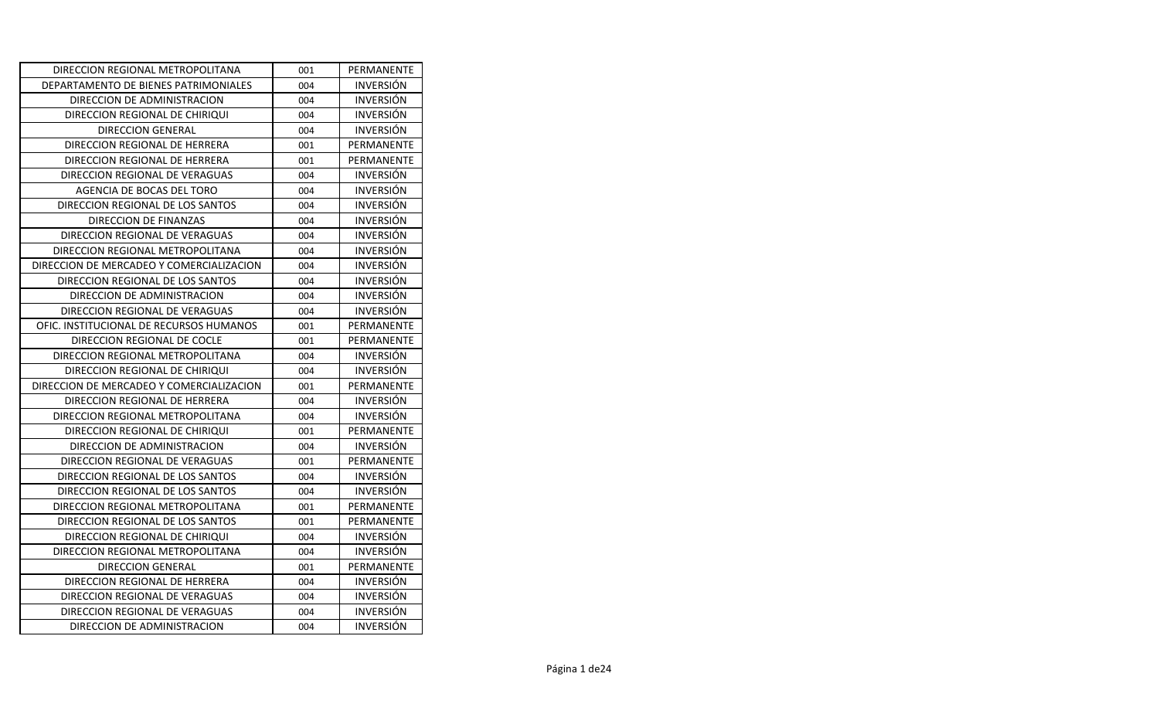| DIRECCION REGIONAL METROPOLITANA         | 001 | PERMANENTE       |
|------------------------------------------|-----|------------------|
| DEPARTAMENTO DE BIENES PATRIMONIALES     | 004 | <b>INVERSION</b> |
| DIRECCION DE ADMINISTRACION              | 004 | <b>INVERSION</b> |
| DIRECCION REGIONAL DE CHIRIQUI           | 004 | <b>INVERSIÓN</b> |
| DIRECCION GENERAL                        | 004 | <b>INVERSION</b> |
| DIRECCION REGIONAL DE HERRERA            | 001 | PERMANENTE       |
| DIRECCION REGIONAL DE HERRERA            | 001 | PERMANENTE       |
| DIRECCION REGIONAL DE VERAGUAS           | 004 | <b>INVERSIÓN</b> |
| AGENCIA DE BOCAS DEL TORO                | 004 | <b>INVERSIÓN</b> |
| DIRECCION REGIONAL DE LOS SANTOS         | 004 | <b>INVERSIÓN</b> |
| DIRECCION DE FINANZAS                    | 004 | <b>INVERSIÓN</b> |
| DIRECCION REGIONAL DE VERAGUAS           | 004 | <b>INVERSIÓN</b> |
| DIRECCION REGIONAL METROPOLITANA         | 004 | <b>INVERSIÓN</b> |
| DIRECCION DE MERCADEO Y COMERCIALIZACION | 004 | <b>INVERSION</b> |
| DIRECCION REGIONAL DE LOS SANTOS         | 004 | <b>INVERSIÓN</b> |
| DIRECCION DE ADMINISTRACION              | 004 | <b>INVERSIÓN</b> |
| DIRECCION REGIONAL DE VERAGUAS           | 004 | <b>INVERSION</b> |
| OFIC. INSTITUCIONAL DE RECURSOS HUMANOS  | 001 | PERMANENTE       |
| DIRECCION REGIONAL DE COCLE              | 001 | PERMANENTE       |
| DIRECCION REGIONAL METROPOLITANA         | 004 | <b>INVERSION</b> |
| DIRECCION REGIONAL DE CHIRIQUI           | 004 | <b>INVERSION</b> |
| DIRECCION DE MERCADEO Y COMERCIALIZACION | 001 | PERMANENTE       |
| DIRECCION REGIONAL DE HERRERA            | 004 | <b>INVERSION</b> |
| DIRECCION REGIONAL METROPOLITANA         | 004 | <b>INVERSIÓN</b> |
| DIRECCION REGIONAL DE CHIRIQUI           | 001 | PERMANENTE       |
| DIRECCION DE ADMINISTRACION              | 004 | <b>INVERSION</b> |
| DIRECCION REGIONAL DE VERAGUAS           | 001 | PERMANENTE       |
| DIRECCION REGIONAL DE LOS SANTOS         | 004 | <b>INVERSIÓN</b> |
| DIRECCION REGIONAL DE LOS SANTOS         | 004 | <b>INVERSION</b> |
| DIRECCION REGIONAL METROPOLITANA         | 001 | PERMANENTE       |
| DIRECCION REGIONAL DE LOS SANTOS         | 001 | PERMANENTE       |
| DIRECCION REGIONAL DE CHIRIQUI           | 004 | <b>INVERSION</b> |
| DIRECCION REGIONAL METROPOLITANA         | 004 | <b>INVERSIÓN</b> |
| <b>DIRECCION GENERAL</b>                 | 001 | PERMANENTE       |
| DIRECCION REGIONAL DE HERRERA            | 004 | <b>INVERSION</b> |
| DIRECCION REGIONAL DE VERAGUAS           | 004 | <b>INVERSION</b> |
| DIRECCION REGIONAL DE VERAGUAS           | 004 | <b>INVERSIÓN</b> |
| DIRECCION DE ADMINISTRACION              | 004 | <b>INVERSIÓN</b> |
|                                          |     |                  |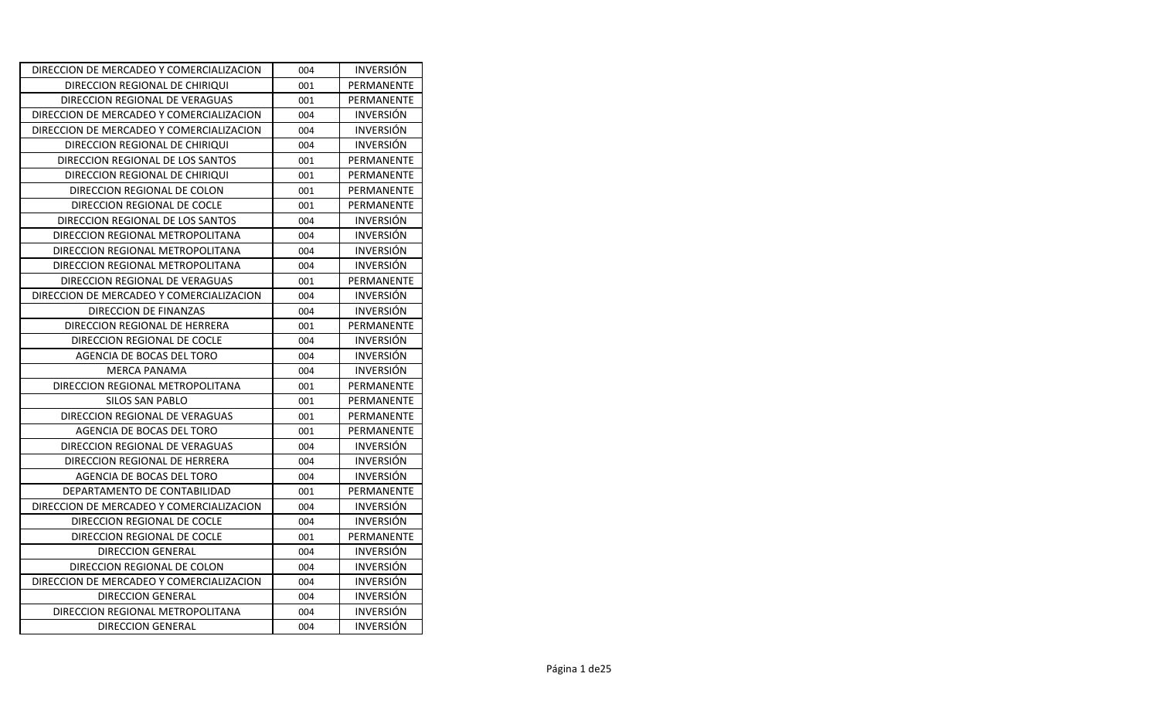| DIRECCION REGIONAL DE CHIRIQUI<br>001<br>DIRECCION REGIONAL DE VERAGUAS<br>001<br>DIRECCION DE MERCADEO Y COMERCIALIZACION<br>004<br>DIRECCION DE MERCADEO Y COMERCIALIZACION<br>004<br>DIRECCION REGIONAL DE CHIRIQUI<br>004<br>DIRECCION REGIONAL DE LOS SANTOS<br>001<br>DIRECCION REGIONAL DE CHIRIQUI<br>001<br>DIRECCION REGIONAL DE COLON<br>001<br>DIRECCION REGIONAL DE COCLE<br>001<br>DIRECCION REGIONAL DE LOS SANTOS<br>004<br>DIRECCION REGIONAL METROPOLITANA<br>004<br>DIRECCION REGIONAL METROPOLITANA<br>004<br>DIRECCION REGIONAL METROPOLITANA<br>004<br>DIRECCION REGIONAL DE VERAGUAS<br>001<br>DIRECCION DE MERCADEO Y COMERCIALIZACION<br>004<br>DIRECCION DE FINANZAS<br>004<br>DIRECCION REGIONAL DE HERRERA<br>001<br>DIRECCION REGIONAL DE COCLE<br>004<br>AGENCIA DE BOCAS DEL TORO<br>004<br><b>MERCA PANAMA</b><br>004<br>DIRECCION REGIONAL METROPOLITANA<br>001<br><b>SILOS SAN PABLO</b><br>001<br>DIRECCION REGIONAL DE VERAGUAS<br>001<br>AGENCIA DE BOCAS DEL TORO<br>001<br>DIRECCION REGIONAL DE VERAGUAS<br>004<br>DIRECCION REGIONAL DE HERRERA<br>004<br>AGENCIA DE BOCAS DEL TORO<br>004<br>DEPARTAMENTO DE CONTABILIDAD<br>001<br>DIRECCION DE MERCADEO Y COMERCIALIZACION<br>004<br>DIRECCION REGIONAL DE COCLE<br>004<br>DIRECCION REGIONAL DE COCLE<br>001<br>DIRECCION GENERAL<br>004 | DIRECCION DE MERCADEO Y COMERCIALIZACION | 004 | <b>INVERSION</b> |
|---------------------------------------------------------------------------------------------------------------------------------------------------------------------------------------------------------------------------------------------------------------------------------------------------------------------------------------------------------------------------------------------------------------------------------------------------------------------------------------------------------------------------------------------------------------------------------------------------------------------------------------------------------------------------------------------------------------------------------------------------------------------------------------------------------------------------------------------------------------------------------------------------------------------------------------------------------------------------------------------------------------------------------------------------------------------------------------------------------------------------------------------------------------------------------------------------------------------------------------------------------------------------------------------------------------------------------------|------------------------------------------|-----|------------------|
|                                                                                                                                                                                                                                                                                                                                                                                                                                                                                                                                                                                                                                                                                                                                                                                                                                                                                                                                                                                                                                                                                                                                                                                                                                                                                                                                       |                                          |     | PERMANENTE       |
|                                                                                                                                                                                                                                                                                                                                                                                                                                                                                                                                                                                                                                                                                                                                                                                                                                                                                                                                                                                                                                                                                                                                                                                                                                                                                                                                       |                                          |     | PERMANENTE       |
|                                                                                                                                                                                                                                                                                                                                                                                                                                                                                                                                                                                                                                                                                                                                                                                                                                                                                                                                                                                                                                                                                                                                                                                                                                                                                                                                       |                                          |     | <b>INVERSIÓN</b> |
|                                                                                                                                                                                                                                                                                                                                                                                                                                                                                                                                                                                                                                                                                                                                                                                                                                                                                                                                                                                                                                                                                                                                                                                                                                                                                                                                       |                                          |     | <b>INVERSIÓN</b> |
|                                                                                                                                                                                                                                                                                                                                                                                                                                                                                                                                                                                                                                                                                                                                                                                                                                                                                                                                                                                                                                                                                                                                                                                                                                                                                                                                       |                                          |     | <b>INVERSIÓN</b> |
|                                                                                                                                                                                                                                                                                                                                                                                                                                                                                                                                                                                                                                                                                                                                                                                                                                                                                                                                                                                                                                                                                                                                                                                                                                                                                                                                       |                                          |     | PERMANENTE       |
|                                                                                                                                                                                                                                                                                                                                                                                                                                                                                                                                                                                                                                                                                                                                                                                                                                                                                                                                                                                                                                                                                                                                                                                                                                                                                                                                       |                                          |     | PERMANENTE       |
|                                                                                                                                                                                                                                                                                                                                                                                                                                                                                                                                                                                                                                                                                                                                                                                                                                                                                                                                                                                                                                                                                                                                                                                                                                                                                                                                       |                                          |     | PERMANENTE       |
|                                                                                                                                                                                                                                                                                                                                                                                                                                                                                                                                                                                                                                                                                                                                                                                                                                                                                                                                                                                                                                                                                                                                                                                                                                                                                                                                       |                                          |     | PERMANENTE       |
|                                                                                                                                                                                                                                                                                                                                                                                                                                                                                                                                                                                                                                                                                                                                                                                                                                                                                                                                                                                                                                                                                                                                                                                                                                                                                                                                       |                                          |     | <b>INVERSION</b> |
|                                                                                                                                                                                                                                                                                                                                                                                                                                                                                                                                                                                                                                                                                                                                                                                                                                                                                                                                                                                                                                                                                                                                                                                                                                                                                                                                       |                                          |     | <b>INVERSIÓN</b> |
|                                                                                                                                                                                                                                                                                                                                                                                                                                                                                                                                                                                                                                                                                                                                                                                                                                                                                                                                                                                                                                                                                                                                                                                                                                                                                                                                       |                                          |     | <b>INVERSIÓN</b> |
|                                                                                                                                                                                                                                                                                                                                                                                                                                                                                                                                                                                                                                                                                                                                                                                                                                                                                                                                                                                                                                                                                                                                                                                                                                                                                                                                       |                                          |     | <b>INVERSIÓN</b> |
|                                                                                                                                                                                                                                                                                                                                                                                                                                                                                                                                                                                                                                                                                                                                                                                                                                                                                                                                                                                                                                                                                                                                                                                                                                                                                                                                       |                                          |     | PERMANENTE       |
|                                                                                                                                                                                                                                                                                                                                                                                                                                                                                                                                                                                                                                                                                                                                                                                                                                                                                                                                                                                                                                                                                                                                                                                                                                                                                                                                       |                                          |     | <b>INVERSION</b> |
|                                                                                                                                                                                                                                                                                                                                                                                                                                                                                                                                                                                                                                                                                                                                                                                                                                                                                                                                                                                                                                                                                                                                                                                                                                                                                                                                       |                                          |     | <b>INVERSION</b> |
|                                                                                                                                                                                                                                                                                                                                                                                                                                                                                                                                                                                                                                                                                                                                                                                                                                                                                                                                                                                                                                                                                                                                                                                                                                                                                                                                       |                                          |     | PERMANENTE       |
|                                                                                                                                                                                                                                                                                                                                                                                                                                                                                                                                                                                                                                                                                                                                                                                                                                                                                                                                                                                                                                                                                                                                                                                                                                                                                                                                       |                                          |     | <b>INVERSION</b> |
|                                                                                                                                                                                                                                                                                                                                                                                                                                                                                                                                                                                                                                                                                                                                                                                                                                                                                                                                                                                                                                                                                                                                                                                                                                                                                                                                       |                                          |     | <b>INVERSIÓN</b> |
|                                                                                                                                                                                                                                                                                                                                                                                                                                                                                                                                                                                                                                                                                                                                                                                                                                                                                                                                                                                                                                                                                                                                                                                                                                                                                                                                       |                                          |     | <b>INVERSIÓN</b> |
|                                                                                                                                                                                                                                                                                                                                                                                                                                                                                                                                                                                                                                                                                                                                                                                                                                                                                                                                                                                                                                                                                                                                                                                                                                                                                                                                       |                                          |     | PERMANENTE       |
|                                                                                                                                                                                                                                                                                                                                                                                                                                                                                                                                                                                                                                                                                                                                                                                                                                                                                                                                                                                                                                                                                                                                                                                                                                                                                                                                       |                                          |     | PERMANENTE       |
|                                                                                                                                                                                                                                                                                                                                                                                                                                                                                                                                                                                                                                                                                                                                                                                                                                                                                                                                                                                                                                                                                                                                                                                                                                                                                                                                       |                                          |     | PERMANENTE       |
|                                                                                                                                                                                                                                                                                                                                                                                                                                                                                                                                                                                                                                                                                                                                                                                                                                                                                                                                                                                                                                                                                                                                                                                                                                                                                                                                       |                                          |     | PERMANENTE       |
|                                                                                                                                                                                                                                                                                                                                                                                                                                                                                                                                                                                                                                                                                                                                                                                                                                                                                                                                                                                                                                                                                                                                                                                                                                                                                                                                       |                                          |     | <b>INVERSIÓN</b> |
|                                                                                                                                                                                                                                                                                                                                                                                                                                                                                                                                                                                                                                                                                                                                                                                                                                                                                                                                                                                                                                                                                                                                                                                                                                                                                                                                       |                                          |     | <b>INVERSION</b> |
|                                                                                                                                                                                                                                                                                                                                                                                                                                                                                                                                                                                                                                                                                                                                                                                                                                                                                                                                                                                                                                                                                                                                                                                                                                                                                                                                       |                                          |     | <b>INVERSIÓN</b> |
|                                                                                                                                                                                                                                                                                                                                                                                                                                                                                                                                                                                                                                                                                                                                                                                                                                                                                                                                                                                                                                                                                                                                                                                                                                                                                                                                       |                                          |     | PERMANENTE       |
|                                                                                                                                                                                                                                                                                                                                                                                                                                                                                                                                                                                                                                                                                                                                                                                                                                                                                                                                                                                                                                                                                                                                                                                                                                                                                                                                       |                                          |     | <b>INVERSION</b> |
|                                                                                                                                                                                                                                                                                                                                                                                                                                                                                                                                                                                                                                                                                                                                                                                                                                                                                                                                                                                                                                                                                                                                                                                                                                                                                                                                       |                                          |     | <b>INVERSIÓN</b> |
|                                                                                                                                                                                                                                                                                                                                                                                                                                                                                                                                                                                                                                                                                                                                                                                                                                                                                                                                                                                                                                                                                                                                                                                                                                                                                                                                       |                                          |     | PERMANENTE       |
|                                                                                                                                                                                                                                                                                                                                                                                                                                                                                                                                                                                                                                                                                                                                                                                                                                                                                                                                                                                                                                                                                                                                                                                                                                                                                                                                       |                                          |     | <b>INVERSION</b> |
|                                                                                                                                                                                                                                                                                                                                                                                                                                                                                                                                                                                                                                                                                                                                                                                                                                                                                                                                                                                                                                                                                                                                                                                                                                                                                                                                       | DIRECCION REGIONAL DE COLON              | 004 | <b>INVERSIÓN</b> |
| DIRECCION DE MERCADEO Y COMERCIALIZACION<br>004                                                                                                                                                                                                                                                                                                                                                                                                                                                                                                                                                                                                                                                                                                                                                                                                                                                                                                                                                                                                                                                                                                                                                                                                                                                                                       |                                          |     | <b>INVERSIÓN</b> |
| DIRECCION GENERAL<br>004                                                                                                                                                                                                                                                                                                                                                                                                                                                                                                                                                                                                                                                                                                                                                                                                                                                                                                                                                                                                                                                                                                                                                                                                                                                                                                              |                                          |     | <b>INVERSIÓN</b> |
| DIRECCION REGIONAL METROPOLITANA<br>004                                                                                                                                                                                                                                                                                                                                                                                                                                                                                                                                                                                                                                                                                                                                                                                                                                                                                                                                                                                                                                                                                                                                                                                                                                                                                               |                                          |     | <b>INVERSIÓN</b> |
| DIRECCION GENERAL<br>004                                                                                                                                                                                                                                                                                                                                                                                                                                                                                                                                                                                                                                                                                                                                                                                                                                                                                                                                                                                                                                                                                                                                                                                                                                                                                                              |                                          |     | <b>INVERSIÓN</b> |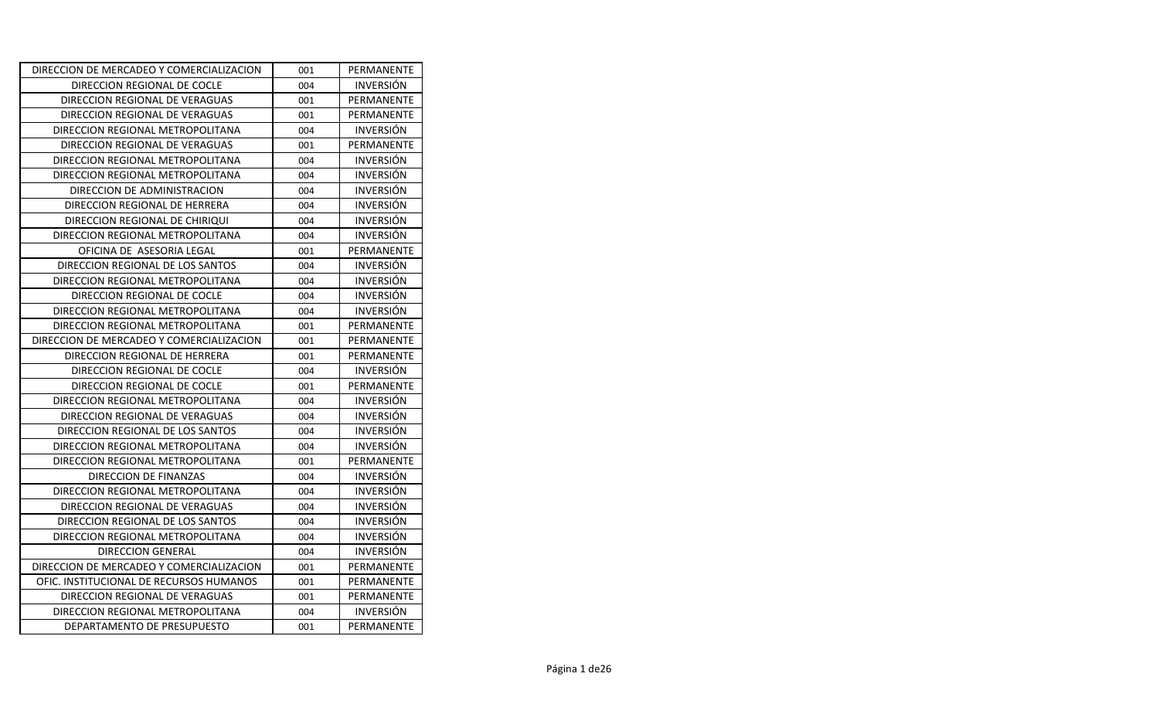| DIRECCION DE MERCADEO Y COMERCIALIZACION | 001 | PERMANENTE       |
|------------------------------------------|-----|------------------|
| DIRECCION REGIONAL DE COCLE              | 004 | <b>INVERSIÓN</b> |
| DIRECCION REGIONAL DE VERAGUAS           | 001 | PERMANENTE       |
| DIRECCION REGIONAL DE VERAGUAS           | 001 | PERMANENTE       |
| DIRECCION REGIONAL METROPOLITANA         | 004 | <b>INVERSIÓN</b> |
| DIRECCION REGIONAL DE VERAGUAS           | 001 | PERMANENTE       |
| DIRECCION REGIONAL METROPOLITANA         | 004 | <b>INVERSIÓN</b> |
| DIRECCION REGIONAL METROPOLITANA         | 004 | <b>INVERSIÓN</b> |
| DIRECCION DE ADMINISTRACION              | 004 | <b>INVERSIÓN</b> |
| DIRECCION REGIONAL DE HERRERA            | 004 | <b>INVERSIÓN</b> |
| DIRECCION REGIONAL DE CHIRIQUI           | 004 | <b>INVERSIÓN</b> |
| DIRECCION REGIONAL METROPOLITANA         | 004 | <b>INVERSIÓN</b> |
| OFICINA DE ASESORIA LEGAL                | 001 | PERMANENTE       |
| DIRECCION REGIONAL DE LOS SANTOS         | 004 | <b>INVERSIÓN</b> |
| DIRECCION REGIONAL METROPOLITANA         | 004 | <b>INVERSIÓN</b> |
| DIRECCION REGIONAL DE COCLE              | 004 | <b>INVERSIÓN</b> |
| DIRECCION REGIONAL METROPOLITANA         | 004 | <b>INVERSION</b> |
| DIRECCION REGIONAL METROPOLITANA         | 001 | PERMANENTE       |
| DIRECCION DE MERCADEO Y COMERCIALIZACION | 001 | PERMANENTE       |
| DIRECCION REGIONAL DE HERRERA            | 001 | PERMANENTE       |
| DIRECCION REGIONAL DE COCLE              | 004 | <b>INVERSION</b> |
| DIRECCION REGIONAL DE COCLE              | 001 | PERMANENTE       |
| DIRECCION REGIONAL METROPOLITANA         | 004 | <b>INVERSIÓN</b> |
| DIRECCION REGIONAL DE VERAGUAS           | 004 | <b>INVERSION</b> |
| DIRECCION REGIONAL DE LOS SANTOS         | 004 | <b>INVERSIÓN</b> |
| DIRECCION REGIONAL METROPOLITANA         | 004 | <b>INVERSIÓN</b> |
| DIRECCION REGIONAL METROPOLITANA         | 001 | PERMANENTE       |
| DIRECCION DE FINANZAS                    | 004 | <b>INVERSIÓN</b> |
| DIRECCION REGIONAL METROPOLITANA         | 004 | <b>INVERSIÓN</b> |
| DIRECCION REGIONAL DE VERAGUAS           | 004 | <b>INVERSIÓN</b> |
| DIRECCION REGIONAL DE LOS SANTOS         | 004 | <b>INVERSION</b> |
| DIRECCION REGIONAL METROPOLITANA         | 004 | <b>INVERSION</b> |
| DIRECCION GENERAL                        | 004 | <b>INVERSIÓN</b> |
| DIRECCION DE MERCADEO Y COMERCIALIZACION | 001 | PERMANENTE       |
| OFIC. INSTITUCIONAL DE RECURSOS HUMANOS  | 001 | PERMANENTE       |
| DIRECCION REGIONAL DE VERAGUAS           | 001 | PERMANENTE       |
| DIRECCION REGIONAL METROPOLITANA         | 004 | <b>INVERSIÓN</b> |
| DEPARTAMENTO DE PRESUPUESTO              | 001 | PERMANENTE       |
|                                          |     |                  |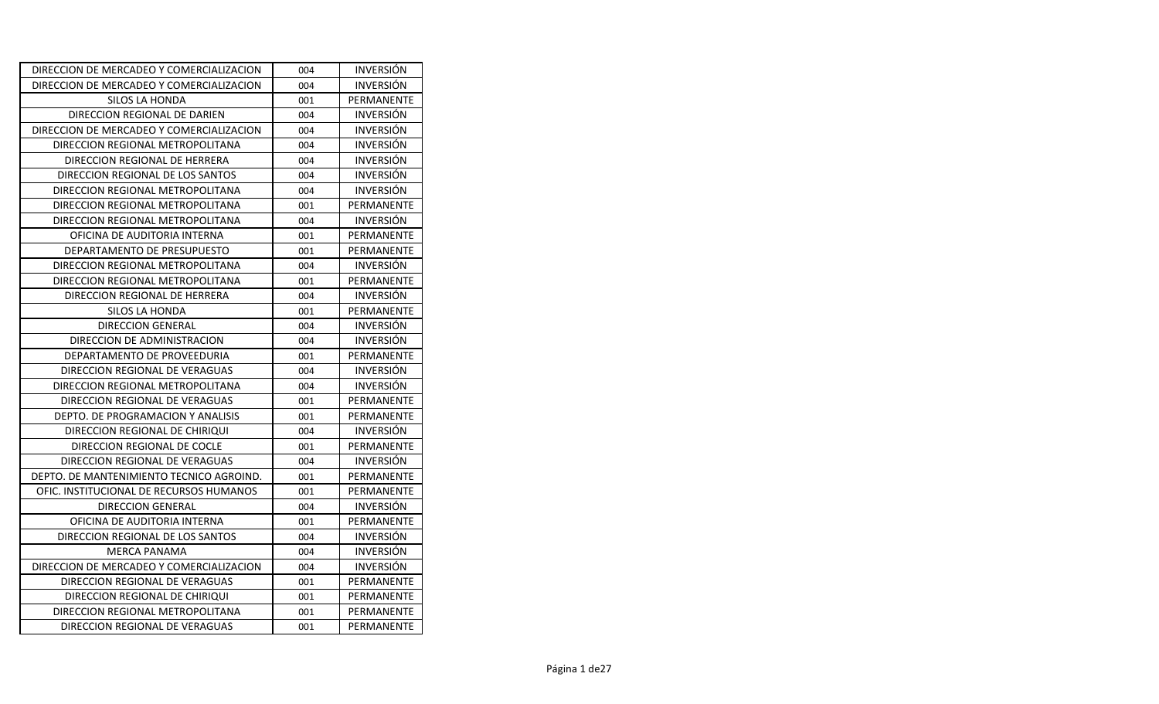| DIRECCION DE MERCADEO Y COMERCIALIZACION | 004 | <b>INVERSION</b> |
|------------------------------------------|-----|------------------|
| DIRECCION DE MERCADEO Y COMERCIALIZACION | 004 | <b>INVERSIÓN</b> |
| SILOS LA HONDA                           | 001 | PERMANENTE       |
| DIRECCION REGIONAL DE DARIEN             | 004 | <b>INVERSIÓN</b> |
| DIRECCION DE MERCADEO Y COMERCIALIZACION | 004 | <b>INVERSIÓN</b> |
| DIRECCION REGIONAL METROPOLITANA         | 004 | <b>INVERSIÓN</b> |
| DIRECCION REGIONAL DE HERRERA            | 004 | <b>INVERSIÓN</b> |
| DIRECCION REGIONAL DE LOS SANTOS         | 004 | <b>INVERSIÓN</b> |
| DIRECCION REGIONAL METROPOLITANA         | 004 | <b>INVERSIÓN</b> |
| DIRECCION REGIONAL METROPOLITANA         | 001 | PERMANENTE       |
| DIRECCION REGIONAL METROPOLITANA         | 004 | <b>INVERSIÓN</b> |
| OFICINA DE AUDITORIA INTERNA             | 001 | PERMANENTE       |
| DEPARTAMENTO DE PRESUPUESTO              | 001 | PERMANENTE       |
| DIRECCION REGIONAL METROPOLITANA         | 004 | <b>INVERSIÓN</b> |
| DIRECCION REGIONAL METROPOLITANA         | 001 | PERMANENTE       |
| DIRECCION REGIONAL DE HERRERA            | 004 | <b>INVERSION</b> |
| SILOS LA HONDA                           | 001 | PERMANENTE       |
| DIRECCION GENERAL                        | 004 | <b>INVERSIÓN</b> |
| DIRECCION DE ADMINISTRACION              | 004 | <b>INVERSIÓN</b> |
| DEPARTAMENTO DE PROVEEDURIA              | 001 | PERMANENTE       |
| DIRECCION REGIONAL DE VERAGUAS           | 004 | <b>INVERSIÓN</b> |
| DIRECCION REGIONAL METROPOLITANA         | 004 | <b>INVERSIÓN</b> |
| DIRECCION REGIONAL DE VERAGUAS           | 001 | PERMANENTE       |
| DEPTO. DE PROGRAMACION Y ANALISIS        | 001 | PERMANENTE       |
| DIRECCION REGIONAL DE CHIRIQUI           | 004 | <b>INVERSIÓN</b> |
| DIRECCION REGIONAL DE COCLE              | 001 | PERMANENTE       |
| DIRECCION REGIONAL DE VERAGUAS           | 004 | <b>INVERSION</b> |
| DEPTO. DE MANTENIMIENTO TECNICO AGROIND. | 001 | PERMANENTE       |
| OFIC. INSTITUCIONAL DE RECURSOS HUMANOS  | 001 | PERMANENTE       |
| <b>DIRECCION GENERAL</b>                 | 004 | <b>INVERSION</b> |
| OFICINA DE AUDITORIA INTERNA             | 001 | PERMANENTE       |
| DIRECCION REGIONAL DE LOS SANTOS         | 004 | <b>INVERSIÓN</b> |
| <b>MERCA PANAMA</b>                      | 004 | <b>INVERSION</b> |
| DIRECCION DE MERCADEO Y COMERCIALIZACION | 004 | <b>INVERSIÓN</b> |
| DIRECCION REGIONAL DE VERAGUAS           | 001 | PERMANENTE       |
| DIRECCION REGIONAL DE CHIRIQUI           | 001 | PERMANENTE       |
| DIRECCION REGIONAL METROPOLITANA         | 001 | PERMANENTE       |
| DIRECCION REGIONAL DE VERAGUAS           | 001 | PERMANENTE       |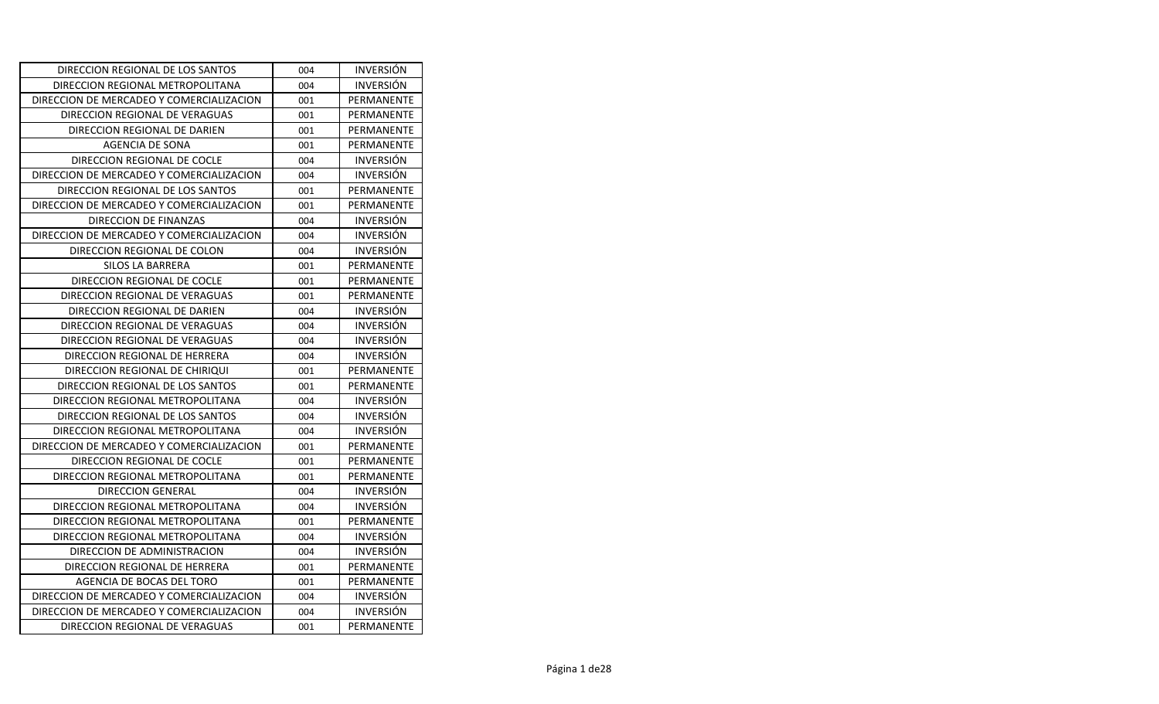| DIRECCION REGIONAL DE LOS SANTOS         | 004 | <b>INVERSION</b> |
|------------------------------------------|-----|------------------|
| DIRECCION REGIONAL METROPOLITANA         | 004 | <b>INVERSIÓN</b> |
| DIRECCION DE MERCADEO Y COMERCIALIZACION | 001 | PERMANENTE       |
| DIRECCION REGIONAL DE VERAGUAS           | 001 | PERMANENTE       |
| DIRECCION REGIONAL DE DARIEN             | 001 | PERMANENTE       |
| AGENCIA DE SONA                          | 001 | PERMANENTE       |
| DIRECCION REGIONAL DE COCLE              | 004 | <b>INVERSIÓN</b> |
| DIRECCION DE MERCADEO Y COMERCIALIZACION | 004 | <b>INVERSIÓN</b> |
| DIRECCION REGIONAL DE LOS SANTOS         | 001 | PERMANENTE       |
| DIRECCION DE MERCADEO Y COMERCIALIZACION | 001 | PERMANENTE       |
| DIRECCION DE FINANZAS                    | 004 | <b>INVERSIÓN</b> |
| DIRECCION DE MERCADEO Y COMERCIALIZACION | 004 | <b>INVERSIÓN</b> |
| DIRECCION REGIONAL DE COLON              | 004 | <b>INVERSIÓN</b> |
| <b>SILOS LA BARRERA</b>                  | 001 | PERMANENTE       |
| DIRECCION REGIONAL DE COCLE              | 001 | PERMANENTE       |
| DIRECCION REGIONAL DE VERAGUAS           | 001 | PERMANENTE       |
| DIRECCION REGIONAL DE DARIEN             | 004 | <b>INVERSIÓN</b> |
| DIRECCION REGIONAL DE VERAGUAS           | 004 | <b>INVERSION</b> |
| DIRECCION REGIONAL DE VERAGUAS           | 004 | <b>INVERSION</b> |
| DIRECCION REGIONAL DE HERRERA            | 004 | <b>INVERSIÓN</b> |
| DIRECCION REGIONAL DE CHIRIQUI           | 001 | PERMANENTE       |
| DIRECCION REGIONAL DE LOS SANTOS         | 001 | PERMANENTE       |
| DIRECCION REGIONAL METROPOLITANA         | 004 | <b>INVERSION</b> |
| DIRECCION REGIONAL DE LOS SANTOS         | 004 | <b>INVERSIÓN</b> |
| DIRECCION REGIONAL METROPOLITANA         | 004 | <b>INVERSION</b> |
| DIRECCION DE MERCADEO Y COMERCIALIZACION | 001 | PERMANENTE       |
| DIRECCION REGIONAL DE COCLE              | 001 | PERMANENTE       |
| DIRECCION REGIONAL METROPOLITANA         | 001 | PERMANENTE       |
| <b>DIRECCION GENERAL</b>                 | 004 | <b>INVERSIÓN</b> |
| DIRECCION REGIONAL METROPOLITANA         | 004 | <b>INVERSIÓN</b> |
| DIRECCION REGIONAL METROPOLITANA         | 001 | PERMANENTE       |
| DIRECCION REGIONAL METROPOLITANA         | 004 | <b>INVERSION</b> |
| DIRECCION DE ADMINISTRACION              | 004 | <b>INVERSIÓN</b> |
| DIRECCION REGIONAL DE HERRERA            | 001 | PERMANENTE       |
| AGENCIA DE BOCAS DEL TORO                | 001 | PERMANENTE       |
| DIRECCION DE MERCADEO Y COMERCIALIZACION | 004 | <b>INVERSION</b> |
| DIRECCION DE MERCADEO Y COMERCIALIZACION | 004 | <b>INVERSION</b> |
| DIRECCION REGIONAL DE VERAGUAS           | 001 | PERMANENTE       |
|                                          |     |                  |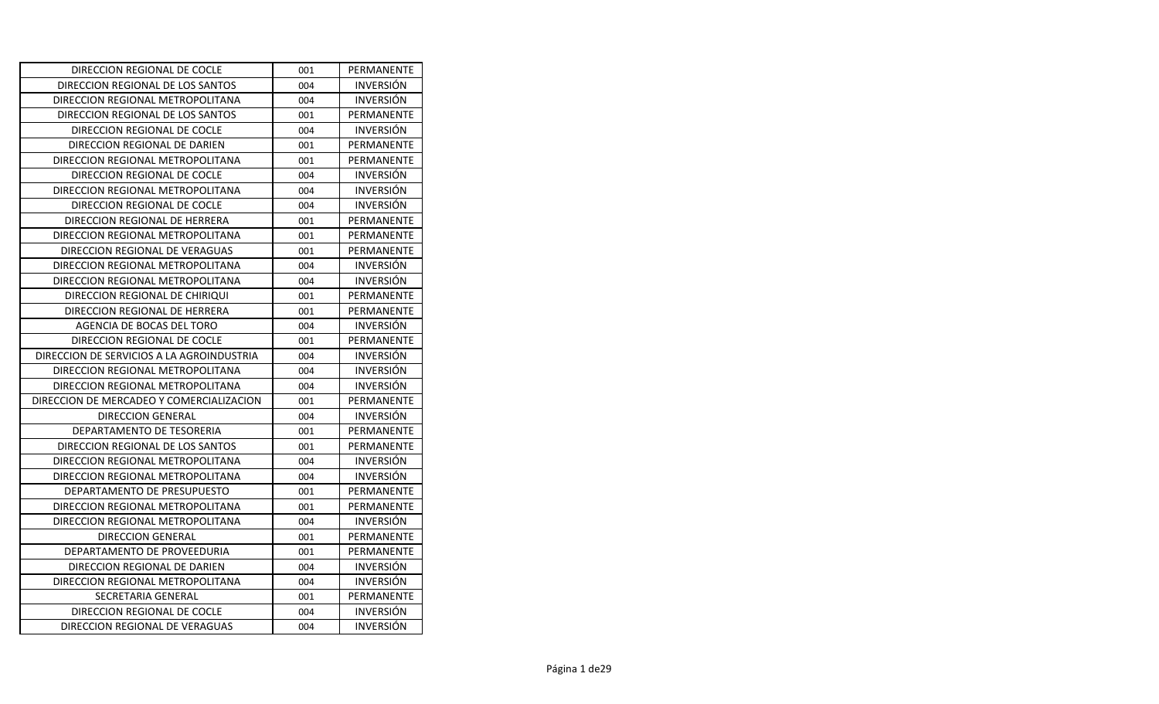| DIRECCION REGIONAL DE COCLE               | 001 | PERMANENTE       |
|-------------------------------------------|-----|------------------|
| DIRECCION REGIONAL DE LOS SANTOS          | 004 | <b>INVERSION</b> |
| DIRECCION REGIONAL METROPOLITANA          | 004 | <b>INVERSION</b> |
| DIRECCION REGIONAL DE LOS SANTOS          | 001 | PERMANENTE       |
| DIRECCION REGIONAL DE COCLE               | 004 | <b>INVERSION</b> |
| DIRECCION REGIONAL DE DARIEN              | 001 | PERMANENTE       |
| DIRECCION REGIONAL METROPOLITANA          | 001 | PERMANENTE       |
| DIRECCION REGIONAL DE COCLE               | 004 | <b>INVERSIÓN</b> |
| DIRECCION REGIONAL METROPOLITANA          | 004 | <b>INVERSIÓN</b> |
| DIRECCION REGIONAL DE COCLE               | 004 | <b>INVERSIÓN</b> |
| DIRECCION REGIONAL DE HERRERA             | 001 | PERMANENTE       |
| DIRECCION REGIONAL METROPOLITANA          | 001 | PERMANENTE       |
| DIRECCION REGIONAL DE VERAGUAS            | 001 | PERMANENTE       |
| DIRECCION REGIONAL METROPOLITANA          | 004 | <b>INVERSION</b> |
| DIRECCION REGIONAL METROPOLITANA          | 004 | <b>INVERSIÓN</b> |
| DIRECCION REGIONAL DE CHIRIQUI            | 001 | PERMANENTE       |
| DIRECCION REGIONAL DE HERRERA             | 001 | PERMANENTE       |
| AGENCIA DE BOCAS DEL TORO                 | 004 | <b>INVERSION</b> |
| DIRECCION REGIONAL DE COCLE               | 001 | PERMANENTE       |
| DIRECCION DE SERVICIOS A LA AGROINDUSTRIA | 004 | <b>INVERSION</b> |
| DIRECCION REGIONAL METROPOLITANA          | 004 | <b>INVERSION</b> |
| DIRECCION REGIONAL METROPOLITANA          | 004 | <b>INVERSIÓN</b> |
| DIRECCION DE MERCADEO Y COMERCIALIZACION  | 001 | PERMANENTE       |
| DIRECCION GENERAL                         | 004 | <b>INVERSIÓN</b> |
| DEPARTAMENTO DE TESORERIA                 | 001 | PERMANENTE       |
| DIRECCION REGIONAL DE LOS SANTOS          | 001 | PERMANENTE       |
| DIRECCION REGIONAL METROPOLITANA          | 004 | <b>INVERSION</b> |
| DIRECCION REGIONAL METROPOLITANA          | 004 | <b>INVERSIÓN</b> |
| DEPARTAMENTO DE PRESUPUESTO               | 001 | PERMANENTE       |
| DIRECCION REGIONAL METROPOLITANA          | 001 | PERMANENTE       |
| DIRECCION REGIONAL METROPOLITANA          | 004 | <b>INVERSIÓN</b> |
| <b>DIRECCION GENERAL</b>                  | 001 | PERMANENTE       |
| DEPARTAMENTO DE PROVEEDURIA               | 001 | PERMANENTE       |
| DIRECCION REGIONAL DE DARIEN              | 004 | <b>INVERSIÓN</b> |
| DIRECCION REGIONAL METROPOLITANA          | 004 | <b>INVERSION</b> |
| SECRETARIA GENERAL                        | 001 | PERMANENTE       |
| DIRECCION REGIONAL DE COCLE               | 004 | <b>INVERSIÓN</b> |
| DIRECCION REGIONAL DE VERAGUAS            | 004 | <b>INVERSION</b> |
|                                           |     |                  |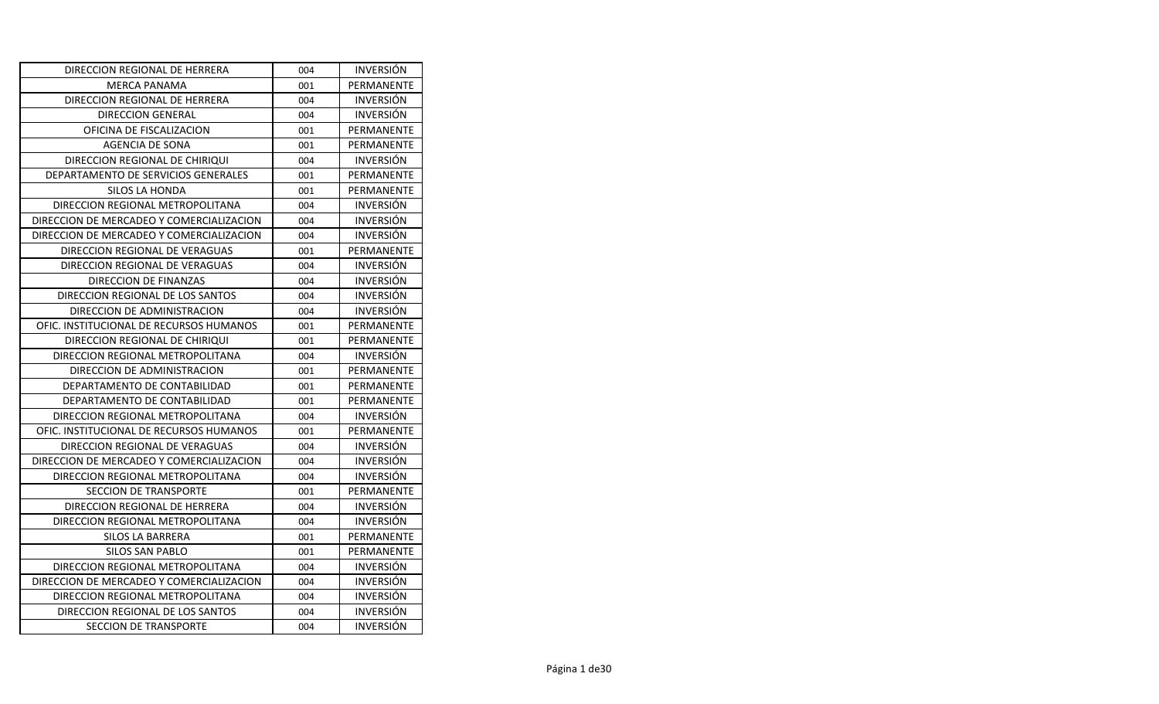| DIRECCION REGIONAL DE HERRERA            | 004 | <b>INVERSION</b> |
|------------------------------------------|-----|------------------|
| <b>MERCA PANAMA</b>                      | 001 | PERMANENTE       |
| DIRECCION REGIONAL DE HERRERA            | 004 | <b>INVERSION</b> |
| DIRECCION GENERAL                        | 004 | <b>INVERSIÓN</b> |
| OFICINA DE FISCALIZACION                 | 001 | PERMANENTE       |
| <b>AGENCIA DE SONA</b>                   | 001 | PERMANENTE       |
| DIRECCION REGIONAL DE CHIRIQUI           | 004 | <b>INVERSIÓN</b> |
| DEPARTAMENTO DE SERVICIOS GENERALES      | 001 | PERMANENTE       |
| <b>SILOS LA HONDA</b>                    | 001 | PERMANENTE       |
| DIRECCION REGIONAL METROPOLITANA         | 004 | <b>INVERSION</b> |
| DIRECCION DE MERCADEO Y COMERCIALIZACION | 004 | <b>INVERSIÓN</b> |
| DIRECCION DE MERCADEO Y COMERCIALIZACION | 004 | <b>INVERSIÓN</b> |
| DIRECCION REGIONAL DE VERAGUAS           | 001 | PERMANENTE       |
| DIRECCION REGIONAL DE VERAGUAS           | 004 | <b>INVERSIÓN</b> |
| DIRECCION DE FINANZAS                    | 004 | <b>INVERSION</b> |
| DIRECCION REGIONAL DE LOS SANTOS         | 004 | <b>INVERSIÓN</b> |
| DIRECCION DE ADMINISTRACION              | 004 | <b>INVERSION</b> |
| OFIC. INSTITUCIONAL DE RECURSOS HUMANOS  | 001 | PERMANENTE       |
| DIRECCION REGIONAL DE CHIRIQUI           | 001 | PERMANENTE       |
| DIRECCION REGIONAL METROPOLITANA         | 004 | <b>INVERSION</b> |
| DIRECCION DE ADMINISTRACION              | 001 | PERMANENTE       |
| DEPARTAMENTO DE CONTABILIDAD             | 001 | PERMANENTE       |
| DEPARTAMENTO DE CONTABILIDAD             | 001 | PERMANENTE       |
| DIRECCION REGIONAL METROPOLITANA         | 004 | <b>INVERSIÓN</b> |
| OFIC. INSTITUCIONAL DE RECURSOS HUMANOS  | 001 | PERMANENTE       |
| DIRECCION REGIONAL DE VERAGUAS           | 004 | <b>INVERSIÓN</b> |
| DIRECCION DE MERCADEO Y COMERCIALIZACION | 004 | <b>INVERSIÓN</b> |
| DIRECCION REGIONAL METROPOLITANA         | 004 | <b>INVERSION</b> |
| <b>SECCION DE TRANSPORTE</b>             | 001 | PERMANENTE       |
| DIRECCION REGIONAL DE HERRERA            | 004 | <b>INVERSIÓN</b> |
| DIRECCION REGIONAL METROPOLITANA         | 004 | <b>INVERSION</b> |
| SILOS LA BARRERA                         | 001 | PERMANENTE       |
| SILOS SAN PABLO                          | 001 | PERMANENTE       |
| DIRECCION REGIONAL METROPOLITANA         | 004 | <b>INVERSION</b> |
| DIRECCION DE MERCADEO Y COMERCIALIZACION | 004 | <b>INVERSION</b> |
| DIRECCION REGIONAL METROPOLITANA         | 004 | <b>INVERSION</b> |
| DIRECCION REGIONAL DE LOS SANTOS         | 004 | <b>INVERSIÓN</b> |
| <b>SECCION DE TRANSPORTE</b>             | 004 | <b>INVERSIÓN</b> |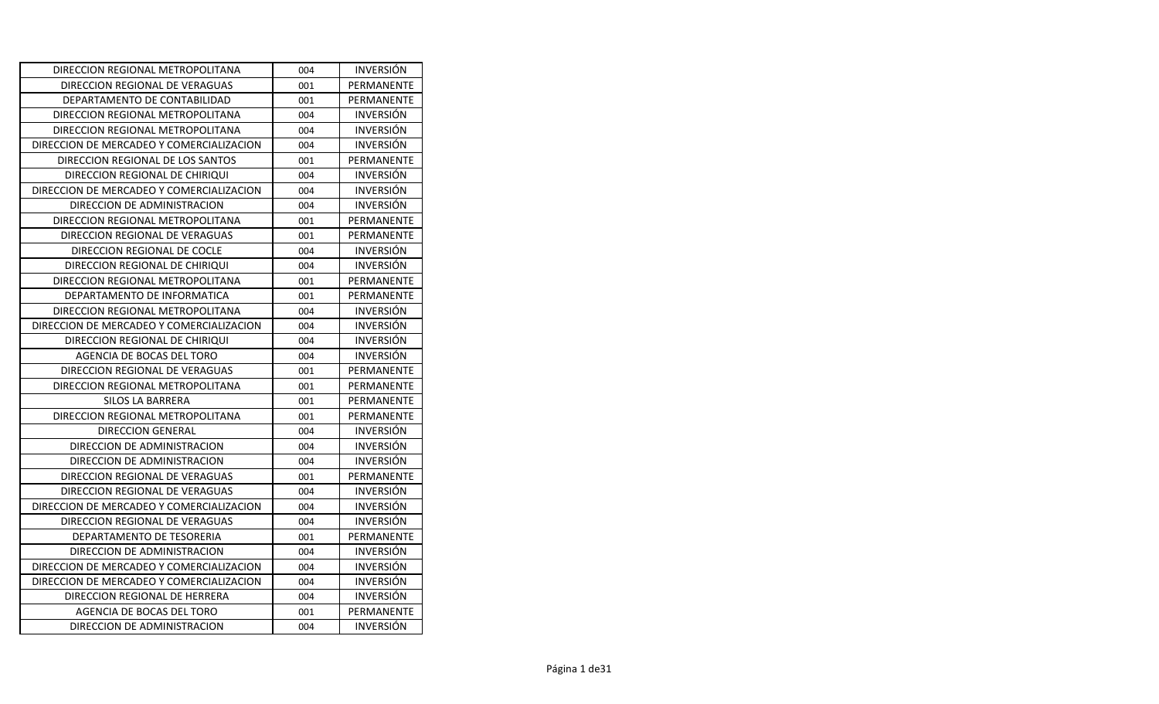| DIRECCION REGIONAL METROPOLITANA         | 004 | <b>INVERSION</b> |
|------------------------------------------|-----|------------------|
| DIRECCION REGIONAL DE VERAGUAS           | 001 | PERMANENTE       |
| DEPARTAMENTO DE CONTABILIDAD             | 001 | PERMANENTE       |
| DIRECCION REGIONAL METROPOLITANA         | 004 | <b>INVERSIÓN</b> |
| DIRECCION REGIONAL METROPOLITANA         | 004 | <b>INVERSIÓN</b> |
| DIRECCION DE MERCADEO Y COMERCIALIZACION | 004 | <b>INVERSIÓN</b> |
| DIRECCION REGIONAL DE LOS SANTOS         | 001 | PERMANENTE       |
| DIRECCION REGIONAL DE CHIRIQUI           | 004 | <b>INVERSIÓN</b> |
| DIRECCION DE MERCADEO Y COMERCIALIZACION | 004 | <b>INVERSIÓN</b> |
| DIRECCION DE ADMINISTRACION              | 004 | <b>INVERSIÓN</b> |
| DIRECCION REGIONAL METROPOLITANA         | 001 | PERMANENTE       |
| DIRECCION REGIONAL DE VERAGUAS           | 001 | PERMANENTE       |
| DIRECCION REGIONAL DE COCLE              | 004 | <b>INVERSIÓN</b> |
| DIRECCION REGIONAL DE CHIRIQUI           | 004 | <b>INVERSIÓN</b> |
| DIRECCION REGIONAL METROPOLITANA         | 001 | PERMANENTE       |
| DEPARTAMENTO DE INFORMATICA              | 001 | PERMANENTE       |
| DIRECCION REGIONAL METROPOLITANA         | 004 | <b>INVERSIÓN</b> |
| DIRECCION DE MERCADEO Y COMERCIALIZACION | 004 | <b>INVERSION</b> |
| DIRECCION REGIONAL DE CHIRIQUI           | 004 | <b>INVERSION</b> |
| AGENCIA DE BOCAS DEL TORO                | 004 | <b>INVERSIÓN</b> |
| DIRECCION REGIONAL DE VERAGUAS           | 001 | PERMANENTE       |
| DIRECCION REGIONAL METROPOLITANA         | 001 | PERMANENTE       |
| SILOS LA BARRERA                         | 001 | PERMANENTE       |
| DIRECCION REGIONAL METROPOLITANA         | 001 | PERMANENTE       |
| DIRECCION GENERAL                        | 004 | <b>INVERSION</b> |
| DIRECCION DE ADMINISTRACION              | 004 | <b>INVERSIÓN</b> |
| DIRECCION DE ADMINISTRACION              | 004 | <b>INVERSIÓN</b> |
| DIRECCION REGIONAL DE VERAGUAS           | 001 | PERMANENTE       |
| DIRECCION REGIONAL DE VERAGUAS           | 004 | <b>INVERSIÓN</b> |
| DIRECCION DE MERCADEO Y COMERCIALIZACION | 004 | <b>INVERSIÓN</b> |
| DIRECCION REGIONAL DE VERAGUAS           | 004 | <b>INVERSION</b> |
| DEPARTAMENTO DE TESORERIA                | 001 | PERMANENTE       |
| DIRECCION DE ADMINISTRACION              | 004 | <b>INVERSIÓN</b> |
| DIRECCION DE MERCADEO Y COMERCIALIZACION | 004 | <b>INVERSION</b> |
| DIRECCION DE MERCADEO Y COMERCIALIZACION | 004 | <b>INVERSION</b> |
| DIRECCION REGIONAL DE HERRERA            | 004 | <b>INVERSIÓN</b> |
| AGENCIA DE BOCAS DEL TORO                | 001 | PERMANENTE       |
| DIRECCION DE ADMINISTRACION              | 004 | <b>INVERSIÓN</b> |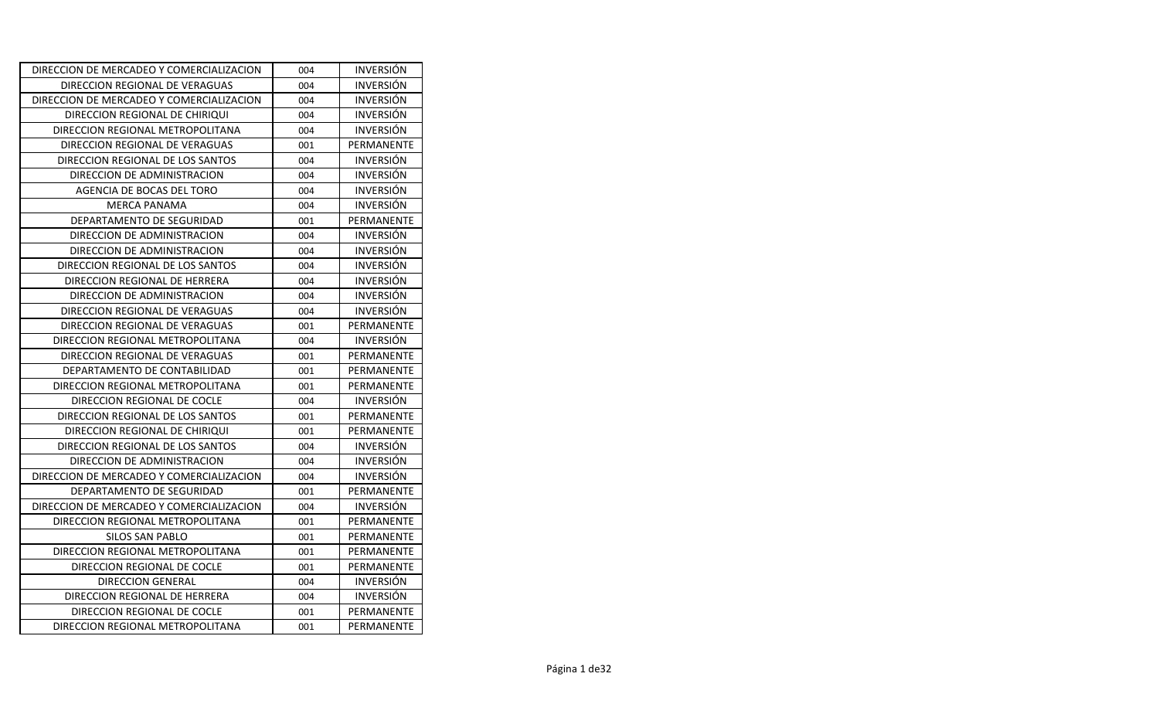| DIRECCION DE MERCADEO Y COMERCIALIZACION | 004 | <b>INVERSION</b> |
|------------------------------------------|-----|------------------|
| DIRECCION REGIONAL DE VERAGUAS           | 004 | <b>INVERSIÓN</b> |
| DIRECCION DE MERCADEO Y COMERCIALIZACION | 004 | <b>INVERSION</b> |
| DIRECCION REGIONAL DE CHIRIQUI           | 004 | <b>INVERSIÓN</b> |
| DIRECCION REGIONAL METROPOLITANA         | 004 | <b>INVERSIÓN</b> |
| DIRECCION REGIONAL DE VERAGUAS           | 001 | PERMANENTE       |
| DIRECCION REGIONAL DE LOS SANTOS         | 004 | <b>INVERSIÓN</b> |
| DIRECCION DE ADMINISTRACION              | 004 | <b>INVERSIÓN</b> |
| AGENCIA DE BOCAS DEL TORO                | 004 | <b>INVERSIÓN</b> |
| <b>MERCA PANAMA</b>                      | 004 | <b>INVERSIÓN</b> |
| DEPARTAMENTO DE SEGURIDAD                | 001 | PERMANENTE       |
| DIRECCION DE ADMINISTRACION              | 004 | <b>INVERSIÓN</b> |
| DIRECCION DE ADMINISTRACION              | 004 | <b>INVERSIÓN</b> |
| DIRECCION REGIONAL DE LOS SANTOS         | 004 | <b>INVERSIÓN</b> |
| DIRECCION REGIONAL DE HERRERA            | 004 | <b>INVERSIÓN</b> |
| DIRECCION DE ADMINISTRACION              | 004 | <b>INVERSIÓN</b> |
| DIRECCION REGIONAL DE VERAGUAS           | 004 | <b>INVERSION</b> |
| DIRECCION REGIONAL DE VERAGUAS           | 001 | PERMANENTE       |
| DIRECCION REGIONAL METROPOLITANA         | 004 | <b>INVERSION</b> |
| DIRECCION REGIONAL DE VERAGUAS           | 001 | PERMANENTE       |
| DEPARTAMENTO DE CONTABILIDAD             | 001 | PERMANENTE       |
| DIRECCION REGIONAL METROPOLITANA         | 001 | PERMANENTE       |
| DIRECCION REGIONAL DE COCLE              | 004 | <b>INVERSIÓN</b> |
| DIRECCION REGIONAL DE LOS SANTOS         | 001 | PERMANENTE       |
| DIRECCION REGIONAL DE CHIRIQUI           | 001 | PERMANENTE       |
| DIRECCION REGIONAL DE LOS SANTOS         | 004 | <b>INVERSION</b> |
| DIRECCION DE ADMINISTRACION              | 004 | <b>INVERSIÓN</b> |
| DIRECCION DE MERCADEO Y COMERCIALIZACION | 004 | <b>INVERSIÓN</b> |
| DEPARTAMENTO DE SEGURIDAD                | 001 | PERMANENTE       |
| DIRECCION DE MERCADEO Y COMERCIALIZACION | 004 | <b>INVERSION</b> |
| DIRECCION REGIONAL METROPOLITANA         | 001 | PERMANENTE       |
| SILOS SAN PABLO                          | 001 | PERMANENTE       |
| DIRECCION REGIONAL METROPOLITANA         | 001 | PERMANENTE       |
| DIRECCION REGIONAL DE COCLE              | 001 | PERMANENTE       |
| DIRECCION GENERAL                        | 004 | <b>INVERSION</b> |
| DIRECCION REGIONAL DE HERRERA            | 004 | <b>INVERSIÓN</b> |
| DIRECCION REGIONAL DE COCLE              | 001 | PERMANENTE       |
| DIRECCION REGIONAL METROPOLITANA         | 001 | PERMANENTE       |
|                                          |     |                  |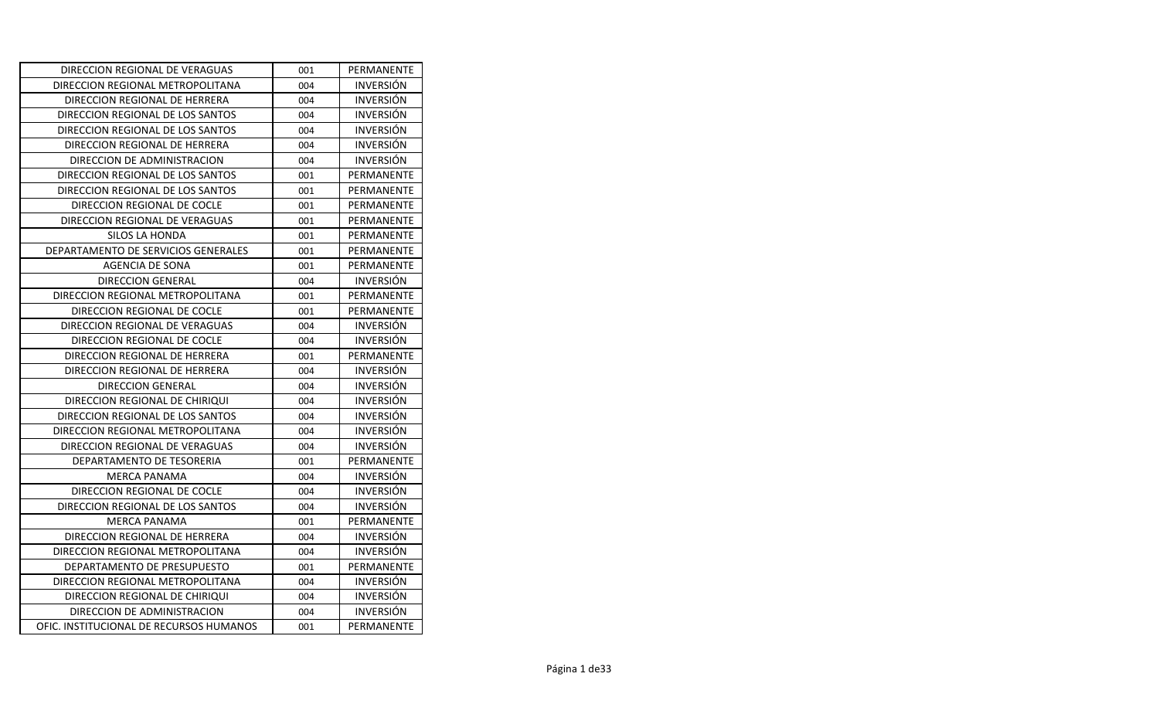| DIRECCION REGIONAL DE VERAGUAS          | 001 | PERMANENTE       |
|-----------------------------------------|-----|------------------|
| DIRECCION REGIONAL METROPOLITANA        | 004 | <b>INVERSION</b> |
| DIRECCION REGIONAL DE HERRERA           | 004 | <b>INVERSION</b> |
| DIRECCION REGIONAL DE LOS SANTOS        | 004 | <b>INVERSION</b> |
| DIRECCION REGIONAL DE LOS SANTOS        | 004 | <b>INVERSIÓN</b> |
| DIRECCION REGIONAL DE HERRERA           | 004 | <b>INVERSION</b> |
| DIRECCION DE ADMINISTRACION             | 004 | <b>INVERSIÓN</b> |
| DIRECCION REGIONAL DE LOS SANTOS        | 001 | PERMANENTE       |
| DIRECCION REGIONAL DE LOS SANTOS        | 001 | PERMANENTE       |
| DIRECCION REGIONAL DE COCLE             | 001 | PERMANENTE       |
| DIRECCION REGIONAL DE VERAGUAS          | 001 | PERMANENTE       |
| SILOS LA HONDA                          | 001 | PERMANENTE       |
| DEPARTAMENTO DE SERVICIOS GENERALES     | 001 | PERMANENTE       |
| AGENCIA DE SONA                         | 001 | PERMANENTE       |
| <b>DIRECCION GENERAL</b>                | 004 | <b>INVERSIÓN</b> |
| DIRECCION REGIONAL METROPOLITANA        | 001 | PERMANENTE       |
| DIRECCION REGIONAL DE COCLE             | 001 | PERMANENTE       |
| DIRECCION REGIONAL DE VERAGUAS          | 004 | <b>INVERSION</b> |
| DIRECCION REGIONAL DE COCLE             | 004 | <b>INVERSIÓN</b> |
| DIRECCION REGIONAL DE HERRERA           | 001 | PERMANENTE       |
| DIRECCION REGIONAL DE HERRERA           | 004 | <b>INVERSION</b> |
| <b>DIRECCION GENERAL</b>                | 004 | <b>INVERSION</b> |
| DIRECCION REGIONAL DE CHIRIQUI          | 004 | <b>INVERSIÓN</b> |
| DIRECCION REGIONAL DE LOS SANTOS        | 004 | <b>INVERSIÓN</b> |
| DIRECCION REGIONAL METROPOLITANA        | 004 | <b>INVERSION</b> |
| DIRECCION REGIONAL DE VERAGUAS          | 004 | <b>INVERSION</b> |
| DEPARTAMENTO DE TESORERIA               | 001 | PERMANENTE       |
| <b>MERCA PANAMA</b>                     | 004 | <b>INVERSIÓN</b> |
| DIRECCION REGIONAL DE COCLE             | 004 | <b>INVERSION</b> |
| DIRECCION REGIONAL DE LOS SANTOS        | 004 | <b>INVERSIÓN</b> |
| <b>MERCA PANAMA</b>                     | 001 | PERMANENTE       |
| DIRECCION REGIONAL DE HERRERA           | 004 | <b>INVERSIÓN</b> |
| DIRECCION REGIONAL METROPOLITANA        | 004 | <b>INVERSIÓN</b> |
| DEPARTAMENTO DE PRESUPUESTO             | 001 | PERMANENTE       |
| DIRECCION REGIONAL METROPOLITANA        | 004 | <b>INVERSIÓN</b> |
| DIRECCION REGIONAL DE CHIRIQUI          | 004 | <b>INVERSION</b> |
| DIRECCION DE ADMINISTRACION             | 004 | <b>INVERSIÓN</b> |
| OFIC. INSTITUCIONAL DE RECURSOS HUMANOS | 001 | PERMANENTE       |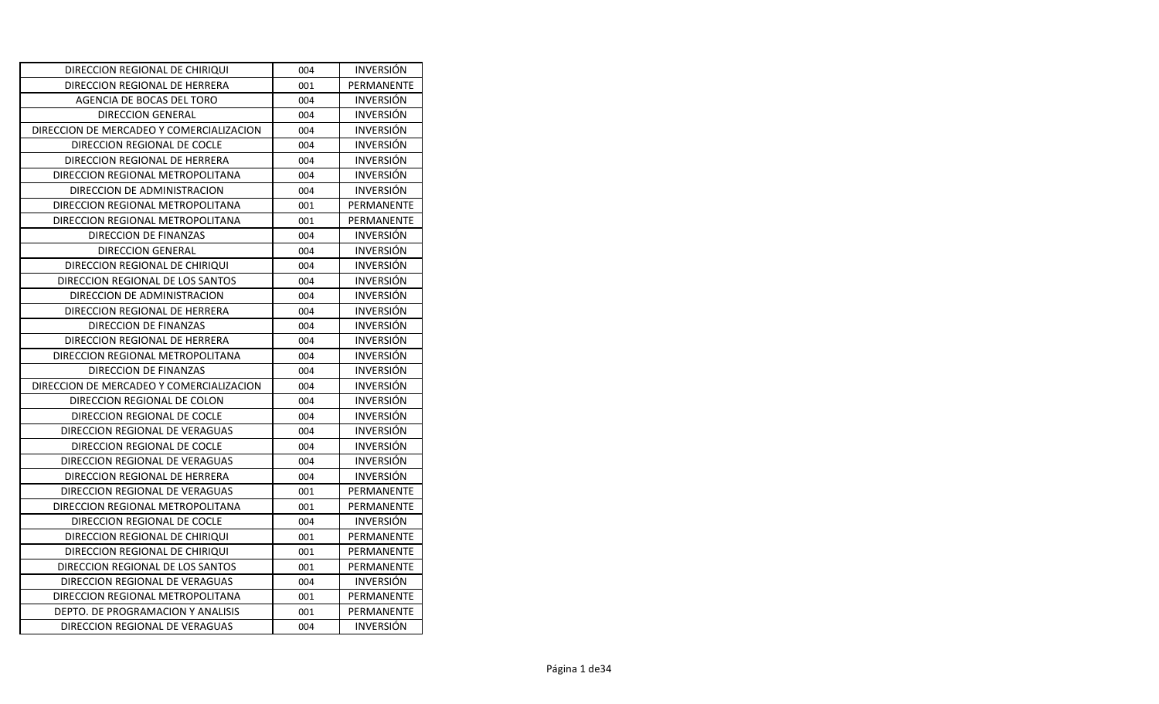| DIRECCION REGIONAL DE CHIRIQUI           | 004 | <b>INVERSION</b> |
|------------------------------------------|-----|------------------|
| DIRECCION REGIONAL DE HERRERA            | 001 | PERMANENTE       |
| AGENCIA DE BOCAS DEL TORO                | 004 | <b>INVERSION</b> |
| <b>DIRECCION GENERAL</b>                 | 004 | <b>INVERSIÓN</b> |
| DIRECCION DE MERCADEO Y COMERCIALIZACION | 004 | <b>INVERSIÓN</b> |
| DIRECCION REGIONAL DE COCLE              | 004 | <b>INVERSIÓN</b> |
| DIRECCION REGIONAL DE HERRERA            | 004 | <b>INVERSIÓN</b> |
| DIRECCION REGIONAL METROPOLITANA         | 004 | <b>INVERSIÓN</b> |
| DIRECCION DE ADMINISTRACION              | 004 | <b>INVERSIÓN</b> |
| DIRECCION REGIONAL METROPOLITANA         | 001 | PERMANENTE       |
| DIRECCION REGIONAL METROPOLITANA         | 001 | PERMANENTE       |
| DIRECCION DE FINANZAS                    | 004 | <b>INVERSIÓN</b> |
| <b>DIRECCION GENERAL</b>                 | 004 | <b>INVERSIÓN</b> |
| DIRECCION REGIONAL DE CHIRIQUI           | 004 | <b>INVERSIÓN</b> |
| DIRECCION REGIONAL DE LOS SANTOS         | 004 | <b>INVERSIÓN</b> |
| DIRECCION DE ADMINISTRACION              | 004 | <b>INVERSIÓN</b> |
| DIRECCION REGIONAL DE HERRERA            | 004 | <b>INVERSIÓN</b> |
| DIRECCION DE FINANZAS                    | 004 | <b>INVERSION</b> |
| DIRECCION REGIONAL DE HERRERA            | 004 | <b>INVERSIÓN</b> |
| DIRECCION REGIONAL METROPOLITANA         | 004 | <b>INVERSIÓN</b> |
| DIRECCION DE FINANZAS                    | 004 | <b>INVERSIÓN</b> |
| DIRECCION DE MERCADEO Y COMERCIALIZACION | 004 | <b>INVERSION</b> |
| DIRECCION REGIONAL DE COLON              | 004 | <b>INVERSION</b> |
| DIRECCION REGIONAL DE COCLE              | 004 | <b>INVERSIÓN</b> |
| DIRECCION REGIONAL DE VERAGUAS           | 004 | <b>INVERSIÓN</b> |
| DIRECCION REGIONAL DE COCLE              | 004 | <b>INVERSIÓN</b> |
| DIRECCION REGIONAL DE VERAGUAS           | 004 | <b>INVERSIÓN</b> |
| DIRECCION REGIONAL DE HERRERA            | 004 | <b>INVERSION</b> |
| DIRECCION REGIONAL DE VERAGUAS           | 001 | PERMANENTE       |
| DIRECCION REGIONAL METROPOLITANA         | 001 | PERMANENTE       |
| DIRECCION REGIONAL DE COCLE              | 004 | <b>INVERSION</b> |
| DIRECCION REGIONAL DE CHIRIQUI           | 001 | PERMANENTE       |
| DIRECCION REGIONAL DE CHIRIQUI           | 001 | PERMANENTE       |
| DIRECCION REGIONAL DE LOS SANTOS         | 001 | PERMANENTE       |
| DIRECCION REGIONAL DE VERAGUAS           | 004 | <b>INVERSION</b> |
| DIRECCION REGIONAL METROPOLITANA         | 001 | PERMANENTE       |
| DEPTO. DE PROGRAMACION Y ANALISIS        | 001 | PERMANENTE       |
| DIRECCION REGIONAL DE VERAGUAS           | 004 | <b>INVERSIÓN</b> |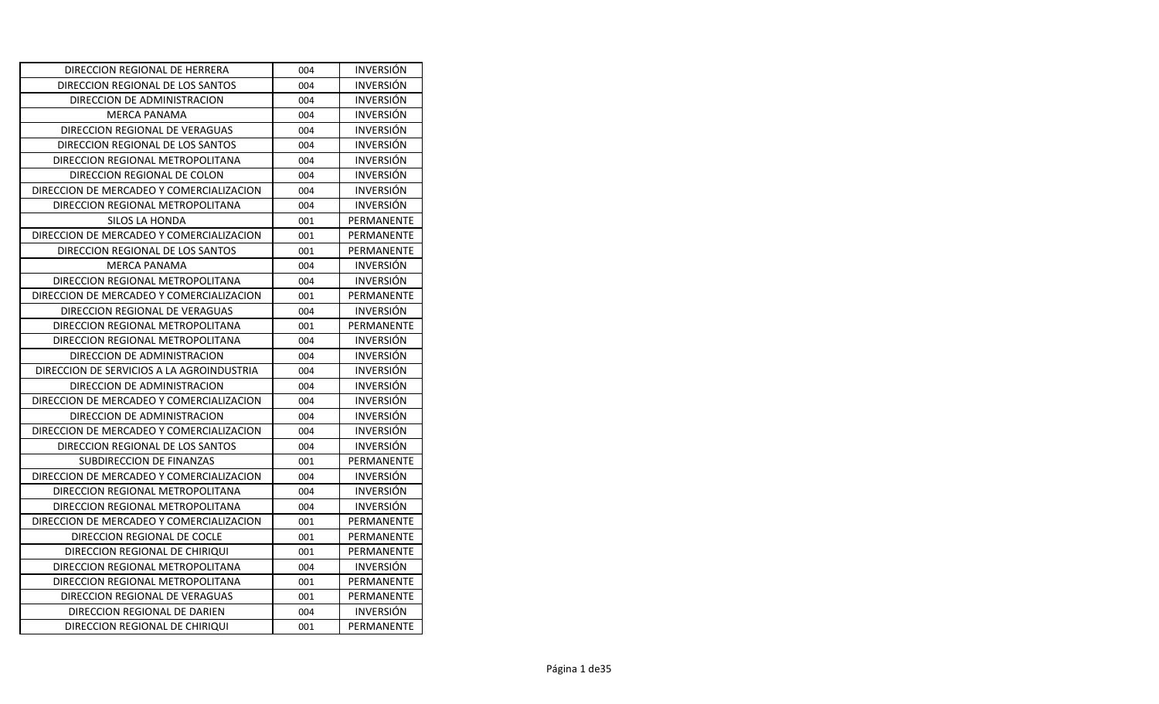| DIRECCION REGIONAL DE HERRERA             | 004 | <b>INVERSION</b> |
|-------------------------------------------|-----|------------------|
| DIRECCION REGIONAL DE LOS SANTOS          | 004 | <b>INVERSIÓN</b> |
| DIRECCION DE ADMINISTRACION               | 004 | <b>INVERSION</b> |
| <b>MERCA PANAMA</b>                       | 004 | <b>INVERSIÓN</b> |
| DIRECCION REGIONAL DE VERAGUAS            | 004 | <b>INVERSIÓN</b> |
| DIRECCION REGIONAL DE LOS SANTOS          | 004 | <b>INVERSIÓN</b> |
| DIRECCION REGIONAL METROPOLITANA          | 004 | <b>INVERSIÓN</b> |
| DIRECCION REGIONAL DE COLON               | 004 | <b>INVERSIÓN</b> |
| DIRECCION DE MERCADEO Y COMERCIALIZACION  | 004 | <b>INVERSIÓN</b> |
| DIRECCION REGIONAL METROPOLITANA          | 004 | <b>INVERSIÓN</b> |
| SILOS LA HONDA                            | 001 | PERMANENTE       |
| DIRECCION DE MERCADEO Y COMERCIALIZACION  | 001 | PERMANENTE       |
| DIRECCION REGIONAL DE LOS SANTOS          | 001 | PERMANENTE       |
| <b>MERCA PANAMA</b>                       | 004 | <b>INVERSIÓN</b> |
| DIRECCION REGIONAL METROPOLITANA          | 004 | <b>INVERSIÓN</b> |
| DIRECCION DE MERCADEO Y COMERCIALIZACION  | 001 | PERMANENTE       |
| DIRECCION REGIONAL DE VERAGUAS            | 004 | <b>INVERSIÓN</b> |
| DIRECCION REGIONAL METROPOLITANA          | 001 | PERMANENTE       |
| DIRECCION REGIONAL METROPOLITANA          | 004 | <b>INVERSIÓN</b> |
| DIRECCION DE ADMINISTRACION               | 004 | <b>INVERSIÓN</b> |
| DIRECCION DE SERVICIOS A LA AGROINDUSTRIA | 004 | <b>INVERSIÓN</b> |
| DIRECCION DE ADMINISTRACION               | 004 | <b>INVERSION</b> |
| DIRECCION DE MERCADEO Y COMERCIALIZACION  | 004 | <b>INVERSION</b> |
| DIRECCION DE ADMINISTRACION               | 004 | <b>INVERSIÓN</b> |
| DIRECCION DE MERCADEO Y COMERCIALIZACION  | 004 | <b>INVERSIÓN</b> |
| DIRECCION REGIONAL DE LOS SANTOS          | 004 | <b>INVERSIÓN</b> |
| SUBDIRECCION DE FINANZAS                  | 001 | PERMANENTE       |
| DIRECCION DE MERCADEO Y COMERCIALIZACION  | 004 | <b>INVERSION</b> |
| DIRECCION REGIONAL METROPOLITANA          | 004 | <b>INVERSIÓN</b> |
| DIRECCION REGIONAL METROPOLITANA          | 004 | <b>INVERSIÓN</b> |
| DIRECCION DE MERCADEO Y COMERCIALIZACION  | 001 | PERMANENTE       |
| DIRECCION REGIONAL DE COCLE               | 001 | PERMANENTE       |
| DIRECCION REGIONAL DE CHIRIQUI            | 001 | PERMANENTE       |
| DIRECCION REGIONAL METROPOLITANA          | 004 | <b>INVERSION</b> |
| DIRECCION REGIONAL METROPOLITANA          | 001 | PERMANENTE       |
| DIRECCION REGIONAL DE VERAGUAS            | 001 | PERMANENTE       |
| DIRECCION REGIONAL DE DARIEN              | 004 | <b>INVERSIÓN</b> |
| DIRECCION REGIONAL DE CHIRIQUI            | 001 | PERMANENTE       |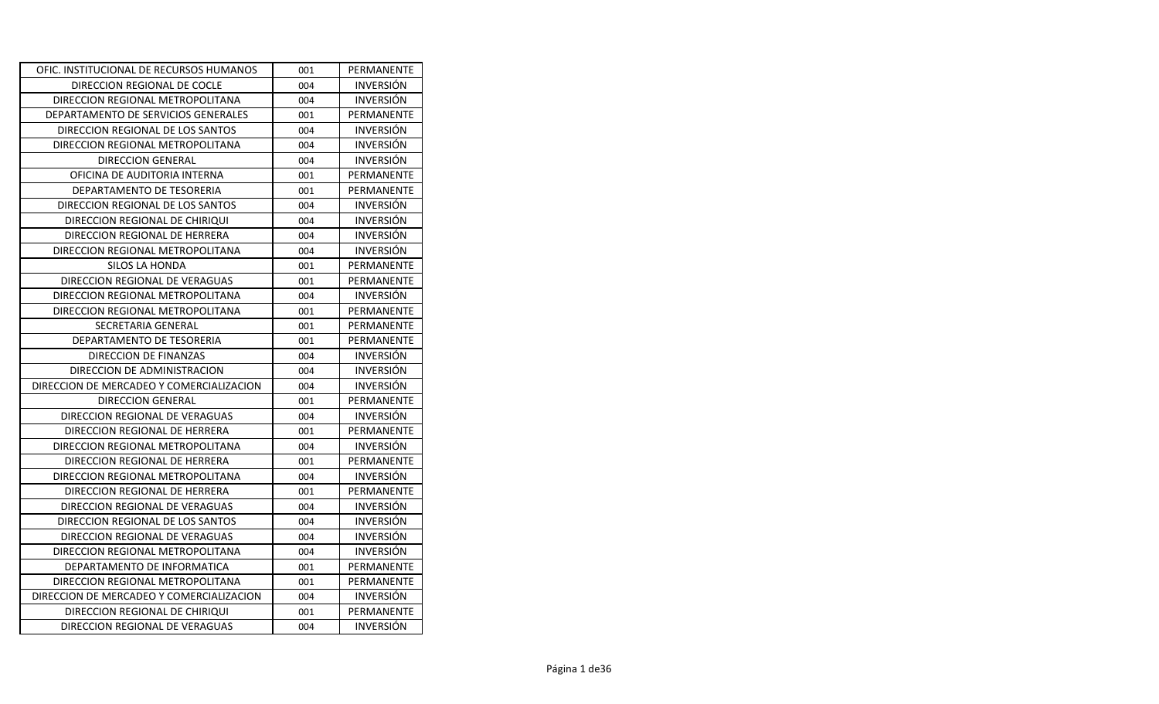| 001 | PERMANENTE       |
|-----|------------------|
| 004 | <b>INVERSIÓN</b> |
| 004 | <b>INVERSIÓN</b> |
| 001 | PERMANENTE       |
| 004 | <b>INVERSIÓN</b> |
| 004 | <b>INVERSIÓN</b> |
| 004 | <b>INVERSIÓN</b> |
| 001 | PERMANENTE       |
| 001 | PERMANENTE       |
| 004 | <b>INVERSIÓN</b> |
| 004 | <b>INVERSIÓN</b> |
| 004 | <b>INVERSIÓN</b> |
| 004 | <b>INVERSION</b> |
| 001 | PERMANENTE       |
| 001 | PERMANENTE       |
| 004 | <b>INVERSIÓN</b> |
| 001 | PERMANENTE       |
| 001 | PERMANENTE       |
| 001 | PERMANENTE       |
| 004 | <b>INVERSION</b> |
| 004 | <b>INVERSION</b> |
| 004 | <b>INVERSIÓN</b> |
| 001 | PERMANENTE       |
| 004 | <b>INVERSION</b> |
| 001 | PERMANENTE       |
| 004 | <b>INVERSIÓN</b> |
| 001 | PERMANENTE       |
| 004 | <b>INVERSIÓN</b> |
| 001 | PERMANENTE       |
| 004 | <b>INVERSIÓN</b> |
| 004 | <b>INVERSION</b> |
| 004 | <b>INVERSION</b> |
| 004 | <b>INVERSIÓN</b> |
| 001 | PERMANENTE       |
| 001 | PERMANENTE       |
| 004 | <b>INVERSION</b> |
| 001 | PERMANENTE       |
| 004 | <b>INVERSION</b> |
|     |                  |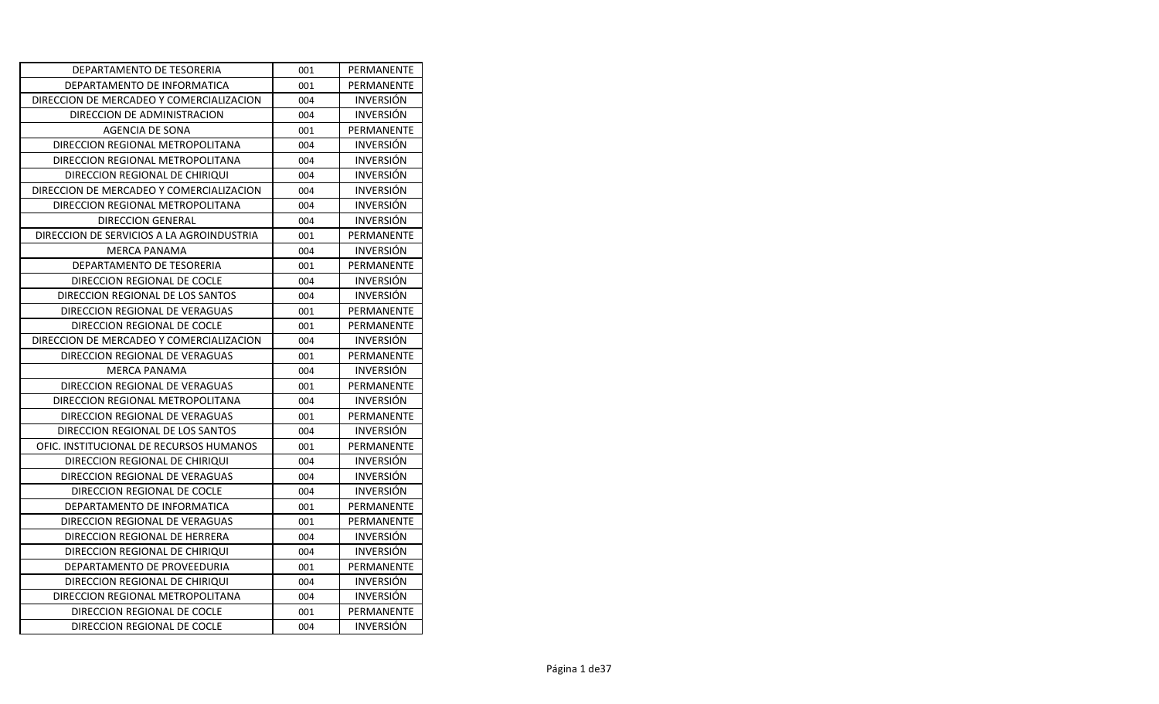| DEPARTAMENTO DE TESORERIA                 | 001 | PERMANENTE       |
|-------------------------------------------|-----|------------------|
| DEPARTAMENTO DE INFORMATICA               | 001 | PERMANENTE       |
| DIRECCION DE MERCADEO Y COMERCIALIZACION  | 004 | <b>INVERSION</b> |
| DIRECCION DE ADMINISTRACION               | 004 | <b>INVERSIÓN</b> |
| AGENCIA DE SONA                           | 001 | PERMANENTE       |
| DIRECCION REGIONAL METROPOLITANA          | 004 | <b>INVERSIÓN</b> |
| DIRECCION REGIONAL METROPOLITANA          | 004 | <b>INVERSIÓN</b> |
| DIRECCION REGIONAL DE CHIRIQUI            | 004 | <b>INVERSIÓN</b> |
| DIRECCION DE MERCADEO Y COMERCIALIZACION  | 004 | <b>INVERSIÓN</b> |
| DIRECCION REGIONAL METROPOLITANA          | 004 | <b>INVERSIÓN</b> |
| <b>DIRECCION GENERAL</b>                  | 004 | <b>INVERSIÓN</b> |
| DIRECCION DE SERVICIOS A LA AGROINDUSTRIA | 001 | PERMANENTE       |
| <b>MERCA PANAMA</b>                       | 004 | <b>INVERSIÓN</b> |
| DEPARTAMENTO DE TESORERIA                 | 001 | PERMANENTE       |
| DIRECCION REGIONAL DE COCLE               | 004 | <b>INVERSIÓN</b> |
| DIRECCION REGIONAL DE LOS SANTOS          | 004 | <b>INVERSIÓN</b> |
| DIRECCION REGIONAL DE VERAGUAS            | 001 | PERMANENTE       |
| DIRECCION REGIONAL DE COCLE               | 001 | PERMANENTE       |
| DIRECCION DE MERCADEO Y COMERCIALIZACION  | 004 | <b>INVERSIÓN</b> |
| DIRECCION REGIONAL DE VERAGUAS            | 001 | PERMANENTE       |
| <b>MERCA PANAMA</b>                       | 004 | <b>INVERSIÓN</b> |
| DIRECCION REGIONAL DE VERAGUAS            | 001 | PERMANENTE       |
| DIRECCION REGIONAL METROPOLITANA          | 004 | <b>INVERSION</b> |
| DIRECCION REGIONAL DE VERAGUAS            | 001 | PERMANENTE       |
| DIRECCION REGIONAL DE LOS SANTOS          | 004 | <b>INVERSIÓN</b> |
| OFIC. INSTITUCIONAL DE RECURSOS HUMANOS   | 001 | PERMANENTE       |
| DIRECCION REGIONAL DE CHIRIQUI            | 004 | <b>INVERSIÓN</b> |
| DIRECCION REGIONAL DE VERAGUAS            | 004 | <b>INVERSIÓN</b> |
| DIRECCION REGIONAL DE COCLE               | 004 | <b>INVERSION</b> |
| DEPARTAMENTO DE INFORMATICA               | 001 | PERMANENTE       |
| DIRECCION REGIONAL DE VERAGUAS            | 001 | PERMANENTE       |
| DIRECCION REGIONAL DE HERRERA             | 004 | <b>INVERSION</b> |
| DIRECCION REGIONAL DE CHIRIQUI            | 004 | <b>INVERSIÓN</b> |
| DEPARTAMENTO DE PROVEEDURIA               | 001 | PERMANENTE       |
| DIRECCION REGIONAL DE CHIRIQUI            | 004 | <b>INVERSION</b> |
| DIRECCION REGIONAL METROPOLITANA          | 004 | <b>INVERSIÓN</b> |
| DIRECCION REGIONAL DE COCLE               | 001 | PERMANENTE       |
| DIRECCION REGIONAL DE COCLE               | 004 | <b>INVERSIÓN</b> |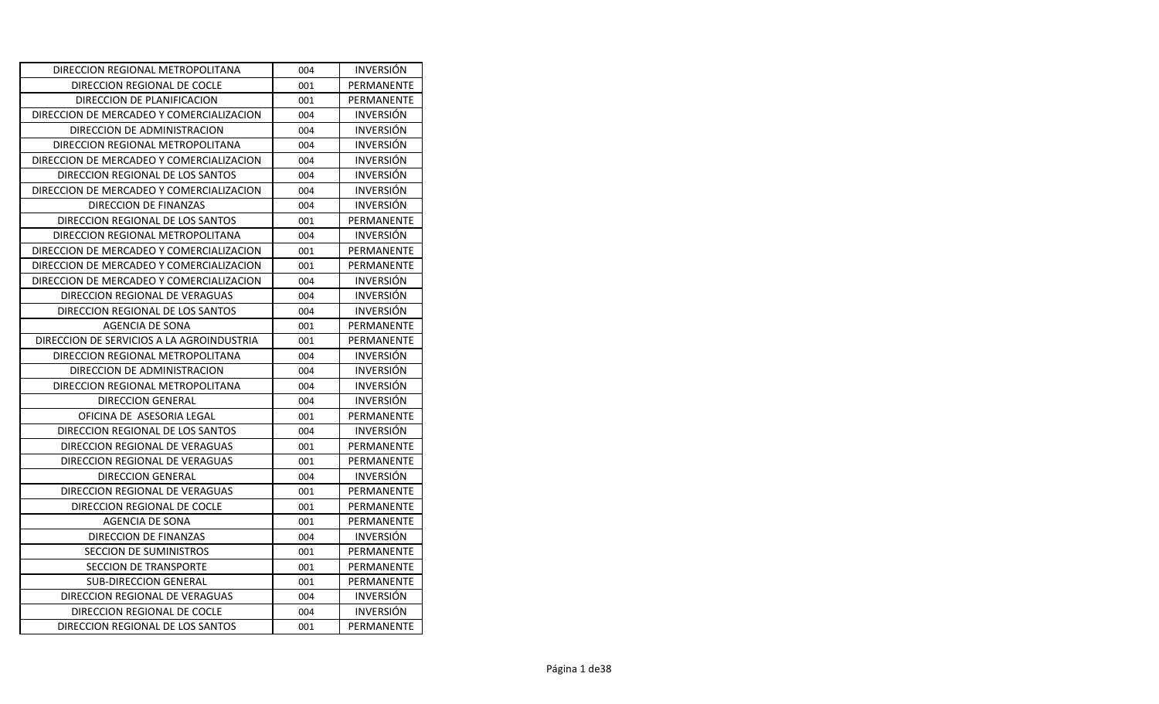| DIRECCION REGIONAL METROPOLITANA          | 004 | <b>INVERSION</b> |
|-------------------------------------------|-----|------------------|
| DIRECCION REGIONAL DE COCLE               | 001 | PERMANENTE       |
| DIRECCION DE PLANIFICACION                | 001 | PERMANENTE       |
| DIRECCION DE MERCADEO Y COMERCIALIZACION  | 004 | <b>INVERSIÓN</b> |
| DIRECCION DE ADMINISTRACION               | 004 | <b>INVERSION</b> |
| DIRECCION REGIONAL METROPOLITANA          | 004 | <b>INVERSIÓN</b> |
| DIRECCION DE MERCADEO Y COMERCIALIZACION  | 004 | <b>INVERSIÓN</b> |
| DIRECCION REGIONAL DE LOS SANTOS          | 004 | <b>INVERSION</b> |
| DIRECCION DE MERCADEO Y COMERCIALIZACION  | 004 | <b>INVERSIÓN</b> |
| DIRECCION DE FINANZAS                     | 004 | <b>INVERSIÓN</b> |
| DIRECCION REGIONAL DE LOS SANTOS          | 001 | PERMANENTE       |
| DIRECCION REGIONAL METROPOLITANA          | 004 | <b>INVERSIÓN</b> |
| DIRECCION DE MERCADEO Y COMERCIALIZACION  | 001 | PERMANENTE       |
| DIRECCION DE MERCADEO Y COMERCIALIZACION  | 001 | PERMANENTE       |
| DIRECCION DE MERCADEO Y COMERCIALIZACION  | 004 | <b>INVERSIÓN</b> |
| DIRECCION REGIONAL DE VERAGUAS            | 004 | <b>INVERSIÓN</b> |
| DIRECCION REGIONAL DE LOS SANTOS          | 004 | <b>INVERSION</b> |
| AGENCIA DE SONA                           | 001 | PERMANENTE       |
| DIRECCION DE SERVICIOS A LA AGROINDUSTRIA | 001 | PERMANENTE       |
| DIRECCION REGIONAL METROPOLITANA          | 004 | <b>INVERSION</b> |
| DIRECCION DE ADMINISTRACION               | 004 | <b>INVERSION</b> |
| DIRECCION REGIONAL METROPOLITANA          | 004 | <b>INVERSIÓN</b> |
| DIRECCION GENERAL                         | 004 | <b>INVERSION</b> |
| OFICINA DE ASESORIA LEGAL                 | 001 | PERMANENTE       |
| DIRECCION REGIONAL DE LOS SANTOS          | 004 | <b>INVERSIÓN</b> |
| DIRECCION REGIONAL DE VERAGUAS            | 001 | PERMANENTE       |
| DIRECCION REGIONAL DE VERAGUAS            | 001 | PERMANENTE       |
| <b>DIRECCION GENERAL</b>                  | 004 | <b>INVERSIÓN</b> |
| DIRECCION REGIONAL DE VERAGUAS            | 001 | PERMANENTE       |
| DIRECCION REGIONAL DE COCLE               | 001 | PERMANENTE       |
| AGENCIA DE SONA                           | 001 | PERMANENTE       |
| DIRECCION DE FINANZAS                     | 004 | <b>INVERSION</b> |
| SECCION DE SUMINISTROS                    | 001 | PERMANENTE       |
| SECCION DE TRANSPORTE                     | 001 | PERMANENTE       |
| <b>SUB-DIRECCION GENERAL</b>              | 001 | PERMANENTE       |
| DIRECCION REGIONAL DE VERAGUAS            | 004 | <b>INVERSION</b> |
| DIRECCION REGIONAL DE COCLE               | 004 | <b>INVERSIÓN</b> |
| DIRECCION REGIONAL DE LOS SANTOS          | 001 | PERMANENTE       |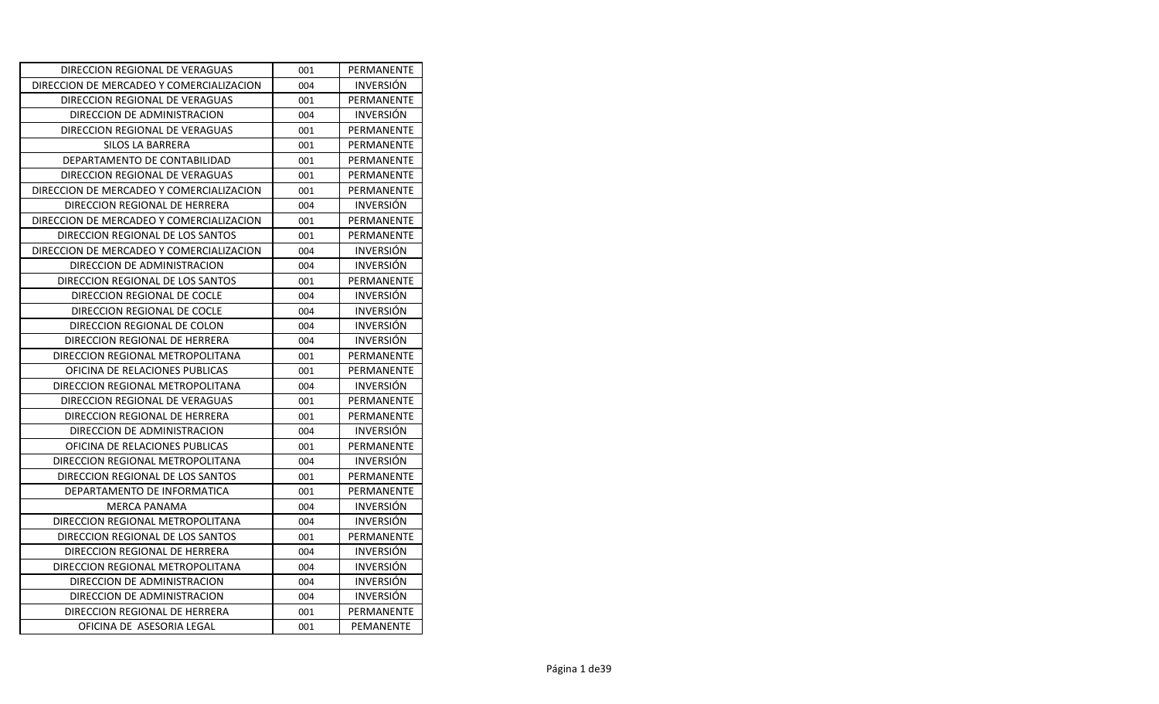| DIRECCION REGIONAL DE VERAGUAS           | 001 | PERMANENTE       |
|------------------------------------------|-----|------------------|
| DIRECCION DE MERCADEO Y COMERCIALIZACION | 004 | <b>INVERSIÓN</b> |
| DIRECCION REGIONAL DE VERAGUAS           | 001 | PERMANENTE       |
| DIRECCION DE ADMINISTRACION              | 004 | <b>INVERSIÓN</b> |
| DIRECCION REGIONAL DE VERAGUAS           | 001 | PERMANENTE       |
| SILOS LA BARRERA                         | 001 | PERMANENTE       |
| DEPARTAMENTO DE CONTABILIDAD             | 001 | PERMANENTE       |
| DIRECCION REGIONAL DE VERAGUAS           | 001 | PERMANENTE       |
| DIRECCION DE MERCADEO Y COMERCIALIZACION | 001 | PERMANENTE       |
| DIRECCION REGIONAL DE HERRERA            | 004 | <b>INVERSIÓN</b> |
| DIRECCION DE MERCADEO Y COMERCIALIZACION | 001 | PERMANENTE       |
| DIRECCION REGIONAL DE LOS SANTOS         | 001 | PERMANENTE       |
| DIRECCION DE MERCADEO Y COMERCIALIZACION | 004 | <b>INVERSIÓN</b> |
| DIRECCION DE ADMINISTRACION              | 004 | <b>INVERSIÓN</b> |
| DIRECCION REGIONAL DE LOS SANTOS         | 001 | PERMANENTE       |
| DIRECCION REGIONAL DE COCLE              | 004 | <b>INVERSIÓN</b> |
| DIRECCION REGIONAL DE COCLE              | 004 | <b>INVERSION</b> |
| DIRECCION REGIONAL DE COLON              | 004 | <b>INVERSION</b> |
| DIRECCION REGIONAL DE HERRERA            | 004 | <b>INVERSION</b> |
| DIRECCION REGIONAL METROPOLITANA         | 001 | PERMANENTE       |
| OFICINA DE RELACIONES PUBLICAS           | 001 | PERMANENTE       |
| DIRECCION REGIONAL METROPOLITANA         | 004 | <b>INVERSION</b> |
| DIRECCION REGIONAL DE VERAGUAS           | 001 | PERMANENTE       |
| DIRECCION REGIONAL DE HERRERA            | 001 | PERMANENTE       |
| DIRECCION DE ADMINISTRACION              | 004 | <b>INVERSION</b> |
| OFICINA DE RELACIONES PUBLICAS           | 001 | PERMANENTE       |
| DIRECCION REGIONAL METROPOLITANA         | 004 | <b>INVERSIÓN</b> |
| DIRECCION REGIONAL DE LOS SANTOS         | 001 | PERMANENTE       |
| DEPARTAMENTO DE INFORMATICA              | 001 | PERMANENTE       |
| <b>MERCA PANAMA</b>                      | 004 | <b>INVERSIÓN</b> |
| DIRECCION REGIONAL METROPOLITANA         | 004 | <b>INVERSION</b> |
| DIRECCION REGIONAL DE LOS SANTOS         | 001 | PERMANENTE       |
| DIRECCION REGIONAL DE HERRERA            | 004 | <b>INVERSIÓN</b> |
| DIRECCION REGIONAL METROPOLITANA         | 004 | <b>INVERSION</b> |
| DIRECCION DE ADMINISTRACION              | 004 | <b>INVERSION</b> |
| DIRECCION DE ADMINISTRACION              | 004 | <b>INVERSION</b> |
| DIRECCION REGIONAL DE HERRERA            | 001 | PERMANENTE       |
| OFICINA DE ASESORIA LEGAL                | 001 | PEMANENTE        |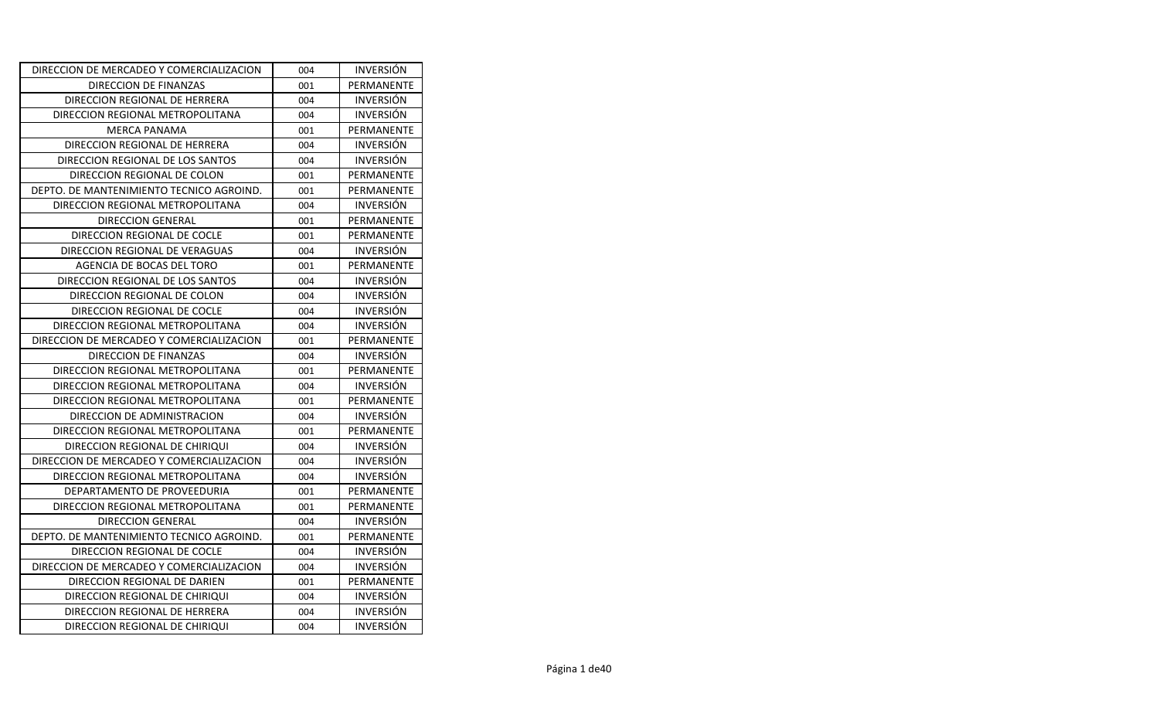| DIRECCION DE MERCADEO Y COMERCIALIZACION | 004 | <b>INVERSION</b> |
|------------------------------------------|-----|------------------|
| DIRECCION DE FINANZAS                    | 001 | PERMANENTE       |
| DIRECCION REGIONAL DE HERRERA            | 004 | <b>INVERSIÓN</b> |
| DIRECCION REGIONAL METROPOLITANA         | 004 | <b>INVERSIÓN</b> |
| <b>MERCA PANAMA</b>                      | 001 | PERMANENTE       |
| DIRECCION REGIONAL DE HERRERA            | 004 | <b>INVERSIÓN</b> |
| DIRECCION REGIONAL DE LOS SANTOS         | 004 | <b>INVERSIÓN</b> |
| DIRECCION REGIONAL DE COLON              | 001 | PERMANENTE       |
| DEPTO. DE MANTENIMIENTO TECNICO AGROIND. | 001 | PERMANENTE       |
| DIRECCION REGIONAL METROPOLITANA         | 004 | INVERSIÓN        |
| DIRECCION GENERAL                        | 001 | PERMANENTE       |
| DIRECCION REGIONAL DE COCLE              | 001 | PERMANENTE       |
| DIRECCION REGIONAL DE VERAGUAS           | 004 | <b>INVERSIÓN</b> |
| AGENCIA DE BOCAS DEL TORO                | 001 | PERMANENTE       |
| DIRECCION REGIONAL DE LOS SANTOS         | 004 | <b>INVERSIÓN</b> |
| DIRECCION REGIONAL DE COLON              | 004 | <b>INVERSIÓN</b> |
| DIRECCION REGIONAL DE COCLE              | 004 | <b>INVERSION</b> |
| DIRECCION REGIONAL METROPOLITANA         | 004 | <b>INVERSION</b> |
| DIRECCION DE MERCADEO Y COMERCIALIZACION | 001 | PERMANENTE       |
| DIRECCION DE FINANZAS                    | 004 | <b>INVERSIÓN</b> |
| DIRECCION REGIONAL METROPOLITANA         | 001 | PERMANENTE       |
| DIRECCION REGIONAL METROPOLITANA         | 004 | <b>INVERSION</b> |
| DIRECCION REGIONAL METROPOLITANA         | 001 | PERMANENTE       |
| DIRECCION DE ADMINISTRACION              | 004 | <b>INVERSIÓN</b> |
| DIRECCION REGIONAL METROPOLITANA         | 001 | PERMANENTE       |
| DIRECCION REGIONAL DE CHIRIQUI           | 004 | <b>INVERSION</b> |
| DIRECCION DE MERCADEO Y COMERCIALIZACION | 004 | <b>INVERSIÓN</b> |
| DIRECCION REGIONAL METROPOLITANA         | 004 | <b>INVERSIÓN</b> |
| DEPARTAMENTO DE PROVEEDURIA              | 001 | PERMANENTE       |
| DIRECCION REGIONAL METROPOLITANA         | 001 | PERMANENTE       |
| DIRECCION GENERAL                        | 004 | <b>INVERSIÓN</b> |
| DEPTO. DE MANTENIMIENTO TECNICO AGROIND. | 001 | PERMANENTE       |
| DIRECCION REGIONAL DE COCLE              | 004 | <b>INVERSION</b> |
| DIRECCION DE MERCADEO Y COMERCIALIZACION | 004 | <b>INVERSIÓN</b> |
| DIRECCION REGIONAL DE DARIEN             | 001 | PERMANENTE       |
| DIRECCION REGIONAL DE CHIRIQUI           | 004 | <b>INVERSIÓN</b> |
| DIRECCION REGIONAL DE HERRERA            | 004 | <b>INVERSION</b> |
| DIRECCION REGIONAL DE CHIRIQUI           | 004 | <b>INVERSIÓN</b> |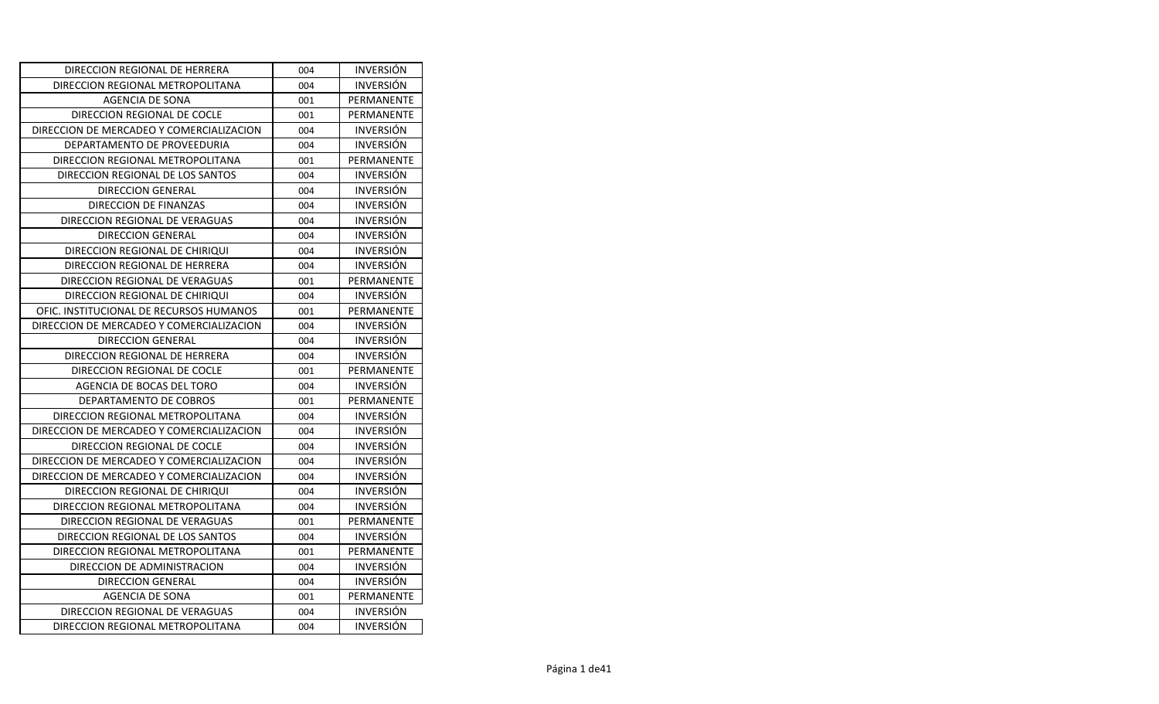| DIRECCION REGIONAL DE HERRERA            | 004 | <b>INVERSION</b> |
|------------------------------------------|-----|------------------|
| DIRECCION REGIONAL METROPOLITANA         | 004 | <b>INVERSION</b> |
| AGENCIA DE SONA                          | 001 | PERMANENTE       |
| DIRECCION REGIONAL DE COCLE              | 001 | PERMANENTE       |
| DIRECCION DE MERCADEO Y COMERCIALIZACION | 004 | <b>INVERSION</b> |
| DEPARTAMENTO DE PROVEEDURIA              | 004 | <b>INVERSIÓN</b> |
| DIRECCION REGIONAL METROPOLITANA         | 001 | PERMANENTE       |
| DIRECCION REGIONAL DE LOS SANTOS         | 004 | <b>INVERSIÓN</b> |
| <b>DIRECCION GENERAL</b>                 | 004 | <b>INVERSIÓN</b> |
| DIRECCION DE FINANZAS                    | 004 | <b>INVERSIÓN</b> |
| DIRECCION REGIONAL DE VERAGUAS           | 004 | <b>INVERSIÓN</b> |
| <b>DIRECCION GENERAL</b>                 | 004 | <b>INVERSIÓN</b> |
| DIRECCION REGIONAL DE CHIRIQUI           | 004 | <b>INVERSIÓN</b> |
| DIRECCION REGIONAL DE HERRERA            | 004 | <b>INVERSION</b> |
| DIRECCION REGIONAL DE VERAGUAS           | 001 | PERMANENTE       |
| DIRECCION REGIONAL DE CHIRIQUI           | 004 | <b>INVERSIÓN</b> |
| OFIC. INSTITUCIONAL DE RECURSOS HUMANOS  | 001 | PERMANENTE       |
| DIRECCION DE MERCADEO Y COMERCIALIZACION | 004 | <b>INVERSIÓN</b> |
| DIRECCION GENERAL                        | 004 | <b>INVERSIÓN</b> |
| DIRECCION REGIONAL DE HERRERA            | 004 | <b>INVERSION</b> |
| DIRECCION REGIONAL DE COCLE              | 001 | PERMANENTE       |
| AGENCIA DE BOCAS DEL TORO                | 004 | <b>INVERSIÓN</b> |
| DEPARTAMENTO DE COBROS                   | 001 | PERMANENTE       |
| DIRECCION REGIONAL METROPOLITANA         | 004 | <b>INVERSIÓN</b> |
| DIRECCION DE MERCADEO Y COMERCIALIZACION | 004 | <b>INVERSIÓN</b> |
| DIRECCION REGIONAL DE COCLE              | 004 | <b>INVERSION</b> |
| DIRECCION DE MERCADEO Y COMERCIALIZACION | 004 | <b>INVERSIÓN</b> |
| DIRECCION DE MERCADEO Y COMERCIALIZACION | 004 | <b>INVERSIÓN</b> |
| DIRECCION REGIONAL DE CHIRIQUI           | 004 | <b>INVERSION</b> |
| DIRECCION REGIONAL METROPOLITANA         | 004 | <b>INVERSIÓN</b> |
| DIRECCION REGIONAL DE VERAGUAS           | 001 | PERMANENTE       |
| DIRECCION REGIONAL DE LOS SANTOS         | 004 | <b>INVERSION</b> |
| DIRECCION REGIONAL METROPOLITANA         | 001 | PERMANENTE       |
| DIRECCION DE ADMINISTRACION              | 004 | <b>INVERSIÓN</b> |
| <b>DIRECCION GENERAL</b>                 | 004 | <b>INVERSIÓN</b> |
| AGENCIA DE SONA                          | 001 | PERMANENTE       |
| DIRECCION REGIONAL DE VERAGUAS           | 004 | <b>INVERSIÓN</b> |
| DIRECCION REGIONAL METROPOLITANA         | 004 | <b>INVERSIÓN</b> |
|                                          |     |                  |